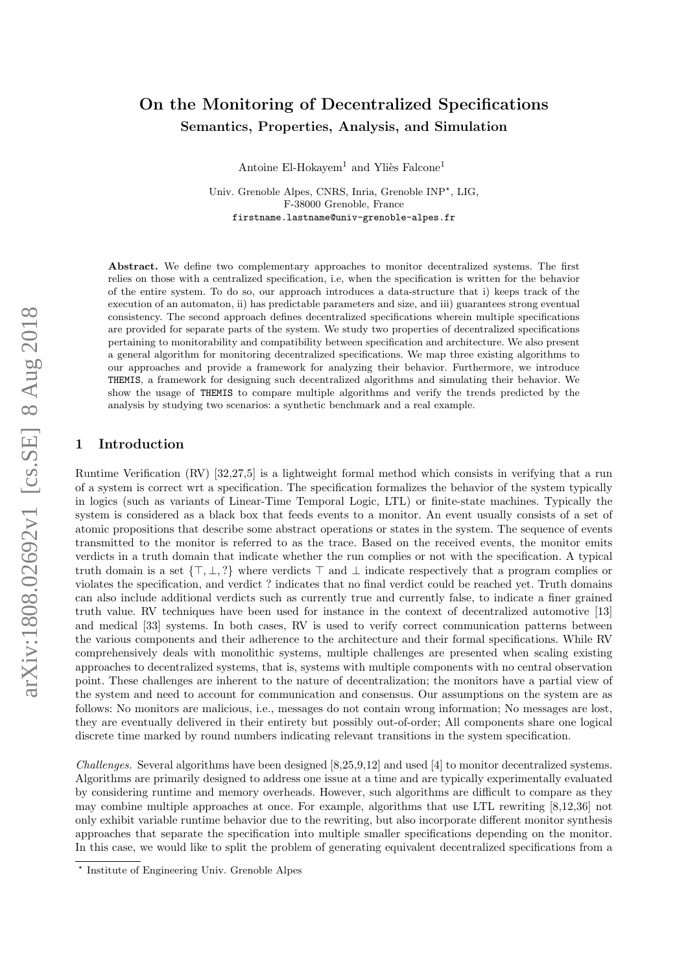# arXiv:1808.02692v1 [cs.SE] 8 Aug 2018 arXiv:1808.02692v1 [cs.SE] 8 Aug 2018

# On the Monitoring of Decentralized Specifications Semantics, Properties, Analysis, and Simulation

Antoine El-Hokayem<sup>1</sup> and Yliès Falcone<sup>1</sup>

Univ. Grenoble Alpes, CNRS, Inria, Grenoble INP<sup>\*</sup>, LIG, F-38000 Grenoble, France firstname.lastname@univ-grenoble-alpes.fr

Abstract. We define two complementary approaches to monitor decentralized systems. The first relies on those with a centralized specification, i.e, when the specification is written for the behavior of the entire system. To do so, our approach introduces a data-structure that i) keeps track of the execution of an automaton, ii) has predictable parameters and size, and iii) guarantees strong eventual consistency. The second approach defines decentralized specifications wherein multiple specifications are provided for separate parts of the system. We study two properties of decentralized specifications pertaining to monitorability and compatibility between specification and architecture. We also present a general algorithm for monitoring decentralized specifications. We map three existing algorithms to our approaches and provide a framework for analyzing their behavior. Furthermore, we introduce THEMIS, a framework for designing such decentralized algorithms and simulating their behavior. We show the usage of THEMIS to compare multiple algorithms and verify the trends predicted by the analysis by studying two scenarios: a synthetic benchmark and a real example.

# 1 Introduction

Runtime Verification (RV) [\[32,](#page-31-0)[27,](#page-31-1)[5\]](#page-30-0) is a lightweight formal method which consists in verifying that a run of a system is correct wrt a specification. The specification formalizes the behavior of the system typically in logics (such as variants of Linear-Time Temporal Logic, LTL) or finite-state machines. Typically the system is considered as a black box that feeds events to a monitor. An event usually consists of a set of atomic propositions that describe some abstract operations or states in the system. The sequence of events transmitted to the monitor is referred to as the trace. Based on the received events, the monitor emits verdicts in a truth domain that indicate whether the run complies or not with the specification. A typical truth domain is a set  $\{\top, \bot, ?\}$  where verdicts  $\top$  and  $\bot$  indicate respectively that a program complies or violates the specification, and verdict ? indicates that no final verdict could be reached yet. Truth domains can also include additional verdicts such as currently true and currently false, to indicate a finer grained truth value. RV techniques have been used for instance in the context of decentralized automotive [\[13\]](#page-30-1) and medical [\[33\]](#page-31-2) systems. In both cases, RV is used to verify correct communication patterns between the various components and their adherence to the architecture and their formal specifications. While RV comprehensively deals with monolithic systems, multiple challenges are presented when scaling existing approaches to decentralized systems, that is, systems with multiple components with no central observation point. These challenges are inherent to the nature of decentralization; the monitors have a partial view of the system and need to account for communication and consensus. Our assumptions on the system are as follows: No monitors are malicious, i.e., messages do not contain wrong information; No messages are lost, they are eventually delivered in their entirety but possibly out-of-order; All components share one logical discrete time marked by round numbers indicating relevant transitions in the system specification.

Challenges. Several algorithms have been designed [\[8,](#page-30-2)[25](#page-31-3)[,9,](#page-30-3)[12\]](#page-30-4) and used [\[4\]](#page-30-5) to monitor decentralized systems. Algorithms are primarily designed to address one issue at a time and are typically experimentally evaluated by considering runtime and memory overheads. However, such algorithms are difficult to compare as they may combine multiple approaches at once. For example, algorithms that use LTL rewriting [\[8,](#page-30-2)[12,](#page-30-4)[36\]](#page-31-4) not only exhibit variable runtime behavior due to the rewriting, but also incorporate different monitor synthesis approaches that separate the specification into multiple smaller specifications depending on the monitor. In this case, we would like to split the problem of generating equivalent decentralized specifications from a

<sup>?</sup> Institute of Engineering Univ. Grenoble Alpes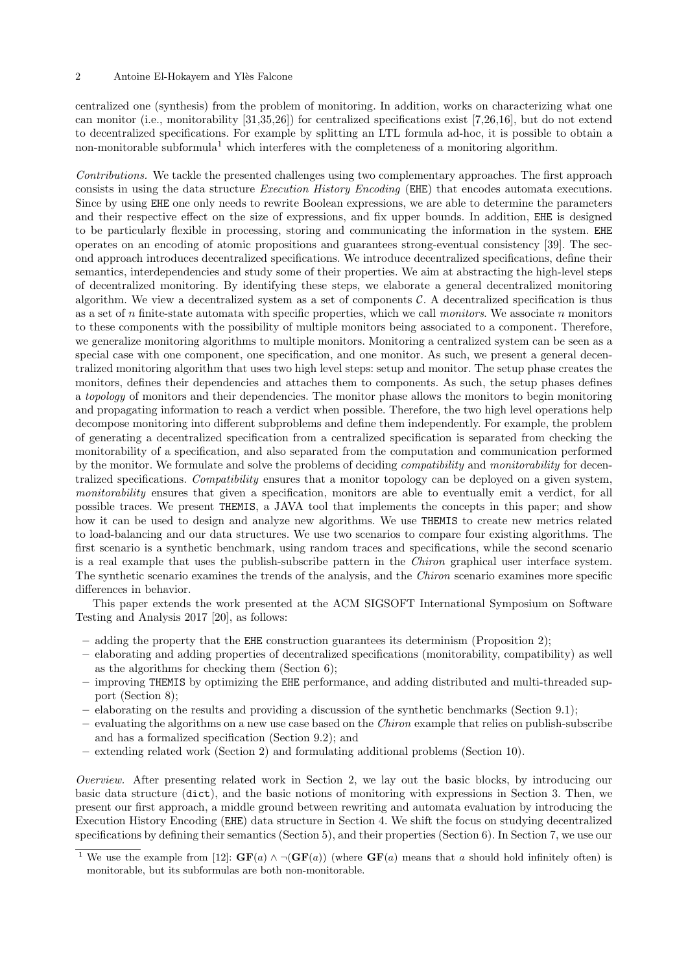centralized one (synthesis) from the problem of monitoring. In addition, works on characterizing what one can monitor (i.e., monitorability [\[31,](#page-31-5)[35,](#page-31-6)[26\]](#page-31-7)) for centralized specifications exist [\[7,](#page-30-6)[26,](#page-31-7)[16\]](#page-30-7), but do not extend to decentralized specifications. For example by splitting an LTL formula ad-hoc, it is possible to obtain a non-monitorable subformula<sup>[1](#page-1-0)</sup> which interferes with the completeness of a monitoring algorithm.

Contributions. We tackle the presented challenges using two complementary approaches. The first approach consists in using the data structure Execution History Encoding (EHE) that encodes automata executions. Since by using EHE one only needs to rewrite Boolean expressions, we are able to determine the parameters and their respective effect on the size of expressions, and fix upper bounds. In addition, EHE is designed to be particularly flexible in processing, storing and communicating the information in the system. EHE operates on an encoding of atomic propositions and guarantees strong-eventual consistency [\[39\]](#page-31-8). The second approach introduces decentralized specifications. We introduce decentralized specifications, define their semantics, interdependencies and study some of their properties. We aim at abstracting the high-level steps of decentralized monitoring. By identifying these steps, we elaborate a general decentralized monitoring algorithm. We view a decentralized system as a set of components  $\mathcal{C}$ . A decentralized specification is thus as a set of  $n$  finite-state automata with specific properties, which we call *monitors*. We associate  $n$  monitors to these components with the possibility of multiple monitors being associated to a component. Therefore, we generalize monitoring algorithms to multiple monitors. Monitoring a centralized system can be seen as a special case with one component, one specification, and one monitor. As such, we present a general decentralized monitoring algorithm that uses two high level steps: setup and monitor. The setup phase creates the monitors, defines their dependencies and attaches them to components. As such, the setup phases defines a topology of monitors and their dependencies. The monitor phase allows the monitors to begin monitoring and propagating information to reach a verdict when possible. Therefore, the two high level operations help decompose monitoring into different subproblems and define them independently. For example, the problem of generating a decentralized specification from a centralized specification is separated from checking the monitorability of a specification, and also separated from the computation and communication performed by the monitor. We formulate and solve the problems of deciding *compatibility* and *monitorability* for decentralized specifications. Compatibility ensures that a monitor topology can be deployed on a given system, monitorability ensures that given a specification, monitors are able to eventually emit a verdict, for all possible traces. We present THEMIS, a JAVA tool that implements the concepts in this paper; and show how it can be used to design and analyze new algorithms. We use **THEMIS** to create new metrics related to load-balancing and our data structures. We use two scenarios to compare four existing algorithms. The first scenario is a synthetic benchmark, using random traces and specifications, while the second scenario is a real example that uses the publish-subscribe pattern in the Chiron graphical user interface system. The synthetic scenario examines the trends of the analysis, and the Chiron scenario examines more specific differences in behavior.

This paper extends the work presented at the ACM SIGSOFT International Symposium on Software Testing and Analysis 2017 [\[20\]](#page-30-8), as follows:

- adding the property that the EHE construction guarantees its determinism (Proposition [2\)](#page-8-0);
- elaborating and adding properties of decentralized specifications (monitorability, compatibility) as well as the algorithms for checking them (Section [6\)](#page-12-0);
- improving THEMIS by optimizing the EHE performance, and adding distributed and multi-threaded support (Section [8\)](#page-20-0);
- elaborating on the results and providing a discussion of the synthetic benchmarks (Section [9.1\)](#page-21-0);
- $-$  evaluating the algorithms on a new use case based on the *Chiron* example that relies on publish-subscribe and has a formalized specification (Section [9.2\)](#page-25-0); and
- extending related work (Section [2\)](#page-2-0) and formulating additional problems (Section [10\)](#page-28-0).

Overview. After presenting related work in Section [2,](#page-2-0) we lay out the basic blocks, by introducing our basic data structure (dict), and the basic notions of monitoring with expressions in Section [3.](#page-3-0) Then, we present our first approach, a middle ground between rewriting and automata evaluation by introducing the Execution History Encoding (EHE) data structure in Section [4.](#page-5-0) We shift the focus on studying decentralized specifications by defining their semantics (Section [5\)](#page-10-0), and their properties (Section [6\)](#page-12-0). In Section [7,](#page-15-0) we use our

<span id="page-1-0"></span><sup>&</sup>lt;sup>1</sup> We use the example from [\[12\]](#page-30-4):  $GF(a) \wedge \neg (GF(a))$  (where  $GF(a)$  means that a should hold infinitely often) is monitorable, but its subformulas are both non-monitorable.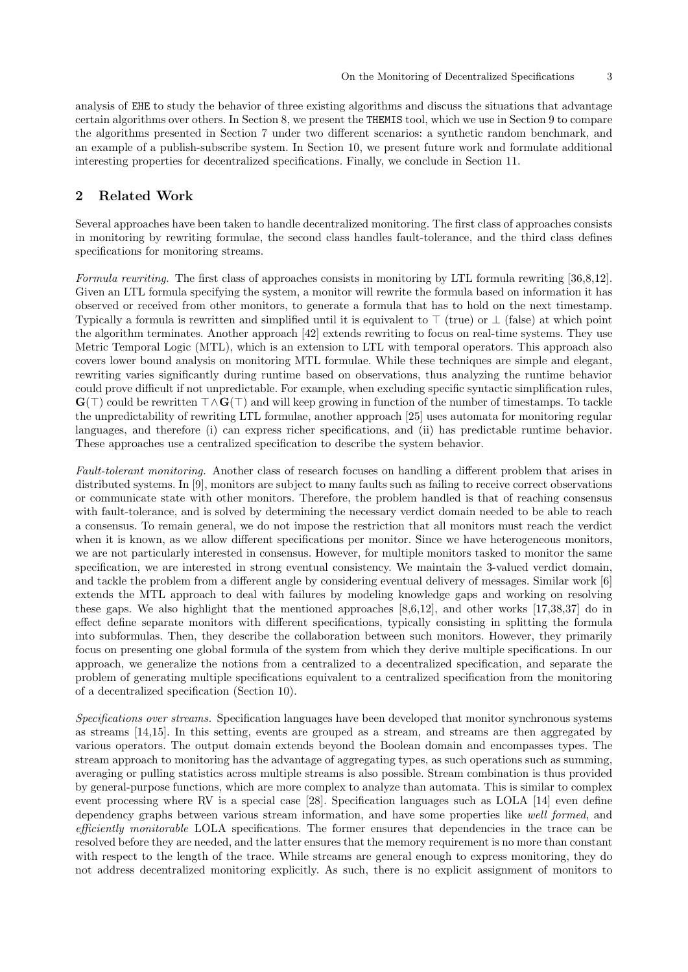analysis of EHE to study the behavior of three existing algorithms and discuss the situations that advantage certain algorithms over others. In Section [8,](#page-20-0) we present the THEMIS tool, which we use in Section [9](#page-21-1) to compare the algorithms presented in Section [7](#page-15-0) under two different scenarios: a synthetic random benchmark, and an example of a publish-subscribe system. In Section [10,](#page-28-0) we present future work and formulate additional interesting properties for decentralized specifications. Finally, we conclude in Section [11.](#page-29-0)

# <span id="page-2-0"></span>2 Related Work

Several approaches have been taken to handle decentralized monitoring. The first class of approaches consists in monitoring by rewriting formulae, the second class handles fault-tolerance, and the third class defines specifications for monitoring streams.

Formula rewriting. The first class of approaches consists in monitoring by LTL formula rewriting [\[36,](#page-31-4)[8,](#page-30-2)[12\]](#page-30-4). Given an LTL formula specifying the system, a monitor will rewrite the formula based on information it has observed or received from other monitors, to generate a formula that has to hold on the next timestamp. Typically a formula is rewritten and simplified until it is equivalent to  $\top$  (true) or  $\bot$  (false) at which point the algorithm terminates. Another approach [\[42\]](#page-31-9) extends rewriting to focus on real-time systems. They use Metric Temporal Logic (MTL), which is an extension to LTL with temporal operators. This approach also covers lower bound analysis on monitoring MTL formulae. While these techniques are simple and elegant, rewriting varies significantly during runtime based on observations, thus analyzing the runtime behavior could prove difficult if not unpredictable. For example, when excluding specific syntactic simplification rules,  $\mathbf{G}(\top)$  could be rewritten  $\top \wedge \mathbf{G}(\top)$  and will keep growing in function of the number of timestamps. To tackle the unpredictability of rewriting LTL formulae, another approach [\[25\]](#page-31-3) uses automata for monitoring regular languages, and therefore (i) can express richer specifications, and (ii) has predictable runtime behavior. These approaches use a centralized specification to describe the system behavior.

Fault-tolerant monitoring. Another class of research focuses on handling a different problem that arises in distributed systems. In [\[9\]](#page-30-3), monitors are subject to many faults such as failing to receive correct observations or communicate state with other monitors. Therefore, the problem handled is that of reaching consensus with fault-tolerance, and is solved by determining the necessary verdict domain needed to be able to reach a consensus. To remain general, we do not impose the restriction that all monitors must reach the verdict when it is known, as we allow different specifications per monitor. Since we have heterogeneous monitors, we are not particularly interested in consensus. However, for multiple monitors tasked to monitor the same specification, we are interested in strong eventual consistency. We maintain the 3-valued verdict domain, and tackle the problem from a different angle by considering eventual delivery of messages. Similar work [\[6\]](#page-30-9) extends the MTL approach to deal with failures by modeling knowledge gaps and working on resolving these gaps. We also highlight that the mentioned approaches [\[8,](#page-30-2)[6,](#page-30-9)[12\]](#page-30-4), and other works [\[17,](#page-30-10)[38,](#page-31-10)[37\]](#page-31-11) do in effect define separate monitors with different specifications, typically consisting in splitting the formula into subformulas. Then, they describe the collaboration between such monitors. However, they primarily focus on presenting one global formula of the system from which they derive multiple specifications. In our approach, we generalize the notions from a centralized to a decentralized specification, and separate the problem of generating multiple specifications equivalent to a centralized specification from the monitoring of a decentralized specification (Section [10\)](#page-29-1).

Specifications over streams. Specification languages have been developed that monitor synchronous systems as streams [\[14,](#page-30-11)[15\]](#page-30-12). In this setting, events are grouped as a stream, and streams are then aggregated by various operators. The output domain extends beyond the Boolean domain and encompasses types. The stream approach to monitoring has the advantage of aggregating types, as such operations such as summing, averaging or pulling statistics across multiple streams is also possible. Stream combination is thus provided by general-purpose functions, which are more complex to analyze than automata. This is similar to complex event processing where RV is a special case [\[28\]](#page-31-12). Specification languages such as LOLA [\[14\]](#page-30-11) even define dependency graphs between various stream information, and have some properties like well formed, and efficiently monitorable LOLA specifications. The former ensures that dependencies in the trace can be resolved before they are needed, and the latter ensures that the memory requirement is no more than constant with respect to the length of the trace. While streams are general enough to express monitoring, they do not address decentralized monitoring explicitly. As such, there is no explicit assignment of monitors to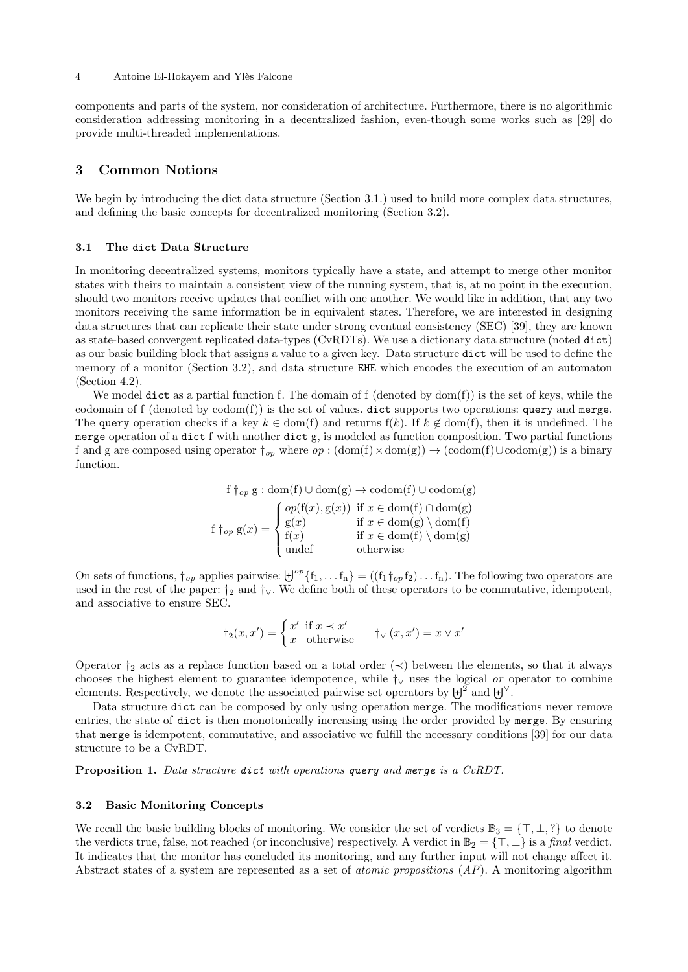components and parts of the system, nor consideration of architecture. Furthermore, there is no algorithmic consideration addressing monitoring in a decentralized fashion, even-though some works such as [\[29\]](#page-31-13) do provide multi-threaded implementations.

# <span id="page-3-0"></span>3 Common Notions

We begin by introducing the dict data structure (Section [3.1.](#page-3-1)) used to build more complex data structures, and defining the basic concepts for decentralized monitoring (Section [3.2\)](#page-3-2).

# <span id="page-3-1"></span>3.1 The dict Data Structure

In monitoring decentralized systems, monitors typically have a state, and attempt to merge other monitor states with theirs to maintain a consistent view of the running system, that is, at no point in the execution, should two monitors receive updates that conflict with one another. We would like in addition, that any two monitors receiving the same information be in equivalent states. Therefore, we are interested in designing data structures that can replicate their state under strong eventual consistency (SEC) [\[39\]](#page-31-8), they are known as state-based convergent replicated data-types (CvRDTs). We use a dictionary data structure (noted dict) as our basic building block that assigns a value to a given key. Data structure dict will be used to define the memory of a monitor (Section [3.2\)](#page-3-2), and data structure EHE which encodes the execution of an automaton (Section [4.2\)](#page-7-0).

We model dict as a partial function f. The domain of  $f$  (denoted by  $dom(f)$ ) is the set of keys, while the codomain of  $f$  (denoted by  $codom(f)$ ) is the set of values. dict supports two operations: query and merge. The query operation checks if a key  $k \in \text{dom}(f)$  and returns  $f(k)$ . If  $k \notin \text{dom}(f)$ , then it is undefined. The merge operation of a dict f with another dict g, is modeled as function composition. Two partial functions f and g are composed using operator  $\dagger_{op}$  where  $op : (\text{dom}(f) \times \text{dom}(g)) \to (\text{codom}(f) \cup \text{codom}(g))$  is a binary function.

> f  $\dagger_{op}$  g : dom(f) ∪ dom(g)  $\rightarrow$  codom(f) ∪ codom(g) f  $\dagger$ <sub>op</sub> g(x) =  $\sqrt{ }$  $\int$  $\overline{\mathcal{L}}$  $op(f(x), g(x))$  if  $x \in dom(f) \cap dom(g)$  $g(x)$  if  $x \in \text{dom}(g) \setminus \text{dom}(f)$ f(x) if  $x \in \text{dom}(f) \setminus \text{dom}(g)$ undef otherwise

On sets of functions,  $\dagger_{op}$  applies pairwise:  $\biguplus^{op} \{f_1, \ldots f_n\} = ((f_1 \dagger_{op} f_2) \ldots f_n)$ . The following two operators are used in the rest of the paper:  $\dagger_2$  and  $\dagger_\vee$ . We define both of these operators to be commutative, idempotent, and associative to ensure SEC.

<span id="page-3-3"></span>
$$
\dagger_2(x, x') = \begin{cases} x' & \text{if } x \prec x' \\ x & \text{otherwise} \end{cases} \qquad \dagger_V(x, x') = x \lor x'
$$

Operator  $\dagger_2$  acts as a replace function based on a total order  $(\prec)$  between the elements, so that it always chooses the highest element to guarantee idempotence, while  $\dagger$  uses the logical or operator to combine elements. Respectively, we denote the associated pairwise set operators by  $\ket{\psi^2}$  and  $\ket{\psi^{\vee}}$ .

Data structure dict can be composed by only using operation merge. The modifications never remove entries, the state of dict is then monotonically increasing using the order provided by merge. By ensuring that merge is idempotent, commutative, and associative we fulfill the necessary conditions [\[39\]](#page-31-8) for our data structure to be a CvRDT.

Proposition 1. Data structure dict with operations query and merge is a CvRDT.

### <span id="page-3-2"></span>3.2 Basic Monitoring Concepts

We recall the basic building blocks of monitoring. We consider the set of verdicts  $\mathbb{B}_3 = \{\top, \bot, ?\}$  to denote the verdicts true, false, not reached (or inconclusive) respectively. A verdict in  $\mathbb{B}_2 = \{\top, \bot\}$  is a final verdict. It indicates that the monitor has concluded its monitoring, and any further input will not change affect it. Abstract states of a system are represented as a set of *atomic propositions*  $(AP)$ . A monitoring algorithm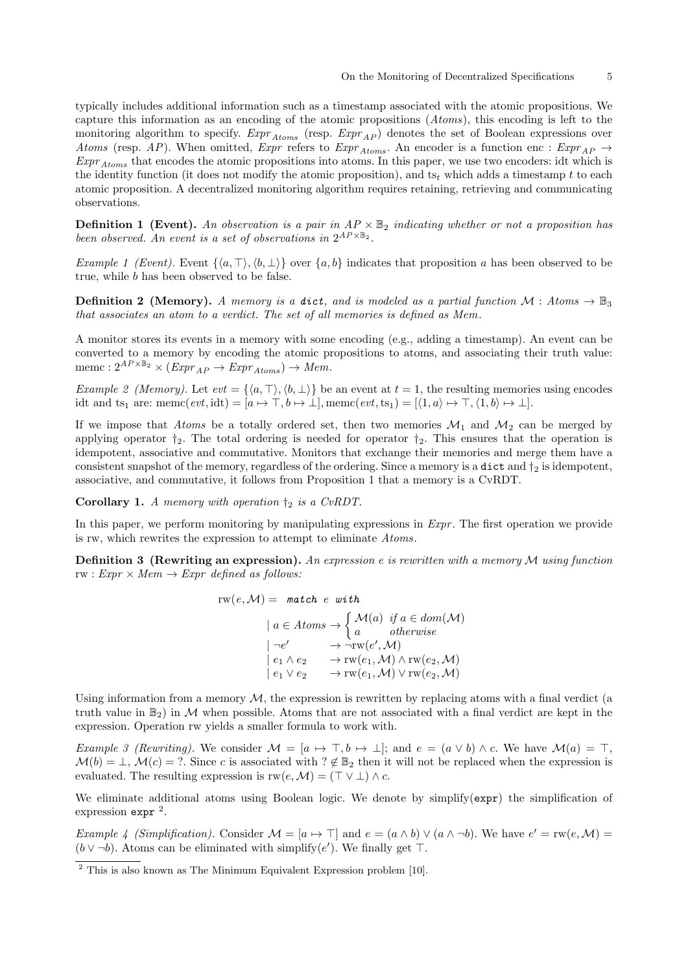typically includes additional information such as a timestamp associated with the atomic propositions. We capture this information as an encoding of the atomic propositions (Atoms), this encoding is left to the monitoring algorithm to specify.  $Expr_{Atoms}$  (resp.  $Expr_{AP}$ ) denotes the set of Boolean expressions over Atoms (resp. AP). When omitted,  $Expr$  refers to  $Expr_{Atoms}$ . An encoder is a function enc :  $Expr_{AP} \rightarrow$  $\textit{Expr}_{Atoms}$  that encodes the atomic propositions into atoms. In this paper, we use two encoders: idt which is the identity function (it does not modify the atomic proposition), and  $ts_t$  which adds a timestamp t to each atomic proposition. A decentralized monitoring algorithm requires retaining, retrieving and communicating observations.

<span id="page-4-1"></span>**Definition 1 (Event).** An observation is a pair in  $AP \times \mathbb{B}_2$  indicating whether or not a proposition has been observed. An event is a set of observations in  $2^{AP \times \mathbb{B}_2}$ .

Example 1 (Event). Event  $\{\langle a, \top \rangle, \langle b, \bot \rangle\}$  over  $\{a, b\}$  indicates that proposition a has been observed to be true, while b has been observed to be false.

**Definition 2** (Memory). A memory is a dict, and is modeled as a partial function  $\mathcal{M}$ : Atoms  $\rightarrow \mathbb{B}$ <sub>3</sub> that associates an atom to a verdict. The set of all memories is defined as Mem .

<span id="page-4-2"></span>A monitor stores its events in a memory with some encoding (e.g., adding a timestamp). An event can be converted to a memory by encoding the atomic propositions to atoms, and associating their truth value: memc :  $2^{AP \times \mathbb{B}_2} \times (Expr_{AP} \rightarrow Expr_{Atoms}) \rightarrow Mem.$ 

Example 2 (Memory). Let  $evt = \{\langle a, \top \rangle, \langle b, \bot \rangle\}$  be an event at  $t = 1$ , the resulting memories using encodes idt and ts<sub>1</sub> are: memc $(evt, idt) = [a \mapsto \top, b \mapsto \bot]$ , memc $(evt, ts_1) = [\langle 1, a \rangle \mapsto \top, \langle 1, b \rangle \mapsto \bot]$ .

If we impose that Atoms be a totally ordered set, then two memories  $\mathcal{M}_1$  and  $\mathcal{M}_2$  can be merged by applying operator  $\dagger_2$ . The total ordering is needed for operator  $\dagger_2$ . This ensures that the operation is idempotent, associative and commutative. Monitors that exchange their memories and merge them have a consistent snapshot of the memory, regardless of the ordering. Since a memory is a dict and  $\dagger_2$  is idempotent, associative, and commutative, it follows from Proposition [1](#page-3-3) that a memory is a CvRDT.

**Corollary 1.** A memory with operation  $\dagger_2$  is a CvRDT.

In this paper, we perform monitoring by manipulating expressions in  $Expr$ . The first operation we provide is rw, which rewrites the expression to attempt to eliminate Atoms.

**Definition 3** (Rewriting an expression). An expression e is rewritten with a memory  $M$  using function rw :  $Expr \times Mem \rightarrow Expr \ defined \ as \ follows:$ 

$$
\text{rw}(e, \mathcal{M}) = \text{ match } e \text{ with}
$$
\n
$$
a \in Atoms \rightarrow \begin{cases} \mathcal{M}(a) & \text{if } a \in dom(\mathcal{M}) \\ a & \text{otherwise} \end{cases}
$$
\n
$$
|\neg e' \rightarrow \neg \text{rw}(e', \mathcal{M})|
$$
\n
$$
|\neg e_1 \land e_2 \rightarrow \text{rw}(e_1, \mathcal{M}) \land \text{rw}(e_2, \mathcal{M})|
$$
\n
$$
|\neg e_1 \lor e_2 \rightarrow \text{rw}(e_1, \mathcal{M}) \lor \text{rw}(e_2, \mathcal{M})|
$$

Using information from a memory  $M$ , the expression is rewritten by replacing atoms with a final verdict (a truth value in  $\mathbb{B}_2$  in M when possible. Atoms that are not associated with a final verdict are kept in the expression. Operation rw yields a smaller formula to work with.

Example 3 (Rewriting). We consider  $\mathcal{M} = [a \mapsto \top, b \mapsto \bot]$ ; and  $e = (a \vee b) \wedge c$ . We have  $\mathcal{M}(a) = \top$ ,  $\mathcal{M}(b) = \bot$ ,  $\mathcal{M}(c) = ?$ . Since c is associated with  $? \notin \mathbb{B}_2$  then it will not be replaced when the expression is evaluated. The resulting expression is  $rw(e, M) = (\top \vee \bot) \wedge c$ .

We eliminate additional atoms using Boolean logic. We denote by simplify(expr) the simplification of expression expr<sup>[2](#page-4-0)</sup>.

*Example 4 (Simplification).* Consider  $\mathcal{M} = [a \mapsto \top]$  and  $e = (a \wedge b) \vee (a \wedge \neg b)$ . We have  $e' = rw(e, \mathcal{M})$  $(b \vee \neg b)$ . Atoms can be eliminated with simplify $(e')$ . We finally get  $\top$ .

<span id="page-4-0"></span><sup>&</sup>lt;sup>2</sup> This is also known as The Minimum Equivalent Expression problem [\[10\]](#page-30-13).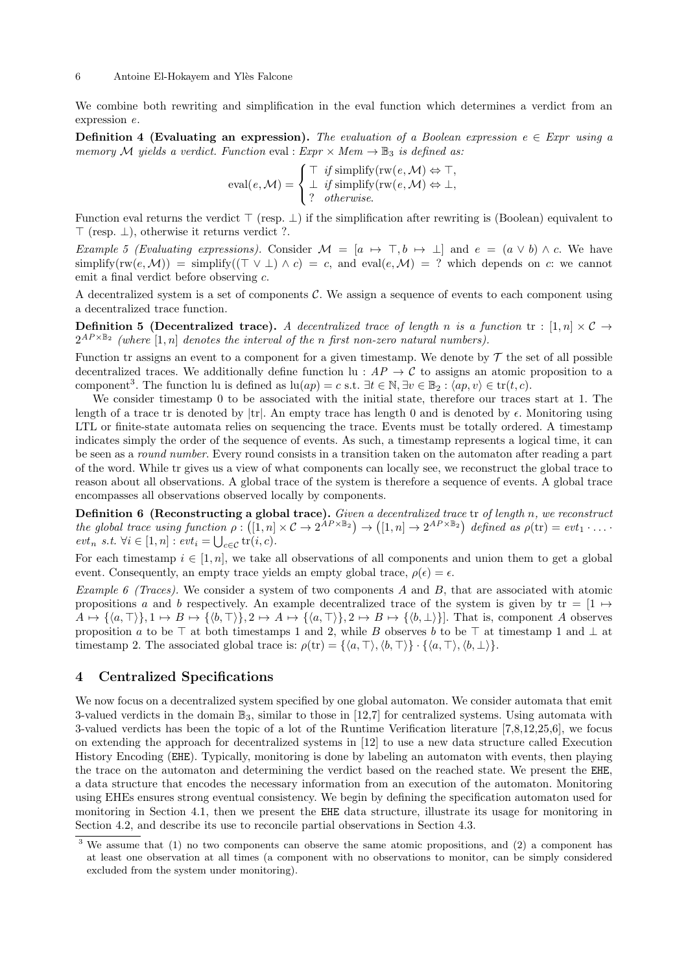We combine both rewriting and simplification in the eval function which determines a verdict from an expression e.

**Definition 4 (Evaluating an expression).** The evaluation of a Boolean expression  $e \in Expr$  using a memory M yields a verdict. Function eval :  $Expr \times Mem \rightarrow \mathbb{B}_3$  is defined as:

eval
$$
(e, \mathcal{M}) = \begin{cases} \top & \text{if simplify}(\text{rw}(e, \mathcal{M}) \Leftrightarrow \top, \\ \bot & \text{if simplify}(\text{rw}(e, \mathcal{M}) \Leftrightarrow \bot, \\ ? & \text{otherwise.} \end{cases}
$$

Function eval returns the verdict  $\top$  (resp.  $\bot$ ) if the simplification after rewriting is (Boolean) equivalent to  $\top$  (resp.  $\bot$ ), otherwise it returns verdict ?.

Example 5 (Evaluating expressions). Consider  $\mathcal{M} = [a \mapsto \top, b \mapsto \bot]$  and  $e = (a \vee b) \wedge c$ . We have simplify(rw(e,M)) = simplify( $(T \vee \bot) \wedge c$ ) = c, and eval(e,M) = ? which depends on c: we cannot emit a final verdict before observing c.

A decentralized system is a set of components  $\mathcal{C}$ . We assign a sequence of events to each component using a decentralized trace function.

**Definition 5 (Decentralized trace).** A decentralized trace of length n is a function  $tr : [1, n] \times C \rightarrow$  $2^{AP \times \mathbb{B}_2}$  (where  $[1,n]$  denotes the interval of the n first non-zero natural numbers).

Function tr assigns an event to a component for a given timestamp. We denote by  $\mathcal T$  the set of all possible decentralized traces. We additionally define function lu :  $AP \rightarrow C$  to assigns an atomic proposition to a component<sup>[3](#page-5-1)</sup>. The function lu is defined as  $\ln(ap) = c$  s.t.  $\exists t \in \mathbb{N}, \exists v \in \mathbb{B}_2 : \langle ap, v \rangle \in \text{tr}(t, c)$ .

We consider timestamp 0 to be associated with the initial state, therefore our traces start at 1. The length of a trace tr is denoted by  $|\text{tr}|$ . An empty trace has length 0 and is denoted by  $\epsilon$ . Monitoring using LTL or finite-state automata relies on sequencing the trace. Events must be totally ordered. A timestamp indicates simply the order of the sequence of events. As such, a timestamp represents a logical time, it can be seen as a round number. Every round consists in a transition taken on the automaton after reading a part of the word. While tr gives us a view of what components can locally see, we reconstruct the global trace to reason about all observations. A global trace of the system is therefore a sequence of events. A global trace encompasses all observations observed locally by components.

**Definition 6 (Reconstructing a global trace).** Given a decentralized trace tr of length n, we reconstruct the global trace using function  $\rho: ([1, n] \times C \to 2^{\hat{A}P \times \mathbb{B}_2}) \to ([1, n] \to 2^{AP \times \mathbb{B}_2})$  defined as  $\rho(\text{tr}) = \text{evt}_1 \cdot \ldots \cdot$  $evt_n \ s.t. \ \forall i \in [1, n] : \mathit{evt}_i = \bigcup_{c \in \mathcal{C}} \mathrm{tr}(i, c).$ 

For each timestamp  $i \in [1, n]$ , we take all observations of all components and union them to get a global event. Consequently, an empty trace yields an empty global trace,  $\rho(\epsilon) = \epsilon$ .

*Example 6 (Traces).* We consider a system of two components A and B, that are associated with atomic propositions a and b respectively. An example decentralized trace of the system is given by tr =  $[1 \leftrightarrow$  $A \mapsto {\langle a, \top \rangle}, 1 \mapsto B \mapsto {\langle b, \top \rangle}, 2 \mapsto A \mapsto {\langle a, \top \rangle}, 2 \mapsto B \mapsto {\langle b, \bot \rangle}.$  That is, component A observes proposition a to be  $\top$  at both timestamps 1 and 2, while B observes b to be  $\top$  at timestamp 1 and  $\bot$  at timestamp 2. The associated global trace is:  $\rho(\text{tr}) = {\langle\langle a, \top\rangle, \langle b, \top\rangle} \cdot {\langle\langle a, \top \rangle, \langle b, \bot\rangle}.$ 

### <span id="page-5-0"></span>4 Centralized Specifications

We now focus on a decentralized system specified by one global automaton. We consider automata that emit 3-valued verdicts in the domain  $\mathbb{B}_3$ , similar to those in [\[12,](#page-30-4)[7\]](#page-30-6) for centralized systems. Using automata with 3-valued verdicts has been the topic of a lot of the Runtime Verification literature [\[7,](#page-30-6)[8,](#page-30-2)[12,](#page-30-4)[25,](#page-31-3)[6\]](#page-30-9), we focus on extending the approach for decentralized systems in [\[12\]](#page-30-4) to use a new data structure called Execution History Encoding (EHE). Typically, monitoring is done by labeling an automaton with events, then playing the trace on the automaton and determining the verdict based on the reached state. We present the EHE, a data structure that encodes the necessary information from an execution of the automaton. Monitoring using EHEs ensures strong eventual consistency. We begin by defining the specification automaton used for monitoring in Section [4.1,](#page-6-0) then we present the EHE data structure, illustrate its usage for monitoring in Section [4.2,](#page-7-0) and describe its use to reconcile partial observations in Section [4.3.](#page-9-0)

<span id="page-5-1"></span> $3$  We assume that (1) no two components can observe the same atomic propositions, and (2) a component has at least one observation at all times (a component with no observations to monitor, can be simply considered excluded from the system under monitoring).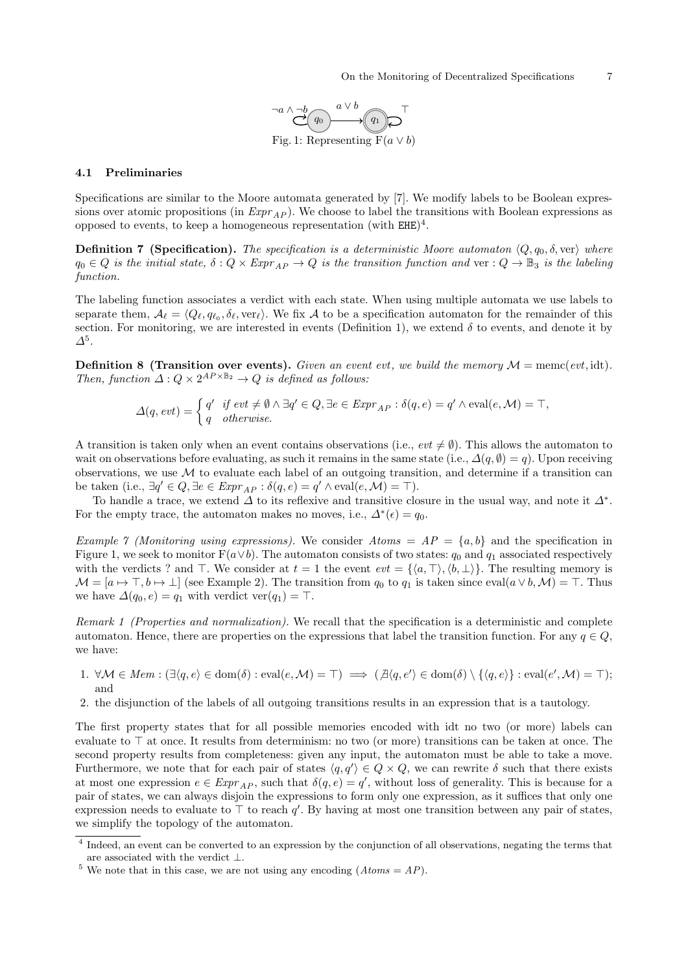<span id="page-6-6"></span>

### <span id="page-6-3"></span><span id="page-6-0"></span>4.1 Preliminaries

Specifications are similar to the Moore automata generated by [\[7\]](#page-30-6). We modify labels to be Boolean expressions over atomic propositions (in  $\mathit{Expr}_{AP}$ ). We choose to label the transitions with Boolean expressions as opposed to events, to keep a homogeneous representation (with  $EHE)^4$  $EHE)^4$ .

**Definition 7 (Specification).** The specification is a deterministic Moore automaton  $\langle Q, q_0, \delta \rangle$ , ver $\rangle$  where  $q_0 \in Q$  is the initial state,  $\delta: Q \times \text{Expr}_{AP} \to Q$  is the transition function and ver  $: Q \to \mathbb{B}_3$  is the labeling function.

The labeling function associates a verdict with each state. When using multiple automata we use labels to separate them,  $A_\ell = \langle Q_\ell, q_{\ell_0}, \delta_\ell, \text{ver}_\ell \rangle$ . We fix A to be a specification automaton for the remainder of this section. For monitoring, we are interested in events (Definition [1\)](#page-4-1), we extend  $\delta$  to events, and denote it by  $\varDelta^5$  $\varDelta^5$ .

<span id="page-6-7"></span>**Definition 8 (Transition over events).** Given an event evt, we build the memory  $\mathcal{M} = \text{memc}(evt, \text{id})$ . Then, function  $\Delta: Q \times 2^{AP \times \mathbb{B}_2} \to Q$  is defined as follows:

$$
\Delta(q,\text{evt}) = \begin{cases} q' & \text{if } \text{evt} \neq \emptyset \land \exists q' \in Q, \exists e \in \text{Expr}_{AP} : \delta(q,e) = q' \land \text{eval}(e,M) = \top, \\ q & \text{otherwise.} \end{cases}
$$

A transition is taken only when an event contains observations (i.e.,  $\operatorname{evt} \neq \emptyset$ ). This allows the automaton to wait on observations before evaluating, as such it remains in the same state (i.e.,  $\Delta(q, \emptyset) = q$ ). Upon receiving observations, we use  $\mathcal M$  to evaluate each label of an outgoing transition, and determine if a transition can be taken (i.e.,  $\exists q' \in Q, \exists e \in \mathit{Expr}_{AP} : \delta(q, e) = q' \land \text{eval}(e, \mathcal{M}) = \top$ ).

To handle a trace, we extend  $\Delta$  to its reflexive and transitive closure in the usual way, and note it  $\Delta^*$ . For the empty trace, the automaton makes no moves, i.e.,  $\Delta^*(\epsilon) = q_0$ .

<span id="page-6-4"></span>Example 7 (Monitoring using expressions). We consider Atoms =  $AP = \{a, b\}$  and the specification in Figure [1,](#page-6-3) we seek to monitor  $F(a \vee b)$ . The automaton consists of two states:  $q_0$  and  $q_1$  associated respectively with the verdicts ? and  $\top$ . We consider at  $t = 1$  the event  $\text{evt} = \{\langle a, \top \rangle, \langle b, \bot \rangle\}$ . The resulting memory is  $\mathcal{M} = [a \mapsto \top, b \mapsto \bot]$  (see Example [2\)](#page-4-2). The transition from  $q_0$  to  $q_1$  is taken since eval $(a \vee b, \mathcal{M}) = \top$ . Thus we have  $\Delta(q_0, e) = q_1$  with verdict ver $(q_1) = \top$ .

<span id="page-6-5"></span>Remark 1 (Properties and normalization). We recall that the specification is a deterministic and complete automaton. Hence, there are properties on the expressions that label the transition function. For any  $q \in Q$ , we have:

- 1.  $\forall \mathcal{M} \in \text{Mem} : (\exists \langle q, e \rangle \in \text{dom}(\delta) : \text{eval}(e, \mathcal{M}) = \top) \implies (\mathcal{A}\langle q, e' \rangle \in \text{dom}(\delta) \setminus \{\langle q, e \rangle\} : \text{eval}(e', \mathcal{M}) = \top);$ and
- 2. the disjunction of the labels of all outgoing transitions results in an expression that is a tautology.

The first property states that for all possible memories encoded with idt no two (or more) labels can evaluate to  $\top$  at once. It results from determinism: no two (or more) transitions can be taken at once. The second property results from completeness: given any input, the automaton must be able to take a move. Furthermore, we note that for each pair of states  $\langle q, q' \rangle \in Q \times Q$ , we can rewrite  $\delta$  such that there exists at most one expression  $e \in \mathit{Expr}_{AP}$ , such that  $\delta(q, e) = q'$ , without loss of generality. This is because for a pair of states, we can always disjoin the expressions to form only one expression, as it suffices that only one expression needs to evaluate to  $\top$  to reach q'. By having at most one transition between any pair of states, we simplify the topology of the automaton.

<span id="page-6-1"></span><sup>&</sup>lt;sup>4</sup> Indeed, an event can be converted to an expression by the conjunction of all observations, negating the terms that are associated with the verdict  $\perp$ .

<span id="page-6-2"></span><sup>&</sup>lt;sup>5</sup> We note that in this case, we are not using any encoding  $(A \text{to} m s = A P)$ .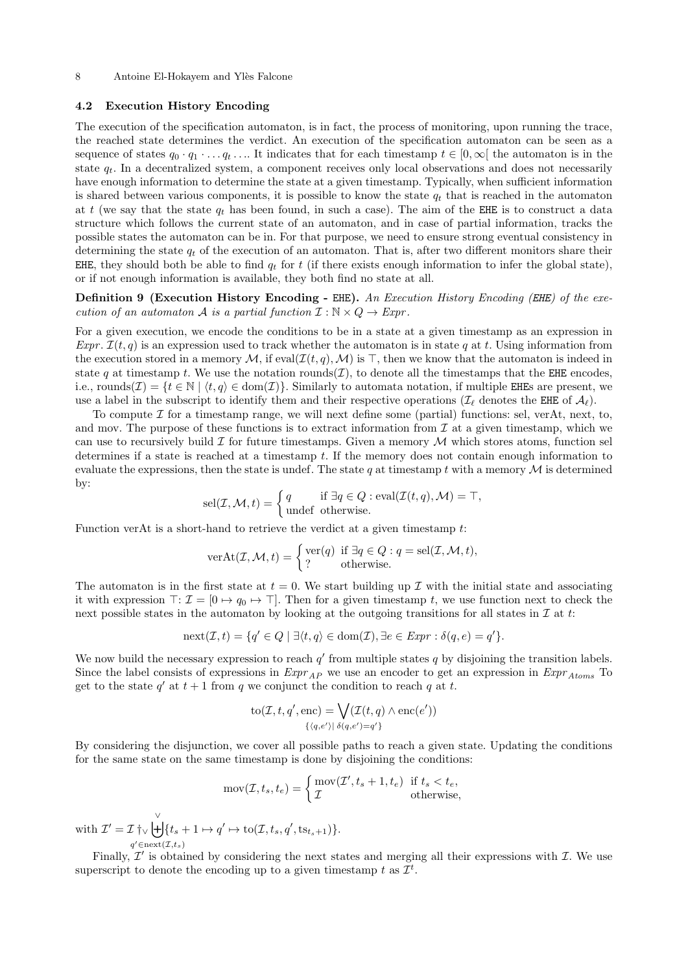### <span id="page-7-0"></span>4.2 Execution History Encoding

The execution of the specification automaton, is in fact, the process of monitoring, upon running the trace, the reached state determines the verdict. An execution of the specification automaton can be seen as a sequence of states  $q_0 \cdot q_1 \cdot \ldots q_t \cdot \ldots$  It indicates that for each timestamp  $t \in [0,\infty]$  the automaton is in the state  $q_t$ . In a decentralized system, a component receives only local observations and does not necessarily have enough information to determine the state at a given timestamp. Typically, when sufficient information is shared between various components, it is possible to know the state  $q_t$  that is reached in the automaton at t (we say that the state  $q_t$  has been found, in such a case). The aim of the EHE is to construct a data structure which follows the current state of an automaton, and in case of partial information, tracks the possible states the automaton can be in. For that purpose, we need to ensure strong eventual consistency in determining the state  $q_t$  of the execution of an automaton. That is, after two different monitors share their EHE, they should both be able to find  $q_t$  for t (if there exists enough information to infer the global state), or if not enough information is available, they both find no state at all.

Definition 9 (Execution History Encoding - EHE). An Execution History Encoding (EHE) of the execution of an automaton A is a partial function  $\mathcal{I}: \mathbb{N} \times Q \to \text{Expr}$ .

For a given execution, we encode the conditions to be in a state at a given timestamp as an expression in Expr.  $\mathcal{I}(t, q)$  is an expression used to track whether the automaton is in state q at t. Using information from the execution stored in a memory M, if  $eval(\mathcal{I}(t,q),\mathcal{M})$  is  $\top$ , then we know that the automaton is indeed in state q at timestamp t. We use the notation rounds( $\mathcal{I}$ ), to denote all the timestamps that the EHE encodes, i.e., rounds( $\mathcal{I}$ ) = { $t \in \mathbb{N} \mid \langle t, q \rangle \in \text{dom}(\mathcal{I})\}$ . Similarly to automata notation, if multiple EHEs are present, we use a label in the subscript to identify them and their respective operations ( $\mathcal{I}_{\ell}$  denotes the EHE of  $\mathcal{A}_{\ell}$ ).

To compute  $\mathcal I$  for a timestamp range, we will next define some (partial) functions: sel, verAt, next, to, and mov. The purpose of these functions is to extract information from  $\mathcal I$  at a given timestamp, which we can use to recursively build  $\mathcal I$  for future timestamps. Given a memory  $\mathcal M$  which stores atoms, function sel determines if a state is reached at a timestamp t. If the memory does not contain enough information to evaluate the expressions, then the state is undef. The state q at timestamp t with a memory  $\mathcal M$  is determined by:

<span id="page-7-2"></span>
$$
sel(\mathcal{I}, \mathcal{M}, t) = \begin{cases} q & \text{if } \exists q \in Q : eval(\mathcal{I}(t, q), \mathcal{M}) = \top, \\ \text{undefined} & \text{otherwise.} \end{cases}
$$

Function verAt is a short-hand to retrieve the verdict at a given timestamp  $t$ :

$$
\text{verAt}(\mathcal{I}, \mathcal{M}, t) = \begin{cases} \text{ver}(q) & \text{if } \exists q \in Q : q = \text{sel}(\mathcal{I}, \mathcal{M}, t), \\ ? & \text{otherwise.} \end{cases}
$$

The automaton is in the first state at  $t = 0$ . We start building up  $\mathcal I$  with the initial state and associating it with expression  $\top: \mathcal{I} = [0 \mapsto q_0 \mapsto \top]$ . Then for a given timestamp t, we use function next to check the next possible states in the automaton by looking at the outgoing transitions for all states in  $\mathcal I$  at t:

$$
next(\mathcal{I}, t) = \{q' \in Q \mid \exists \langle t, q \rangle \in dom(\mathcal{I}), \exists e \in Expr : \delta(q, e) = q' \}.
$$

We now build the necessary expression to reach  $q'$  from multiple states q by disjoining the transition labels. Since the label consists of expressions in  $\mathit{Expr}_{AP}$  we use an encoder to get an expression in  $\mathit{Expr}_{Atoms}$  To get to the state  $q'$  at  $t + 1$  from q we conjunct the condition to reach q at t.

$$
to(\mathcal{I}, t, q', enc) = \bigvee_{\{q, e'\} \mid \delta(q, e') = q'\}} (\mathcal{I}(t, q) \land enc(e'))
$$

By considering the disjunction, we cover all possible paths to reach a given state. Updating the conditions for the same state on the same timestamp is done by disjoining the conditions:

$$
mov(\mathcal{I}, t_s, t_e) = \begin{cases} mov(\mathcal{I}', t_s + 1, t_e) & \text{if } t_s < t_e, \\ \mathcal{I} & \text{otherwise,} \end{cases}
$$

with  $\mathcal{I}' = \mathcal{I} \uparrow_{\vee} \biguplus^{\vee}$  $q' \in \text{next}(\mathcal{I},t_s)$  $\{t_s + 1 \mapsto q' \mapsto \text{to}(\mathcal{I}, t_s, q', \text{ts}_{t_s+1})\}.$ 

<span id="page-7-1"></span>Finally,  $\mathcal{I}'$  is obtained by considering the next states and merging all their expressions with  $\mathcal{I}$ . We use superscript to denote the encoding up to a given timestamp t as  $\mathcal{I}^t$ .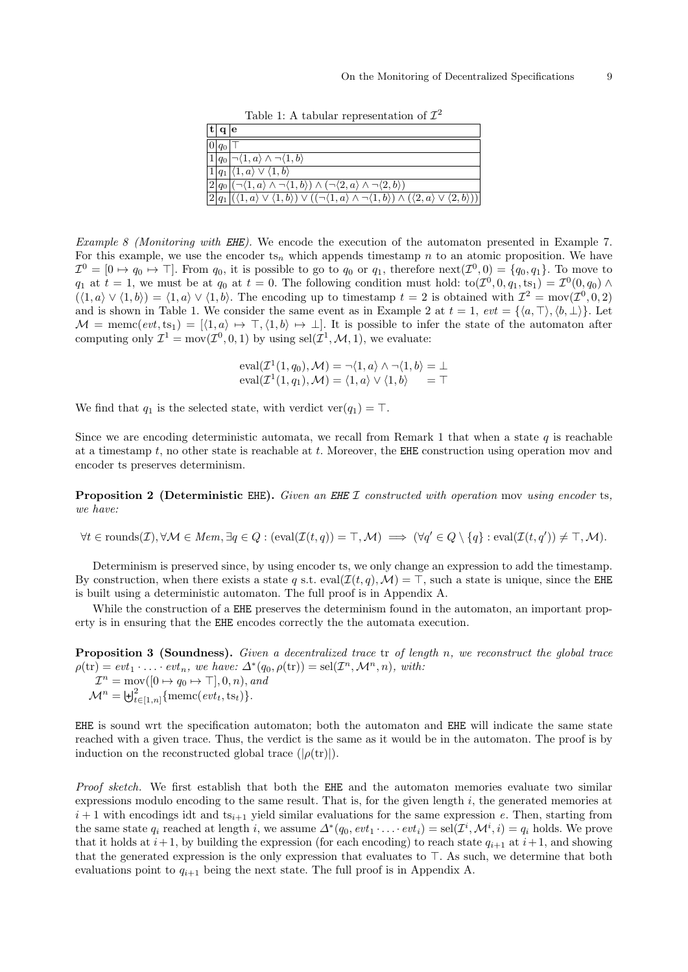Table 1: A tabular representation of  $\mathcal{I}^2$ 

<span id="page-8-1"></span>

| $ \mathbf{t}  \mathbf{q}   \mathbf{e}$ |                                                                                                                                                                           |
|----------------------------------------|---------------------------------------------------------------------------------------------------------------------------------------------------------------------------|
|                                        |                                                                                                                                                                           |
| $ 0 q_0 $ T                            |                                                                                                                                                                           |
|                                        | $\boxed{1 q_0  \neg \langle 1, a \rangle \land \neg \langle 1, b \rangle}$                                                                                                |
|                                        | $\boxed{1 q_1 \langle 1,a\rangle\vee\langle 1,b\rangle}$                                                                                                                  |
|                                        | $\boxed{2 q_0 (\neg \langle 1, a \rangle \land \neg \langle 1, b \rangle) \land (\neg \langle 2, a \rangle \land \neg \langle 2, b \rangle)}$                             |
|                                        | $ 2 q_1 (\langle 1,a\rangle \vee \langle 1,b\rangle) \vee ((\neg \langle 1,a\rangle \wedge \neg \langle 1,b\rangle) \wedge (\langle 2,a\rangle \vee \langle 2,b\rangle))$ |
|                                        |                                                                                                                                                                           |

Example 8 (Monitoring with EHE). We encode the execution of the automaton presented in Example [7.](#page-6-4) For this example, we use the encoder ts<sub>n</sub> which appends timestamp n to an atomic proposition. We have  $\mathcal{I}^0 = [0 \mapsto q_0 \mapsto \top]$ . From  $q_0$ , it is possible to go to  $q_0$  or  $q_1$ , therefore  $\text{next}(\mathcal{I}^0, 0) = \{q_0, q_1\}$ . To move to  $q_1$  at  $t = 1$ , we must be at  $q_0$  at  $t = 0$ . The following condition must hold:  $to(\mathcal{I}^0, 0, q_1, ts_1) = \mathcal{I}^0(0, q_0) \wedge$  $(\langle 1, a \rangle \vee \langle 1, b \rangle) = \langle 1, a \rangle \vee \langle 1, b \rangle$ . The encoding up to timestamp  $t = 2$  is obtained with  $\mathcal{I}^2 = \text{mov}(\mathcal{I}^0, 0, 2)$ and is shown in Table [1.](#page-8-1) We consider the same event as in Example [2](#page-4-2) at  $t = 1$ ,  $evt = \{\langle a, \top \rangle, \langle b, \bot \rangle\}$ . Let  $\mathcal{M} = \text{memc}(evt, ts_1) = [\langle 1, a \rangle \mapsto \top, \langle 1, b \rangle \mapsto \bot]$ . It is possible to infer the state of the automaton after computing only  $\mathcal{I}^1 = \text{mov}(\mathcal{I}^0, 0, 1)$  by using  $\text{sel}(\mathcal{I}^1, \mathcal{M}, 1)$ , we evaluate:

> $eval(\mathcal{I}^1(1,q_0),\mathcal{M}) = \neg \langle 1,a \rangle \land \neg \langle 1,b \rangle = \bot$  $eval(\mathcal{I}^1(1,q_1), \mathcal{M}) = \langle 1, a \rangle \vee \langle 1, b \rangle = \top$

We find that  $q_1$  is the selected state, with verdict ver $(q_1) = \top$ .

Since we are encoding deterministic automata, we recall from Remark [1](#page-6-5) that when a state q is reachable at a timestamp  $t$ , no other state is reachable at  $t$ . Moreover, the EHE construction using operation mov and encoder ts preserves determinism.

<span id="page-8-0"></span>Proposition 2 (Deterministic EHE). Given an EHE I constructed with operation mov using encoder ts, we have:

$$
\forall t \in \text{rounds}(\mathcal{I}), \forall \mathcal{M} \in \text{Mem}, \exists q \in Q : (\text{eval}(\mathcal{I}(t,q)) = \top, \mathcal{M}) \implies (\forall q' \in Q \setminus \{q\} : \text{eval}(\mathcal{I}(t,q')) \neq \top, \mathcal{M}).
$$

Determinism is preserved since, by using encoder ts, we only change an expression to add the timestamp. By construction, when there exists a state q s.t. eval( $\mathcal{I}(t, q)$ ,  $\mathcal{M}$ ) =  $\top$ , such a state is unique, since the EHE is built using a deterministic automaton. The full proof is in Appendix [A.](#page-32-0)

While the construction of a EHE preserves the determinism found in the automaton, an important property is in ensuring that the EHE encodes correctly the the automata execution.

<span id="page-8-2"></span>Proposition 3 (Soundness). Given a decentralized trace tr of length n, we reconstruct the global trace  $\rho(\text{tr}) = \text{evt}_1 \cdot \ldots \cdot \text{evt}_n$ , we have:  $\Delta^*(q_0, \rho(\text{tr})) = \text{sel}(\mathcal{I}^n, \mathcal{M}^n, n)$ , with:  $\mathcal{I}^n = \text{mov}([0 \mapsto q_0 \mapsto \top], 0, n),$  and  $\mathcal{M}^n = \biguplus_{t \in [1,n]}^2 \{\text{memc}(evt_t, \text{ts}_t)\}.$ 

EHE is sound wrt the specification automaton; both the automaton and EHE will indicate the same state reached with a given trace. Thus, the verdict is the same as it would be in the automaton. The proof is by induction on the reconstructed global trace  $(|\rho(\text{tr})|)$ .

Proof sketch. We first establish that both the EHE and the automaton memories evaluate two similar expressions modulo encoding to the same result. That is, for the given length  $i$ , the generated memories at  $i+1$  with encodings idt and  $ts_{i+1}$  yield similar evaluations for the same expression e. Then, starting from the same state  $q_i$  reached at length i, we assume  $\Delta^*(q_0, evt_1 \cdots evt_i) = sel(\mathcal{I}^i, \mathcal{M}^i, i) = q_i$  holds. We prove that it holds at  $i+1$ , by building the expression (for each encoding) to reach state  $q_{i+1}$  at  $i+1$ , and showing that the generated expression is the only expression that evaluates to  $\top$ . As such, we determine that both evaluations point to  $q_{i+1}$  being the next state. The full proof is in Appendix [A.](#page-32-0)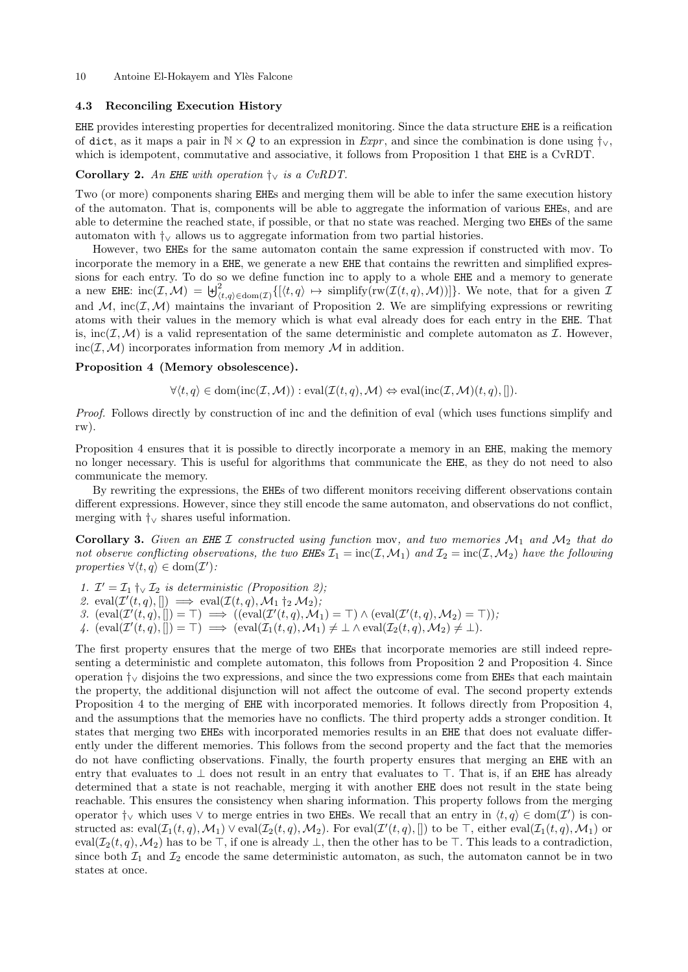10 Antoine El-Hokayem and Ylès Falcone

### <span id="page-9-0"></span>4.3 Reconciling Execution History

EHE provides interesting properties for decentralized monitoring. Since the data structure EHE is a reification of dict, as it maps a pair in  $N \times Q$  to an expression in Expr, and since the combination is done using  $\dagger_{\vee}$ , which is idempotent, commutative and associative, it follows from Proposition [1](#page-3-3) that EHE is a CvRDT.

### Corollary 2. An EHE with operation  $\dagger_{\vee}$  is a CvRDT.

Two (or more) components sharing EHEs and merging them will be able to infer the same execution history of the automaton. That is, components will be able to aggregate the information of various EHEs, and are able to determine the reached state, if possible, or that no state was reached. Merging two EHEs of the same automaton with  $\dagger$  allows us to aggregate information from two partial histories.

However, two EHEs for the same automaton contain the same expression if constructed with mov. To incorporate the memory in a EHE, we generate a new EHE that contains the rewritten and simplified expressions for each entry. To do so we define function inc to apply to a whole EHE and a memory to generate a new EHE:  $\text{inc}(\mathcal{I},\mathcal{M}) = \biguplus_{(t,q)\in\text{dom}(\mathcal{I})}^2 \{[\langle t,q \rangle \mapsto \text{simplify}(\text{rw}(\mathcal{I}(t,q),\mathcal{M}))]\}.$  We note, that for a given  $\mathcal{I}$ and  $M$ , inc $(\mathcal{I},\mathcal{M})$  maintains the invariant of Proposition [2.](#page-8-0) We are simplifying expressions or rewriting atoms with their values in the memory which is what eval already does for each entry in the EHE. That is, inc( $I, M$ ) is a valid representation of the same deterministic and complete automaton as  $I$ . However,  $inc(\mathcal{I}, \mathcal{M})$  incorporates information from memory  $\mathcal M$  in addition.

### Proposition 4 (Memory obsolescence).

<span id="page-9-1"></span> $\forall \langle t, q \rangle \in \text{dom}(\text{inc}(\mathcal{I},\mathcal{M})) : \text{eval}(\mathcal{I}(t,q),\mathcal{M}) \Leftrightarrow \text{eval}(\text{inc}(\mathcal{I},\mathcal{M})(t,q), \llbracket).$ 

Proof. Follows directly by construction of inc and the definition of eval (which uses functions simplify and rw).

Proposition [4](#page-9-1) ensures that it is possible to directly incorporate a memory in an EHE, making the memory no longer necessary. This is useful for algorithms that communicate the EHE, as they do not need to also communicate the memory.

By rewriting the expressions, the EHEs of two different monitors receiving different observations contain different expressions. However, since they still encode the same automaton, and observations do not conflict, merging with †<sup>∨</sup> shares useful information.

**Corollary 3.** Given an EHE I constructed using function mov, and two memories  $\mathcal{M}_1$  and  $\mathcal{M}_2$  that do not observe conflicting observations, the two EHEs  $\mathcal{I}_1 = \text{inc}(\mathcal{I}, \mathcal{M}_1)$  and  $\mathcal{I}_2 = \text{inc}(\mathcal{I}, \mathcal{M}_2)$  have the following properties  $\forall \langle t, q \rangle \in \text{dom}(\mathcal{I}').$ 

1.  $\mathcal{I}' = \mathcal{I}_1 \uparrow_{\vee} \mathcal{I}_2$  is deterministic (Proposition [2\)](#page-8-0);

2. eval $(\mathcal{I}'(t,q), []$   $\implies$  eval $(\mathcal{I}(t,q), \mathcal{M}_1 \dagger_2 \mathcal{M}_2)$ ;

3.  $(\text{eval}(\mathcal{I}'(t,q),[])=\top) \implies ((\text{eval}(\mathcal{I}'(t,q),\mathcal{M}_1)=\top) \wedge (\text{eval}(\mathcal{I}'(t,q),\mathcal{M}_2)=\top));$ 

4.  $(\text{eval}(\mathcal{I}'(t,q),))] = \top$   $\implies$   $(\text{eval}(\mathcal{I}_1(t,q),\mathcal{M}_1) \neq \bot \wedge \text{eval}(\mathcal{I}_2(t,q),\mathcal{M}_2) \neq \bot).$ 

The first property ensures that the merge of two EHEs that incorporate memories are still indeed representing a deterministic and complete automaton, this follows from Proposition [2](#page-8-0) and Proposition [4.](#page-9-1) Since operation †<sup>∨</sup> disjoins the two expressions, and since the two expressions come from EHEs that each maintain the property, the additional disjunction will not affect the outcome of eval. The second property extends Proposition [4](#page-9-1) to the merging of EHE with incorporated memories. It follows directly from Proposition [4,](#page-9-1) and the assumptions that the memories have no conflicts. The third property adds a stronger condition. It states that merging two EHEs with incorporated memories results in an EHE that does not evaluate differently under the different memories. This follows from the second property and the fact that the memories do not have conflicting observations. Finally, the fourth property ensures that merging an EHE with an entry that evaluates to  $\perp$  does not result in an entry that evaluates to  $\top$ . That is, if an EHE has already determined that a state is not reachable, merging it with another EHE does not result in the state being reachable. This ensures the consistency when sharing information. This property follows from the merging operator  $\dagger_{\vee}$  which uses  $\vee$  to merge entries in two EHEs. We recall that an entry in  $\langle t, q \rangle \in \text{dom}(\mathcal{I}')$  is constructed as:  $eval(\mathcal{I}_1(t,q),\mathcal{M}_1) \vee eval(\mathcal{I}_2(t,q),\mathcal{M}_2)$ . For  $eval(\mathcal{I}'(t,q),[]$  to be  $\top$ , either  $eval(\mathcal{I}_1(t,q),\mathcal{M}_1)$  or eval $(\mathcal{I}_2(t, q), \mathcal{M}_2)$  has to be  $\top$ , if one is already  $\bot$ , then the other has to be  $\top$ . This leads to a contradiction, since both  $\mathcal{I}_1$  and  $\mathcal{I}_2$  encode the same deterministic automaton, as such, the automaton cannot be in two states at once.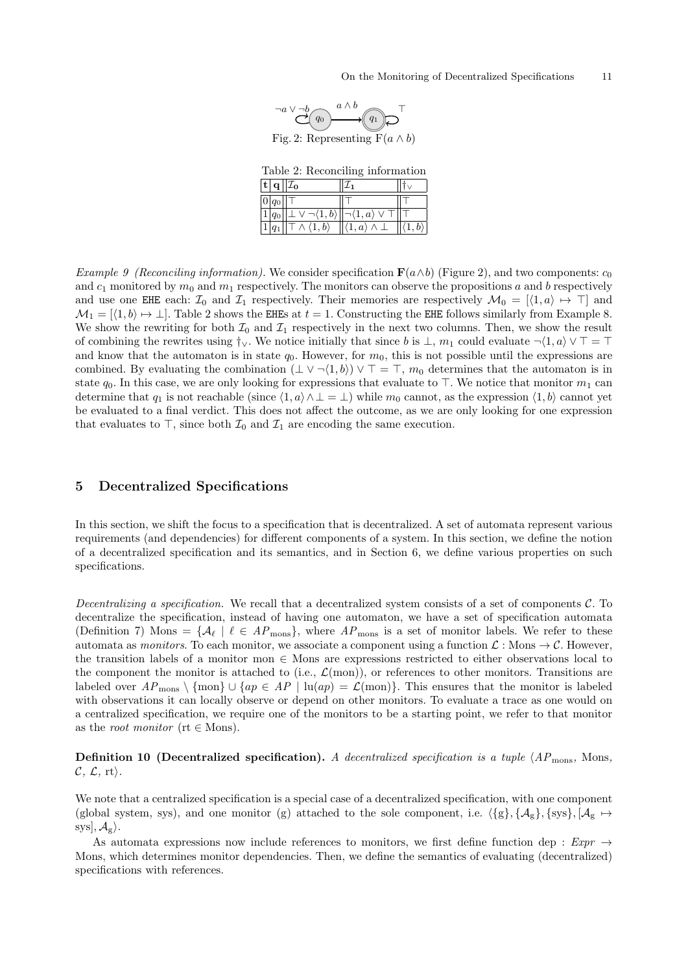

Fig. 2: Representing  $F(a \wedge b)$ 

Table 2: Reconciling information

|               | $ \mathbf{t}  \mathbf{q}  \mathcal{I}_0$ |                                           |  |
|---------------|------------------------------------------|-------------------------------------------|--|
| $ 0 q_0 $     |                                          |                                           |  |
| $\sqrt{1}q_0$ | $\sqrt{-1,b}\rangle$                     | $\overline{\lnot}\langle 1,a\rangle \vee$ |  |
|               | $\top \wedge \langle 1,b \rangle$        | $\ket{\langle 1, a \rangle \wedge \bot}$  |  |

<span id="page-10-2"></span><span id="page-10-1"></span>Example 9 (Reconciling information). We consider specification  $\mathbf{F}(a \wedge b)$  (Figure [2\)](#page-10-1), and two components:  $c_0$ and  $c_1$  monitored by  $m_0$  and  $m_1$  respectively. The monitors can observe the propositions a and b respectively and use one EHE each:  $\mathcal{I}_0$  and  $\mathcal{I}_1$  respectively. Their memories are respectively  $\mathcal{M}_0 = [\langle 1, a \rangle \mapsto \top]$  and  $\mathcal{M}_1 = [\langle 1, b \rangle \mapsto \bot]$ . Table [2](#page-10-2) shows the EHEs at  $t = 1$ . Constructing the EHE follows similarly from Example [8.](#page-7-1) We show the rewriting for both  $\mathcal{I}_0$  and  $\mathcal{I}_1$  respectively in the next two columns. Then, we show the result of combining the rewrites using  $\dagger_{\vee}$ . We notice initially that since b is  $\bot$ ,  $m_1$  could evaluate  $\neg \langle 1, a \rangle \vee \top = \top$ and know that the automaton is in state  $q_0$ . However, for  $m_0$ , this is not possible until the expressions are combined. By evaluating the combination  $(\perp \vee \neg \langle 1, b \rangle) \vee \top = \top$ ,  $m_0$  determines that the automaton is in state  $q_0$ . In this case, we are only looking for expressions that evaluate to  $\top$ . We notice that monitor  $m_1$  can determine that  $q_1$  is not reachable (since  $\langle 1, a \rangle \wedge \bot = \bot$ ) while  $m_0$  cannot, as the expression  $\langle 1, b \rangle$  cannot yet be evaluated to a final verdict. This does not affect the outcome, as we are only looking for one expression that evaluates to  $\top$ , since both  $\mathcal{I}_0$  and  $\mathcal{I}_1$  are encoding the same execution.

# <span id="page-10-0"></span>5 Decentralized Specifications

In this section, we shift the focus to a specification that is decentralized. A set of automata represent various requirements (and dependencies) for different components of a system. In this section, we define the notion of a decentralized specification and its semantics, and in Section [6,](#page-12-0) we define various properties on such specifications.

Decentralizing a specification. We recall that a decentralized system consists of a set of components  $\mathcal{C}$ . To decentralize the specification, instead of having one automaton, we have a set of specification automata (Definition [7\)](#page-6-6) Mons =  $\{\mathcal{A}_{\ell} \mid \ell \in AP_{\text{mons}}\}$ , where  $AP_{\text{mons}}$  is a set of monitor labels. We refer to these automata as monitors. To each monitor, we associate a component using a function  $\mathcal{L}:$  Mons  $\rightarrow \mathcal{C}$ . However, the transition labels of a monitor mon ∈ Mons are expressions restricted to either observations local to the component the monitor is attached to (i.e.,  $\mathcal{L}(mon)$ ), or references to other monitors. Transitions are labeled over  $AP_{\text{mons}} \setminus \{\text{mon}\} \cup \{ap \in AP \mid \text{lu}(ap) = \mathcal{L}(\text{mon})\}.$  This ensures that the monitor is labeled with observations it can locally observe or depend on other monitors. To evaluate a trace as one would on a centralized specification, we require one of the monitors to be a starting point, we refer to that monitor as the *root monitor* ( $rt \in \text{Mons}$ ).

**Definition 10 (Decentralized specification).** A decentralized specification is a tuple  $\langle AP_{\text{mons}}$ , Mons,  $\mathcal{C}, \mathcal{L}, \text{rt}.$ 

We note that a centralized specification is a special case of a decentralized specification, with one component (global system, sys), and one monitor (g) attached to the sole component, i.e.  $\{g\}, {\mathcal{A}_g}, \{sys\}, {\mathcal{A}_g \mapsto}$  $sys, \mathcal{A}_{g}$ .

As automata expressions now include references to monitors, we first define function dep :  $Expr \rightarrow$ Mons, which determines monitor dependencies. Then, we define the semantics of evaluating (decentralized) specifications with references.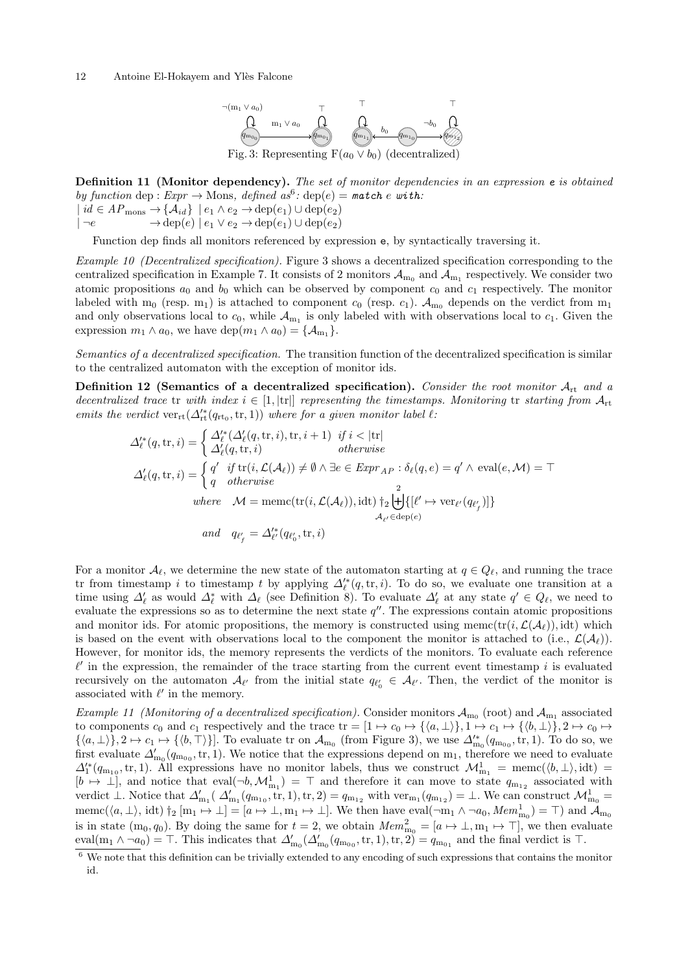### <span id="page-11-1"></span>12 Antoine El-Hokayem and Ylès Falcone



Definition 11 (Monitor dependency). The set of monitor dependencies in an expression e is obtained by function dep:  $Expr \to \text{Mons}, \ defined \ as^6: \ \text{dep}(e) = \text{match} \ e \ with:$  $Expr \to \text{Mons}, \ defined \ as^6: \ \text{dep}(e) = \text{match} \ e \ with:$  $Expr \to \text{Mons}, \ defined \ as^6: \ \text{dep}(e) = \text{match} \ e \ with:$ 

 $\{id \in AP_{\text{mons}} \rightarrow \{A_{id}\} \mid e_1 \wedge e_2 \rightarrow \text{dep}(e_1) \cup \text{dep}(e_2)\}$  $\vert \neg e \rightarrow \text{dep}(e) \vert e_1 \vee e_2 \rightarrow \text{dep}(e_1) \cup \text{dep}(e_2)$ 

Function dep finds all monitors referenced by expression e, by syntactically traversing it.

Example 10 (Decentralized specification). Figure [3](#page-11-1) shows a decentralized specification corresponding to the centralized specification in Example [7.](#page-6-4) It consists of 2 monitors  $\mathcal{A}_{m_0}$  and  $\mathcal{A}_{m_1}$  respectively. We consider two atomic propositions  $a_0$  and  $b_0$  which can be observed by component  $c_0$  and  $c_1$  respectively. The monitor labeled with m<sub>0</sub> (resp. m<sub>1</sub>) is attached to component  $c_0$  (resp.  $c_1$ ).  $\mathcal{A}_{m_0}$  depends on the verdict from m<sub>1</sub> and only observations local to  $c_0$ , while  $\mathcal{A}_{m_1}$  is only labeled with with observations local to  $c_1$ . Given the expression  $m_1 \wedge a_0$ , we have dep $(m_1 \wedge a_0) = {\mathcal{A}_{m_1}}$ .

Semantics of a decentralized specification. The transition function of the decentralized specification is similar to the centralized automaton with the exception of monitor ids.

Definition 12 (Semantics of a decentralized specification). Consider the root monitor  $A_{\rm rt}$  and a decentralized trace tr with index  $i \in [1, |\text{tr}|]$  representing the timestamps. Monitoring tr starting from  $\mathcal{A}_{\text{rt}}$ emits the verdict  $ver_{rt}(\Delta'_{rt}(q_{rt_0}, tr, 1))$  where for a given monitor label  $\ell$ :

<span id="page-11-2"></span>
$$
\Delta_{\ell}^{\prime*}(q, \text{tr}, i) = \begin{cases}\n\Delta_{\ell}^{\prime*}(\Delta_{\ell}^{\prime}(q, \text{tr}, i), \text{tr}, i + 1) & \text{if } i < |\text{tr}| \\
\Delta_{\ell}^{\prime}(q, \text{tr}, i) & \text{otherwise}\n\end{cases}
$$
\n
$$
\Delta_{\ell}^{\prime}(q, \text{tr}, i) = \begin{cases}\nq' & \text{if } \text{tr}(i, \mathcal{L}(\mathcal{A}_{\ell})) \neq \emptyset \land \exists e \in \text{Ezpr}_{AP} : \delta_{\ell}(q, e) = q' \land \text{ eval}(e, \mathcal{M}) = \top \\
q & \text{otherwise}\n\end{cases}
$$
\n
$$
\text{where} \quad \mathcal{M} = \text{memc}(\text{tr}(i, \mathcal{L}(\mathcal{A}_{\ell})), \text{id}) \dagger_{2} \biguplus_{\mathcal{A}_{\ell}^{\prime} \in \text{dep}(e)}^{2} \{\llbracket \ell' \mapsto \text{ver}_{\ell^{\prime}}(q_{\ell^{\prime}_{f}}) \rrbracket\}
$$
\n
$$
\text{and} \quad q_{\ell^{\prime}_{f}} = \Delta_{\ell^{\prime}}^{\prime*}(q_{\ell^{\prime}_{0}}, \text{tr}, i)
$$

For a monitor  $\mathcal{A}_{\ell}$ , we determine the new state of the automaton starting at  $q \in Q_{\ell}$ , and running the trace tr from timestamp i to timestamp t by applying  $\Delta_{\ell}^{i*}(q, \text{tr}, i)$ . To do so, we evaluate one transition at a time using  $\Delta'_\ell$  as would  $\Delta^*_\ell$  with  $\Delta_\ell$  (see Definition [8\)](#page-6-7). To evaluate  $\Delta'_\ell$  at any state  $q' \in Q_\ell$ , we need to evaluate the expressions so as to determine the next state  $q''$ . The expressions contain atomic propositions and monitor ids. For atomic propositions, the memory is constructed using memc( $tr(i,\mathcal{L}(\mathcal{A}_{\ell}))$ , idt) which is based on the event with observations local to the component the monitor is attached to (i.e.,  $\mathcal{L}(\mathcal{A}_{\ell})$ ). However, for monitor ids, the memory represents the verdicts of the monitors. To evaluate each reference  $\ell'$  in the expression, the remainder of the trace starting from the current event timestamp i is evaluated recursively on the automaton  $\mathcal{A}_{\ell'}$  from the initial state  $q_{\ell'_0} \in \mathcal{A}_{\ell'}$ . Then, the verdict of the monitor is associated with  $\ell'$  in the memory.

Example 11 (Monitoring of a decentralized specification). Consider monitors  $A_{m_0}$  (root) and  $A_{m_1}$  associated to components  $c_0$  and  $c_1$  respectively and the trace tr =  $[1 \mapsto c_0 \mapsto {\{\langle a, \perp \rangle\}}, 1 \mapsto c_1 \mapsto {\{\langle b, \perp \rangle\}}, 2 \mapsto c_0 \mapsto$  $\{\langle a,\perp\rangle\},2\mapsto c_1\mapsto \{\langle b,\perp\rangle\}$ . To evaluate tr on  $\mathcal{A}_{m_0}$  (from Figure [3\)](#page-11-1), we use  $\Delta_{m_0}^{\prime\ast}(q_{m_{00}},\text{tr},1)$ . To do so, we first evaluate  $\Delta'_{m_0}(q_{m_0}, \text{tr}, 1)$ . We notice that the expressions depend on  $m_1$ , therefore we need to evaluate  $\Delta_1^{k}(q_{m_1, t}; t; 1)$ . All expressions have no monitor labels, thus we construct  $\mathcal{M}_{m_1}^1 = \text{memc}(\langle b, \perp \rangle, \text{idt}) =$  $[b \mapsto \perp]$ , and notice that eval $(\neg b, \mathcal{M}_{m_1}^1) = \top$  and therefore it can move to state  $q_{m_1}$  associated with verdict  $\perp$ . Notice that  $\Delta'_{m_1}(\Delta'_{m_1}(q_{m_10},\text{tr},1),\text{tr},2) = q_{m_1}$  with ver $_{m_1}(q_{m_12}) = \perp$ . We can construct  $\mathcal{M}_{m_0}^1$  = memc( $\langle a, \perp \rangle$ , idt)  $\dagger_2$  [m<sub>1</sub>  $\mapsto \perp$ ] = [ $a \mapsto \perp, m_1 \mapsto \perp$ ]. We then have eval(¬m<sub>1</sub> ∧ ¬a<sub>0</sub>, Mem<sub>m<sub>0</sub></sub>) = ⊤) and  $\mathcal{A}_{m_0}$ is in state  $(m_0, q_0)$ . By doing the same for  $t = 2$ , we obtain  $Mem_{m_0}^2 = [a \mapsto \bot, m_1 \mapsto \top]$ , we then evaluate eval $(m_1 \wedge \neg a_0) = \top$ . This indicates that  $\Delta'_{m_0}(\Delta'_{m_0}(q_{m_{00}}, \text{tr}, 1), \text{tr}, 2) = q_{m_{01}}$  and the final verdict is  $\top$ .

<span id="page-11-0"></span> $6\,$  We note that this definition can be trivially extended to any encoding of such expressions that contains the monitor id.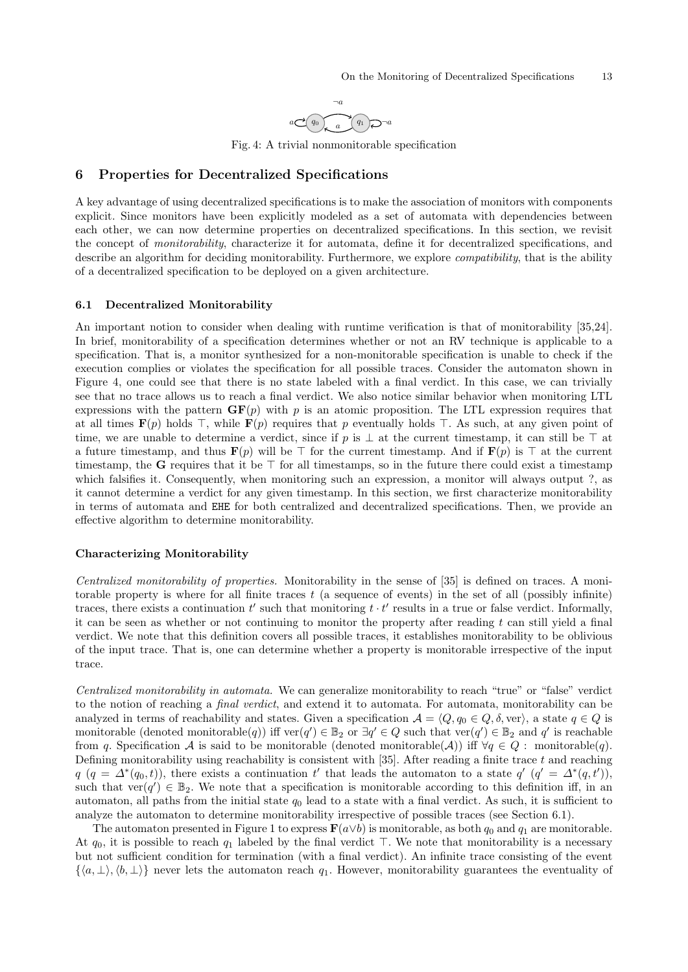

Fig. 4: A trivial nonmonitorable specification

# <span id="page-12-1"></span><span id="page-12-0"></span>6 Properties for Decentralized Specifications

A key advantage of using decentralized specifications is to make the association of monitors with components explicit. Since monitors have been explicitly modeled as a set of automata with dependencies between each other, we can now determine properties on decentralized specifications. In this section, we revisit the concept of *monitorability*, characterize it for automata, define it for decentralized specifications, and describe an algorithm for deciding monitorability. Furthermore, we explore *compatibility*, that is the ability of a decentralized specification to be deployed on a given architecture.

### <span id="page-12-2"></span>6.1 Decentralized Monitorability

An important notion to consider when dealing with runtime verification is that of monitorability [\[35,](#page-31-6)[24\]](#page-31-14). In brief, monitorability of a specification determines whether or not an RV technique is applicable to a specification. That is, a monitor synthesized for a non-monitorable specification is unable to check if the execution complies or violates the specification for all possible traces. Consider the automaton shown in Figure [4,](#page-12-1) one could see that there is no state labeled with a final verdict. In this case, we can trivially see that no trace allows us to reach a final verdict. We also notice similar behavior when monitoring LTL expressions with the pattern  $GF(p)$  with p is an atomic proposition. The LTL expression requires that at all times  $\mathbf{F}(p)$  holds  $\top$ , while  $\mathbf{F}(p)$  requires that p eventually holds  $\top$ . As such, at any given point of time, we are unable to determine a verdict, since if p is  $\perp$  at the current timestamp, it can still be  $\top$  at a future timestamp, and thus  $F(p)$  will be  $\top$  for the current timestamp. And if  $F(p)$  is  $\top$  at the current timestamp, the G requires that it be  $\top$  for all timestamps, so in the future there could exist a timestamp which falsifies it. Consequently, when monitoring such an expression, a monitor will always output ?, as it cannot determine a verdict for any given timestamp. In this section, we first characterize monitorability in terms of automata and EHE for both centralized and decentralized specifications. Then, we provide an effective algorithm to determine monitorability.

### Characterizing Monitorability

Centralized monitorability of properties. Monitorability in the sense of [\[35\]](#page-31-6) is defined on traces. A monitorable property is where for all finite traces t (a sequence of events) in the set of all (possibly infinite) traces, there exists a continuation  $t'$  such that monitoring  $t \cdot t'$  results in a true or false verdict. Informally, it can be seen as whether or not continuing to monitor the property after reading  $t$  can still yield a final verdict. We note that this definition covers all possible traces, it establishes monitorability to be oblivious of the input trace. That is, one can determine whether a property is monitorable irrespective of the input trace.

Centralized monitorability in automata. We can generalize monitorability to reach "true" or "false" verdict to the notion of reaching a *final verdict*, and extend it to automata. For automata, monitorability can be analyzed in terms of reachability and states. Given a specification  $A = \langle Q, q_0 \in Q, \delta, \text{ver} \rangle$ , a state  $q \in Q$  is monitorable (denoted monitorable $(q)$ ) iff ver $(q') \in \mathbb{B}_2$  or  $\exists q' \in Q$  such that ver $(q') \in \mathbb{B}_2$  and  $q'$  is reachable from q. Specification A is said to be monitorable (denoted monitorable(A)) iff  $\forall q \in Q$ : monitorable(q). Defining monitorability using reachability is consistent with  $[35]$ . After reading a finite trace  $t$  and reaching  $q$   $(q = \Delta^*(q_0, t))$ , there exists a continuation t' that leads the automaton to a state  $q'$   $(q' = \Delta^*(q, t'))$ , such that  $ver(q') \in \mathbb{B}_2$ . We note that a specification is monitorable according to this definition iff, in an automaton, all paths from the initial state  $q_0$  lead to a state with a final verdict. As such, it is sufficient to analyze the automaton to determine monitorability irrespective of possible traces (see Section [6.1\)](#page-13-0).

The automaton presented in Figure [1](#page-6-3) to express  $\mathbf{F}(a \vee b)$  is monitorable, as both  $q_0$  and  $q_1$  are monitorable. At  $q_0$ , it is possible to reach  $q_1$  labeled by the final verdict  $\top$ . We note that monitorability is a necessary but not sufficient condition for termination (with a final verdict). An infinite trace consisting of the event  $\{\langle a, \perp \rangle, \langle b, \perp \rangle\}$  never lets the automaton reach  $q_1$ . However, monitorability guarantees the eventuality of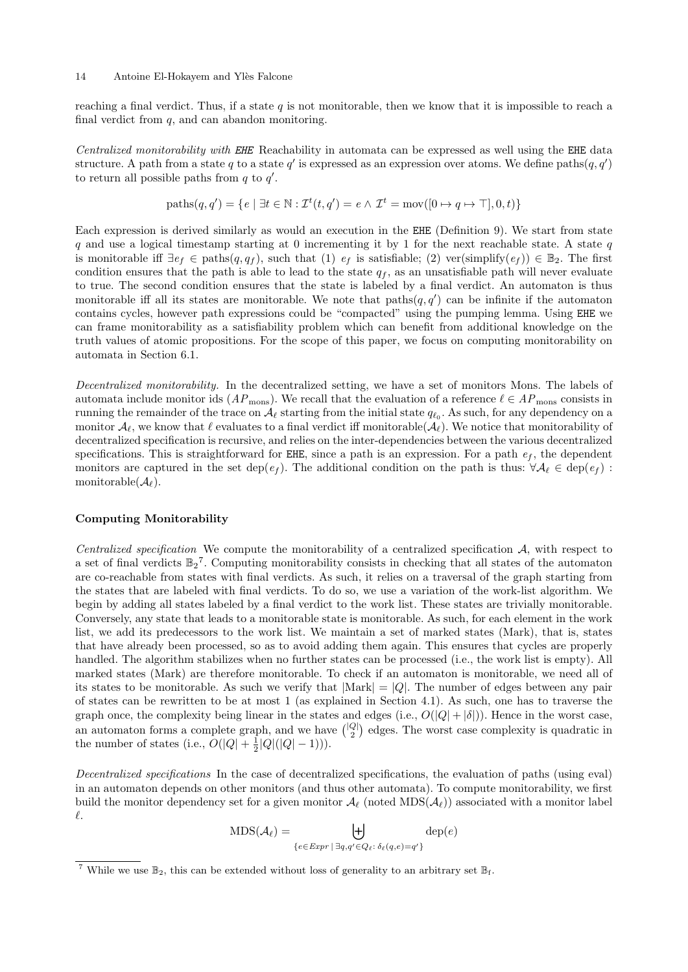reaching a final verdict. Thus, if a state  $q$  is not monitorable, then we know that it is impossible to reach a final verdict from  $q$ , and can abandon monitoring.

Centralized monitorability with EHE Reachability in automata can be expressed as well using the EHE data structure. A path from a state q to a state q' is expressed as an expression over atoms. We define paths $(q, q')$ to return all possible paths from  $q$  to  $q'$ .

$$
paths(q, q') = \{ e \mid \exists t \in \mathbb{N} : \mathcal{I}^t(t, q') = e \land \mathcal{I}^t = \text{mov}([0 \mapsto q \mapsto \top], 0, t) \}
$$

Each expression is derived similarly as would an execution in the EHE (Definition [9\)](#page-7-2). We start from state q and use a logical timestamp starting at 0 incrementing it by 1 for the next reachable state. A state  $q$ is monitorable iff  $\exists e_f \in \text{paths}(q, q_f)$ , such that (1)  $e_f$  is satisfiable; (2) ver(simplify( $e_f$ ))  $\in \mathbb{B}_2$ . The first condition ensures that the path is able to lead to the state  $q_f$ , as an unsatisfiable path will never evaluate to true. The second condition ensures that the state is labeled by a final verdict. An automaton is thus monitorable iff all its states are monitorable. We note that  $\text{paths}(q, q')$  can be infinite if the automaton contains cycles, however path expressions could be "compacted" using the pumping lemma. Using EHE we can frame monitorability as a satisfiability problem which can benefit from additional knowledge on the truth values of atomic propositions. For the scope of this paper, we focus on computing monitorability on automata in Section [6.1.](#page-13-0)

Decentralized monitorability. In the decentralized setting, we have a set of monitors Mons. The labels of automata include monitor ids  $(AP_{\text{mons}})$ . We recall that the evaluation of a reference  $\ell \in AP_{\text{mons}}$  consists in running the remainder of the trace on  $\mathcal{A}_\ell$  starting from the initial state  $q_{\ell_0}$ . As such, for any dependency on a monitor  $\mathcal{A}_{\ell}$ , we know that  $\ell$  evaluates to a final verdict iff monitorable( $\mathcal{A}_{\ell}$ ). We notice that monitorability of decentralized specification is recursive, and relies on the inter-dependencies between the various decentralized specifications. This is straightforward for EHE, since a path is an expression. For a path  $e_f$ , the dependent monitors are captured in the set dep( $e_f$ ). The additional condition on the path is thus:  $\forall A_\ell \in \text{dep}(e_f)$ : monitorable( $\mathcal{A}_{\ell}$ ).

### <span id="page-13-0"></span>Computing Monitorability

Centralized specification We compute the monitorability of a centralized specification  $A$ , with respect to a set of final verdicts  $\mathbb{B}_2^7$  $\mathbb{B}_2^7$ . Computing monitorability consists in checking that all states of the automaton are co-reachable from states with final verdicts. As such, it relies on a traversal of the graph starting from the states that are labeled with final verdicts. To do so, we use a variation of the work-list algorithm. We begin by adding all states labeled by a final verdict to the work list. These states are trivially monitorable. Conversely, any state that leads to a monitorable state is monitorable. As such, for each element in the work list, we add its predecessors to the work list. We maintain a set of marked states (Mark), that is, states that have already been processed, so as to avoid adding them again. This ensures that cycles are properly handled. The algorithm stabilizes when no further states can be processed (i.e., the work list is empty). All marked states (Mark) are therefore monitorable. To check if an automaton is monitorable, we need all of its states to be monitorable. As such we verify that  $|Mark| = |Q|$ . The number of edges between any pair of states can be rewritten to be at most 1 (as explained in Section [4.1\)](#page-6-0). As such, one has to traverse the graph once, the complexity being linear in the states and edges (i.e.,  $O(|Q| + |\delta|)$ ). Hence in the worst case, an automaton forms a complete graph, and we have  $\binom{|Q|}{2}$  edges. The worst case complexity is quadratic in the number of states (i.e.,  $O(|Q| + \frac{1}{2}|Q|(|Q| - 1))$ ).

Decentralized specifications In the case of decentralized specifications, the evaluation of paths (using eval) in an automaton depends on other monitors (and thus other automata). To compute monitorability, we first build the monitor dependency set for a given monitor  $\mathcal{A}_{\ell}$  (noted MDS( $\mathcal{A}_{\ell}$ )) associated with a monitor label  $\ell$ .

$$
MDS(\mathcal{A}_{\ell}) = \biguplus_{\{e \in \text{Expr} \mid \exists q, q' \in Q_{\ell}: \delta_{\ell}(q,e) = q'\}} \text{dep}(e)
$$

<span id="page-13-1"></span><sup>&</sup>lt;sup>7</sup> While we use  $\mathbb{B}_2$ , this can be extended without loss of generality to an arbitrary set  $\mathbb{B}_f$ .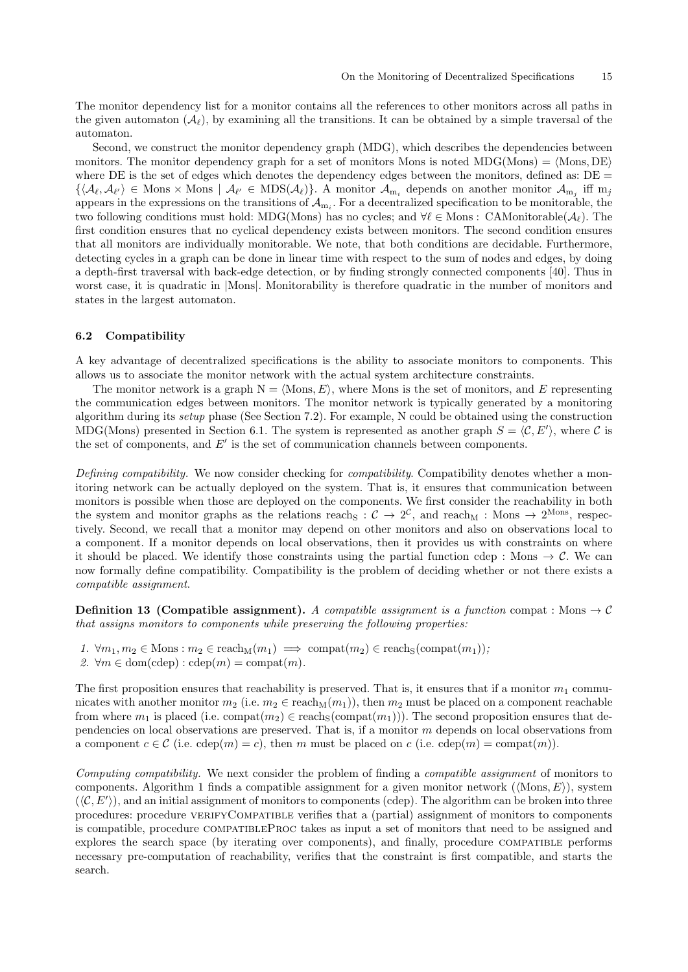The monitor dependency list for a monitor contains all the references to other monitors across all paths in the given automaton  $(\mathcal{A}_{\ell})$ , by examining all the transitions. It can be obtained by a simple traversal of the automaton.

Second, we construct the monitor dependency graph (MDG), which describes the dependencies between monitors. The monitor dependency graph for a set of monitors Mons is noted MDG(Mons) =  $\langle$ Mons, DE $\rangle$ where DE is the set of edges which denotes the dependency edges between the monitors, defined as:  $DE =$  $\{\langle \mathcal{A}_{\ell}, \mathcal{A}_{\ell'}\rangle \in \text{Mons} \times \text{Mons} \mid \mathcal{A}_{\ell'} \in \text{MDS}(\mathcal{A}_{\ell})\}.$  A monitor  $\mathcal{A}_{m_i}$  depends on another monitor  $\mathcal{A}_{m_j}$  iff  $m_j$ appears in the expressions on the transitions of  $\mathcal{A}_{m_i}$ . For a decentralized specification to be monitorable, the two following conditions must hold: MDG(Mons) has no cycles; and  $\forall \ell \in \text{Mons} : \text{CAMointorable}(\mathcal{A}_{\ell}).$  The first condition ensures that no cyclical dependency exists between monitors. The second condition ensures that all monitors are individually monitorable. We note, that both conditions are decidable. Furthermore, detecting cycles in a graph can be done in linear time with respect to the sum of nodes and edges, by doing a depth-first traversal with back-edge detection, or by finding strongly connected components [\[40\]](#page-31-15). Thus in worst case, it is quadratic in |Mons|. Monitorability is therefore quadratic in the number of monitors and states in the largest automaton.

### <span id="page-14-1"></span>6.2 Compatibility

A key advantage of decentralized specifications is the ability to associate monitors to components. This allows us to associate the monitor network with the actual system architecture constraints.

The monitor network is a graph  $N = \langle Mons, E \rangle$ , where Mons is the set of monitors, and E representing the communication edges between monitors. The monitor network is typically generated by a monitoring algorithm during its setup phase (See Section [7.2\)](#page-17-0). For example, N could be obtained using the construction MDG(Mons) presented in Section [6.1.](#page-13-0) The system is represented as another graph  $S = \langle C, E' \rangle$ , where C is the set of components, and  $E'$  is the set of communication channels between components.

Defining compatibility. We now consider checking for *compatibility*. Compatibility denotes whether a monitoring network can be actually deployed on the system. That is, it ensures that communication between monitors is possible when those are deployed on the components. We first consider the reachability in both the system and monitor graphs as the relations reach<sub>S</sub> :  $C \to 2^C$ , and reach<sub>M</sub> : Mons  $\to 2^{Mons}$ , respectively. Second, we recall that a monitor may depend on other monitors and also on observations local to a component. If a monitor depends on local observations, then it provides us with constraints on where it should be placed. We identify those constraints using the partial function cdep : Mons  $\rightarrow \mathcal{C}$ . We can now formally define compatibility. Compatibility is the problem of deciding whether or not there exists a compatible assignment.

<span id="page-14-0"></span>**Definition 13 (Compatible assignment).** A compatible assignment is a function compat : Mons  $\rightarrow$  C that assigns monitors to components while preserving the following properties:

- 1.  $\forall m_1, m_2 \in \text{Mons} : m_2 \in \text{reach}_M(m_1) \implies \text{compact}(m_2) \in \text{reach}_S(\text{compact}(m_1));$
- 2.  $\forall m \in \text{dom}(\text{cdep}) : \text{cdep}(m) = \text{compact}(m)$ .

The first proposition ensures that reachability is preserved. That is, it ensures that if a monitor  $m_1$  communicates with another monitor  $m_2$  (i.e.  $m_2 \in \text{reach}_M(m_1)$ ), then  $m_2$  must be placed on a component reachable from where  $m_1$  is placed (i.e. compat $(m_2) \in \text{reach}_S(\text{compact}(m_1))$ ). The second proposition ensures that dependencies on local observations are preserved. That is, if a monitor m depends on local observations from a component  $c \in \mathcal{C}$  (i.e.  $\text{cdep}(m) = c$ ), then m must be placed on c (i.e.  $\text{cdep}(m) = \text{compact}(m)$ ).

Computing compatibility. We next consider the problem of finding a compatible assignment of monitors to components. Algorithm [1](#page-16-0) finds a compatible assignment for a given monitor network ( $\langle$ Mons, E $\rangle$ ), system  $(\langle C, E' \rangle)$ , and an initial assignment of monitors to components (cdep). The algorithm can be broken into three procedures: procedure VERIFYCOMPATIBLE verifies that a (partial) assignment of monitors to components is compatible, procedure compatibleProc takes as input a set of monitors that need to be assigned and explores the search space (by iterating over components), and finally, procedure COMPATIBLE performs necessary pre-computation of reachability, verifies that the constraint is first compatible, and starts the search.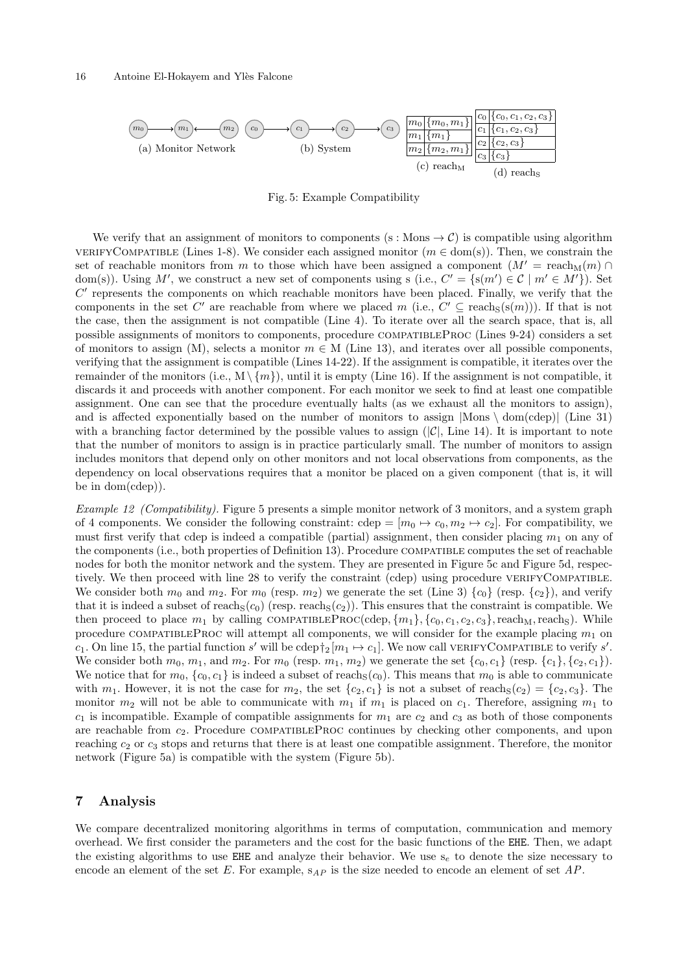<span id="page-15-4"></span><span id="page-15-1"></span>

<span id="page-15-5"></span><span id="page-15-3"></span><span id="page-15-2"></span>Fig. 5: Example Compatibility

We verify that an assignment of monitors to components (s : Mons  $\rightarrow$  C) is compatible using algorithm VERIFYCOMPATIBLE (Lines 1-8). We consider each assigned monitor ( $m \in \text{dom(s)}$ ). Then, we constrain the set of reachable monitors from m to those which have been assigned a component  $(M' = \text{reach}_M(m) \cap$ dom(s)). Using M', we construct a new set of components using s (i.e.,  $C' = \{s(m') \in C \mid m' \in M'\}$ ). Set  $C'$  represents the components on which reachable monitors have been placed. Finally, we verify that the components in the set C' are reachable from where we placed m (i.e.,  $C' \subseteq \text{reach}_S(s(m))$ ). If that is not the case, then the assignment is not compatible (Line 4). To iterate over all the search space, that is, all possible assignments of monitors to components, procedure COMPATIBLEPROC (Lines 9-24) considers a set of monitors to assign (M), selects a monitor  $m \in M$  (Line 13), and iterates over all possible components, verifying that the assignment is compatible (Lines 14-22). If the assignment is compatible, it iterates over the remainder of the monitors (i.e.,  $M \setminus \{m\}$ ), until it is empty (Line 16). If the assignment is not compatible, it discards it and proceeds with another component. For each monitor we seek to find at least one compatible assignment. One can see that the procedure eventually halts (as we exhaust all the monitors to assign), and is affected exponentially based on the number of monitors to assign  $|\text{Mons} \setminus \text{dom}(\text{cdep})|$  (Line 31) with a branching factor determined by the possible values to assign  $(|\mathcal{C}|, \text{Line } 14)$ . It is important to note that the number of monitors to assign is in practice particularly small. The number of monitors to assign includes monitors that depend only on other monitors and not local observations from components, as the dependency on local observations requires that a monitor be placed on a given component (that is, it will be in dom(cdep)).

Example 12 (Compatibility). Figure [5](#page-15-1) presents a simple monitor network of 3 monitors, and a system graph of 4 components. We consider the following constraint: cdep =  $[m_0 \mapsto c_0, m_2 \mapsto c_2]$ . For compatibility, we must first verify that cdep is indeed a compatible (partial) assignment, then consider placing  $m_1$  on any of the components (i.e., both properties of Definition [13\)](#page-14-0). Procedure compatible computes the set of reachable nodes for both the monitor network and the system. They are presented in Figure [5c](#page-15-2) and Figure [5d,](#page-15-3) respectively. We then proceed with line 28 to verify the constraint (cdep) using procedure VERIFYCOMPATIBLE. We consider both  $m_0$  and  $m_2$ . For  $m_0$  (resp.  $m_2$ ) we generate the set (Line 3)  $\{c_0\}$  (resp.  $\{c_2\}$ ), and verify that it is indeed a subset of reach $S(c_0)$  (resp. reach $S(c_2)$ ). This ensures that the constraint is compatible. We then proceed to place  $m_1$  by calling COMPATIBLEPROC(cdep,  $\{m_1\}$ ,  $\{c_0, c_1, c_2, c_3\}$ , reach<sub>M</sub>, reach<sub>S</sub>). While procedure COMPATIBLEPROC will attempt all components, we will consider for the example placing  $m_1$  on c<sub>1</sub>. On line 15, the partial function s' will be cdep  $\dagger_2[m_1 \mapsto c_1]$ . We now call VERIFYCOMPATIBLE to verify s'. We consider both  $m_0$ ,  $m_1$ , and  $m_2$ . For  $m_0$  (resp.  $m_1$ ,  $m_2$ ) we generate the set  $\{c_0, c_1\}$  (resp.  $\{c_1\}$ ,  $\{c_2, c_1\}$ ). We notice that for  $m_0$ ,  $\{c_0, c_1\}$  is indeed a subset of reach<sub>S</sub>(c<sub>0</sub>). This means that  $m_0$  is able to communicate with  $m_1$ . However, it is not the case for  $m_2$ , the set  $\{c_2, c_1\}$  is not a subset of reach  $(c_2) = \{c_2, c_3\}$ . The monitor  $m_2$  will not be able to communicate with  $m_1$  if  $m_1$  is placed on  $c_1$ . Therefore, assigning  $m_1$  to  $c_1$  is incompatible. Example of compatible assignments for  $m_1$  are  $c_2$  and  $c_3$  as both of those components are reachable from  $c_2$ . Procedure COMPATIBLEPROC continues by checking other components, and upon reaching  $c_2$  or  $c_3$  stops and returns that there is at least one compatible assignment. Therefore, the monitor network (Figure [5a\)](#page-15-4) is compatible with the system (Figure [5b\)](#page-15-5).

# <span id="page-15-0"></span>7 Analysis

We compare decentralized monitoring algorithms in terms of computation, communication and memory overhead. We first consider the parameters and the cost for the basic functions of the EHE. Then, we adapt the existing algorithms to use EHE and analyze their behavior. We use  $s_e$  to denote the size necessary to encode an element of the set E. For example,  $s_{AP}$  is the size needed to encode an element of set AP.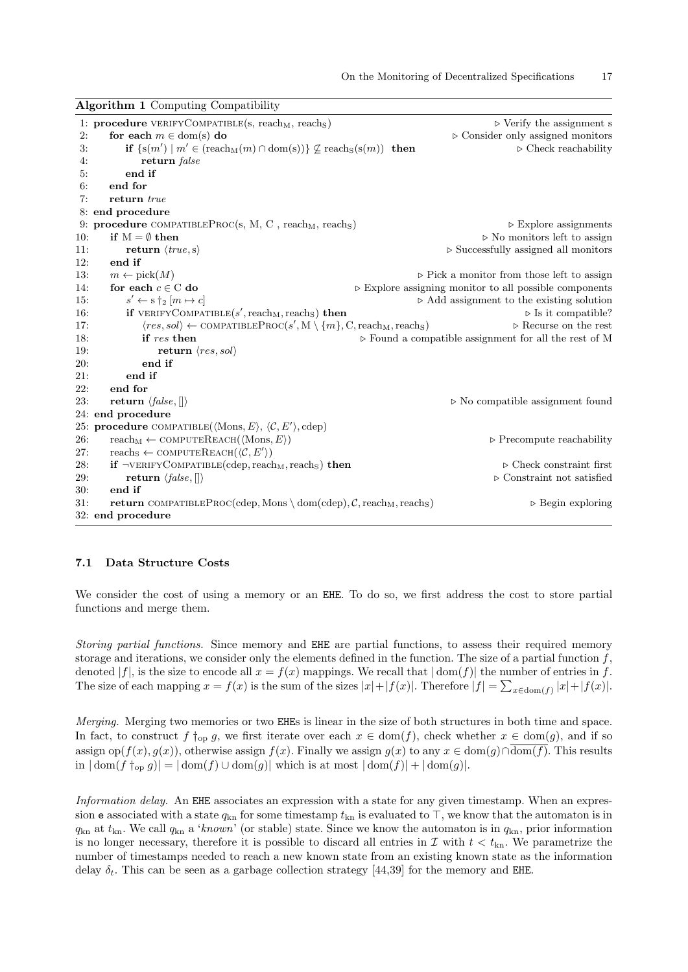|     | 1: <b>procedure</b> VERIFYCOMPATIBLE(s, reach <sub>M</sub> , reach <sub>S</sub> )                      | $\triangleright$ Verify the assignment s                              |
|-----|--------------------------------------------------------------------------------------------------------|-----------------------------------------------------------------------|
| 2:  | for each $m \in \text{dom(s)}$ do                                                                      | $\triangleright$ Consider only assigned monitors                      |
| 3:  | if $\{s(m') \mid m' \in (reach_M(m) \cap dom(s))\}$ $\not\subseteq$ reach <sub>S</sub> $(s(m))$ then   | $\triangleright$ Check reachability                                   |
| 4:  | return <i>false</i>                                                                                    |                                                                       |
| 5:  | end if                                                                                                 |                                                                       |
| 6:  | end for                                                                                                |                                                                       |
| 7:  | return true                                                                                            |                                                                       |
|     | 8: end procedure                                                                                       |                                                                       |
|     | 9: procedure COMPATIBLEPROC(s, M, C, reach <sub>M</sub> , reach <sub>S</sub> )                         | $\triangleright$ Explore assignments                                  |
| 10: | if $M = \emptyset$ then                                                                                | $\triangleright$ No monitors left to assign                           |
| 11: | return $\langle true, s \rangle$                                                                       | $\triangleright$ Successfully assigned all monitors                   |
| 12: | end if                                                                                                 |                                                                       |
| 13: | $m \leftarrow \text{pick}(M)$                                                                          | $\triangleright$ Pick a monitor from those left to assign             |
| 14: | for each $c \in C$ do                                                                                  | $\triangleright$ Explore assigning monitor to all possible components |
| 15: | $s' \leftarrow s \dagger_2 [m \mapsto c]$                                                              | $\triangleright$ Add assignment to the existing solution              |
| 16: | <b>if</b> VERIFYCOMPATIBLE( $s'$ , reach <sub>M</sub> , reach <sub>S</sub> ) then                      | $\triangleright$ Is it compatible?                                    |
| 17: | $\langle res, sol \rangle \leftarrow \text{COMPATHLEProc}(s', M \setminus \{m\}, C, reach_M, reach_S)$ | $\triangleright$ Recurse on the rest                                  |
| 18: | if res then                                                                                            | $\triangleright$ Found a compatible assignment for all the rest of M  |
| 19: | return $\langle res,sol \rangle$                                                                       |                                                                       |
| 20: | end if                                                                                                 |                                                                       |
| 21: | end if                                                                                                 |                                                                       |
| 22: | end for                                                                                                |                                                                       |
| 23: | return $\langle false, [] \rangle$                                                                     | $\triangleright$ No compatible assignment found                       |
|     | 24: end procedure                                                                                      |                                                                       |
|     | 25: procedure COMPATIBLE( $\langle$ Mons, E $\rangle$ , $\langle C, E' \rangle$ , cdep)                |                                                                       |
| 26: | $reach_M \leftarrow \text{COMPUTEREACH}(\langle \text{Mons}, E \rangle)$                               | $\triangleright$ Precompute reachability                              |
| 27: | reachs $\leftarrow$ COMPUTEREACH $(\langle \mathcal{C}, E' \rangle)$                                   |                                                                       |
| 28: | if $\neg$ VERIFYCOMPATIBLE(cdep, reach <sub>M</sub> , reach <sub>S</sub> ) then                        | $\triangleright$ Check constraint first                               |
| 29: | return $\langle false,    \rangle$                                                                     | $\triangleright$ Constraint not satisfied                             |
| 30: | end if                                                                                                 |                                                                       |
| 31: | <b>return</b> COMPATIBLEPROC(cdep, Mons \ dom(cdep), $C$ , reach <sub>M</sub> , reach <sub>S</sub> )   | $\triangleright$ Begin exploring                                      |
|     | 32: end procedure                                                                                      |                                                                       |

### <span id="page-16-0"></span>Algorithm 1 Computing Compatibility

### <span id="page-16-1"></span>7.1 Data Structure Costs

We consider the cost of using a memory or an EHE. To do so, we first address the cost to store partial functions and merge them.

Storing partial functions. Since memory and EHE are partial functions, to assess their required memory storage and iterations, we consider only the elements defined in the function. The size of a partial function  $f$ , denoted  $|f|$ , is the size to encode all  $x = f(x)$  mappings. We recall that  $|\text{dom}(f)|$  the number of entries in f. The size of each mapping  $x = f(x)$  is the sum of the sizes  $|x| + |f(x)|$ . Therefore  $|f| = \sum_{x \in \text{dom}(f)} |x| + |f(x)|$ .

Merging. Merging two memories or two EHEs is linear in the size of both structures in both time and space. In fact, to construct f  $\dagger_{op} g$ , we first iterate over each  $x \in dom(f)$ , check whether  $x \in dom(g)$ , and if so assign op( $f(x), g(x)$ ), otherwise assign  $f(x)$ . Finally we assign  $g(x)$  to any  $x \in \text{dom}(g) \cap \overline{\text{dom}(f)}$ . This results in  $|\text{dom}(f\uparrow_{\text{op}} g)| = |\text{dom}(f) \cup \text{dom}(g)|$  which is at most  $|\text{dom}(f)| + |\text{dom}(g)|$ .

Information delay. An EHE associates an expression with a state for any given timestamp. When an expression e associated with a state  $q_{kn}$  for some timestamp  $t_{kn}$  is evaluated to  $\top$ , we know that the automaton is in  $q_{kn}$  at  $t_{kn}$ . We call  $q_{kn}$  a 'known' (or stable) state. Since we know the automaton is in  $q_{kn}$ , prior information is no longer necessary, therefore it is possible to discard all entries in  $\mathcal I$  with  $t < t_{\rm kn}$ . We parametrize the number of timestamps needed to reach a new known state from an existing known state as the information delay  $\delta_t$ . This can be seen as a garbage collection strategy [\[44,](#page-31-16)[39\]](#page-31-8) for the memory and EHE.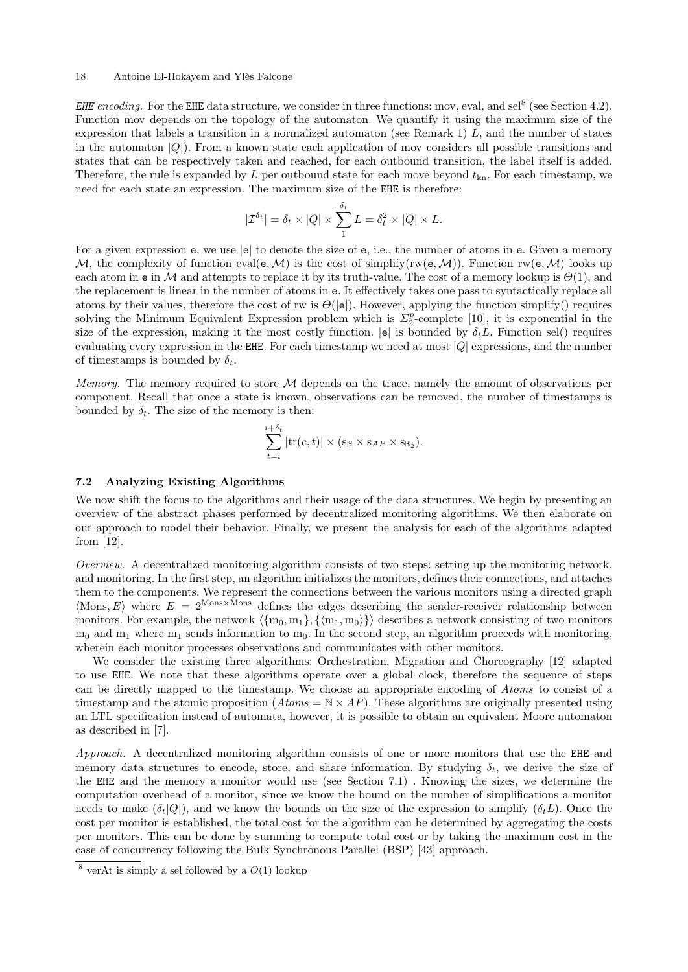### 18 Antoine El-Hokayem and Ylès Falcone

EHE encoding. For the EHE data structure, we consider in three functions: mov, eval, and sel<sup>[8](#page-17-1)</sup> (see Section [4.2\)](#page-7-0). Function mov depends on the topology of the automaton. We quantify it using the maximum size of the expression that labels a transition in a normalized automaton (see Remark [1\)](#page-6-5)  $L$ , and the number of states in the automaton  $|Q|$ ). From a known state each application of mov considers all possible transitions and states that can be respectively taken and reached, for each outbound transition, the label itself is added. Therefore, the rule is expanded by L per outbound state for each move beyond  $t_{kn}$ . For each timestamp, we need for each state an expression. The maximum size of the EHE is therefore:

$$
|\mathcal{I}^{\delta_t}| = \delta_t \times |Q| \times \sum_1^{\delta_t} L = \delta_t^2 \times |Q| \times L.
$$

For a given expression e, we use  $|e|$  to denote the size of e, i.e., the number of atoms in e. Given a memory M, the complexity of function eval( $e, M$ ) is the cost of simplify(rw( $e, M$ )). Function rw( $e, M$ ) looks up each atom in e in M and attempts to replace it by its truth-value. The cost of a memory lookup is  $\Theta(1)$ , and the replacement is linear in the number of atoms in e. It effectively takes one pass to syntactically replace all atoms by their values, therefore the cost of rw is  $\Theta(|e|)$ . However, applying the function simplify() requires solving the Minimum Equivalent Expression problem which is  $\Sigma_2^p$ -complete [\[10\]](#page-30-13), it is exponential in the size of the expression, making it the most costly function.  $|e|$  is bounded by  $\delta_t L$ . Function sel() requires evaluating every expression in the EHE. For each timestamp we need at most |Q| expressions, and the number of timestamps is bounded by  $\delta_t$ .

Memory. The memory required to store  $M$  depends on the trace, namely the amount of observations per component. Recall that once a state is known, observations can be removed, the number of timestamps is bounded by  $\delta_t$ . The size of the memory is then:

$$
\sum_{t=i}^{i+\delta_t} |\text{tr}(c,t)| \times (\mathbf{s}_{\mathbb{N}} \times \mathbf{s}_{AP} \times \mathbf{s}_{\mathbb{B}_2}).
$$

### <span id="page-17-0"></span>7.2 Analyzing Existing Algorithms

We now shift the focus to the algorithms and their usage of the data structures. We begin by presenting an overview of the abstract phases performed by decentralized monitoring algorithms. We then elaborate on our approach to model their behavior. Finally, we present the analysis for each of the algorithms adapted from [\[12\]](#page-30-4).

Overview. A decentralized monitoring algorithm consists of two steps: setting up the monitoring network, and monitoring. In the first step, an algorithm initializes the monitors, defines their connections, and attaches them to the components. We represent the connections between the various monitors using a directed graph  $\langle$ Mons, E $\rangle$  where  $E = 2^{\text{Mons} \times \text{Mons}}$  defines the edges describing the sender-receiver relationship between monitors. For example, the network  $\langle \{m_0, m_1\}, \{\langle m_1, m_0\rangle\} \rangle$  describes a network consisting of two monitors  $m_0$  and  $m_1$  where  $m_1$  sends information to  $m_0$ . In the second step, an algorithm proceeds with monitoring, wherein each monitor processes observations and communicates with other monitors.

We consider the existing three algorithms: Orchestration, Migration and Choreography [\[12\]](#page-30-4) adapted to use EHE. We note that these algorithms operate over a global clock, therefore the sequence of steps can be directly mapped to the timestamp. We choose an appropriate encoding of Atoms to consist of a timestamp and the atomic proposition  $(A \text{to} \mathbb{R} \times AP)$ . These algorithms are originally presented using an LTL specification instead of automata, however, it is possible to obtain an equivalent Moore automaton as described in [\[7\]](#page-30-6).

Approach. A decentralized monitoring algorithm consists of one or more monitors that use the EHE and memory data structures to encode, store, and share information. By studying  $\delta_t$ , we derive the size of the EHE and the memory a monitor would use (see Section [7.1\)](#page-16-1) . Knowing the sizes, we determine the computation overhead of a monitor, since we know the bound on the number of simplifications a monitor needs to make  $(\delta_t|Q|)$ , and we know the bounds on the size of the expression to simplify  $(\delta_t L)$ . Once the cost per monitor is established, the total cost for the algorithm can be determined by aggregating the costs per monitors. This can be done by summing to compute total cost or by taking the maximum cost in the case of concurrency following the Bulk Synchronous Parallel (BSP) [\[43\]](#page-31-17) approach.

<span id="page-17-1"></span> $8$  verAt is simply a sel followed by a  $O(1)$  lookup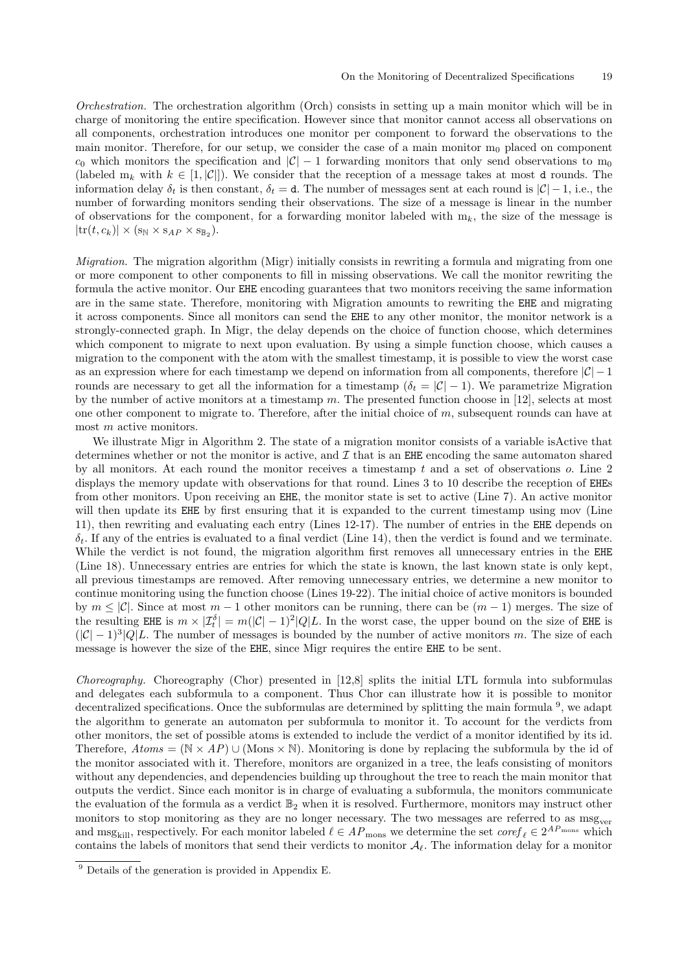Orchestration. The orchestration algorithm (Orch) consists in setting up a main monitor which will be in charge of monitoring the entire specification. However since that monitor cannot access all observations on all components, orchestration introduces one monitor per component to forward the observations to the main monitor. Therefore, for our setup, we consider the case of a main monitor  $m_0$  placed on component  $c_0$  which monitors the specification and  $|\mathcal{C}| - 1$  forwarding monitors that only send observations to m<sub>0</sub> (labeled  $m_k$  with  $k \in [1, |\mathcal{C}|]$ ). We consider that the reception of a message takes at most d rounds. The information delay  $\delta_t$  is then constant,  $\delta_t = d$ . The number of messages sent at each round is  $|\mathcal{C}| - 1$ , i.e., the number of forwarding monitors sending their observations. The size of a message is linear in the number of observations for the component, for a forwarding monitor labeled with  $m_k$ , the size of the message is  $|\text{tr}(t, c_k)| \times (\mathbf{s_N} \times \mathbf{s}_{AP} \times \mathbf{s}_{\mathbb{B}_2}).$ 

*Migration.* The migration algorithm (Migr) initially consists in rewriting a formula and migrating from one or more component to other components to fill in missing observations. We call the monitor rewriting the formula the active monitor. Our EHE encoding guarantees that two monitors receiving the same information are in the same state. Therefore, monitoring with Migration amounts to rewriting the EHE and migrating it across components. Since all monitors can send the EHE to any other monitor, the monitor network is a strongly-connected graph. In Migr, the delay depends on the choice of function choose, which determines which component to migrate to next upon evaluation. By using a simple function choose, which causes a migration to the component with the atom with the smallest timestamp, it is possible to view the worst case as an expression where for each timestamp we depend on information from all components, therefore  $|\mathcal{C}| - 1$ rounds are necessary to get all the information for a timestamp ( $\delta_t = |\mathcal{C}| - 1$ ). We parametrize Migration by the number of active monitors at a timestamp  $m$ . The presented function choose in [\[12\]](#page-30-4), selects at most one other component to migrate to. Therefore, after the initial choice of  $m$ , subsequent rounds can have at most m active monitors.

We illustrate Migr in Algorithm [2.](#page-19-0) The state of a migration monitor consists of a variable isActive that determines whether or not the monitor is active, and  $\mathcal I$  that is an EHE encoding the same automaton shared by all monitors. At each round the monitor receives a timestamp  $t$  and a set of observations  $o$ . Line 2 displays the memory update with observations for that round. Lines 3 to 10 describe the reception of EHEs from other monitors. Upon receiving an EHE, the monitor state is set to active (Line 7). An active monitor will then update its EHE by first ensuring that it is expanded to the current timestamp using mov (Line 11), then rewriting and evaluating each entry (Lines 12-17). The number of entries in the EHE depends on  $\delta_t$ . If any of the entries is evaluated to a final verdict (Line 14), then the verdict is found and we terminate. While the verdict is not found, the migration algorithm first removes all unnecessary entries in the EHE (Line 18). Unnecessary entries are entries for which the state is known, the last known state is only kept, all previous timestamps are removed. After removing unnecessary entries, we determine a new monitor to continue monitoring using the function choose (Lines 19-22). The initial choice of active monitors is bounded by  $m \leq |\mathcal{C}|$ . Since at most  $m-1$  other monitors can be running, there can be  $(m-1)$  merges. The size of the resulting EHE is  $m \times |\mathcal{I}_t^{\delta}| = m(|\mathcal{C}|-1)^2 |Q|L$ . In the worst case, the upper bound on the size of EHE is  $(|\mathcal{C}| - 1)^3 |Q|$ . The number of messages is bounded by the number of active monitors m. The size of each message is however the size of the EHE, since Migr requires the entire EHE to be sent.

Choreography. Choreography (Chor) presented in [\[12,](#page-30-4)[8\]](#page-30-2) splits the initial LTL formula into subformulas and delegates each subformula to a component. Thus Chor can illustrate how it is possible to monitor decentralized specifications. Once the subformulas are determined by splitting the main formula <sup>[9](#page-18-0)</sup>, we adapt the algorithm to generate an automaton per subformula to monitor it. To account for the verdicts from other monitors, the set of possible atoms is extended to include the verdict of a monitor identified by its id. Therefore,  $Atoms = (\mathbb{N} \times AP) \cup (rm Monis \times \mathbb{N})$ . Monitoring is done by replacing the subformula by the id of the monitor associated with it. Therefore, monitors are organized in a tree, the leafs consisting of monitors without any dependencies, and dependencies building up throughout the tree to reach the main monitor that outputs the verdict. Since each monitor is in charge of evaluating a subformula, the monitors communicate the evaluation of the formula as a verdict  $\mathbb{B}_2$  when it is resolved. Furthermore, monitors may instruct other monitors to stop monitoring as they are no longer necessary. The two messages are referred to as msg<sub>ver</sub> and msg<sub>kill</sub>, respectively. For each monitor labeled  $\ell \in AP_{\text{mons}}$  we determine the set  $coref_{\ell} \in 2^{AP_{\text{mons}}}$  which contains the labels of monitors that send their verdicts to monitor  $\mathcal{A}_{\ell}$ . The information delay for a monitor

<span id="page-18-0"></span><sup>9</sup> Details of the generation is provided in Appendix [E.](#page-36-0)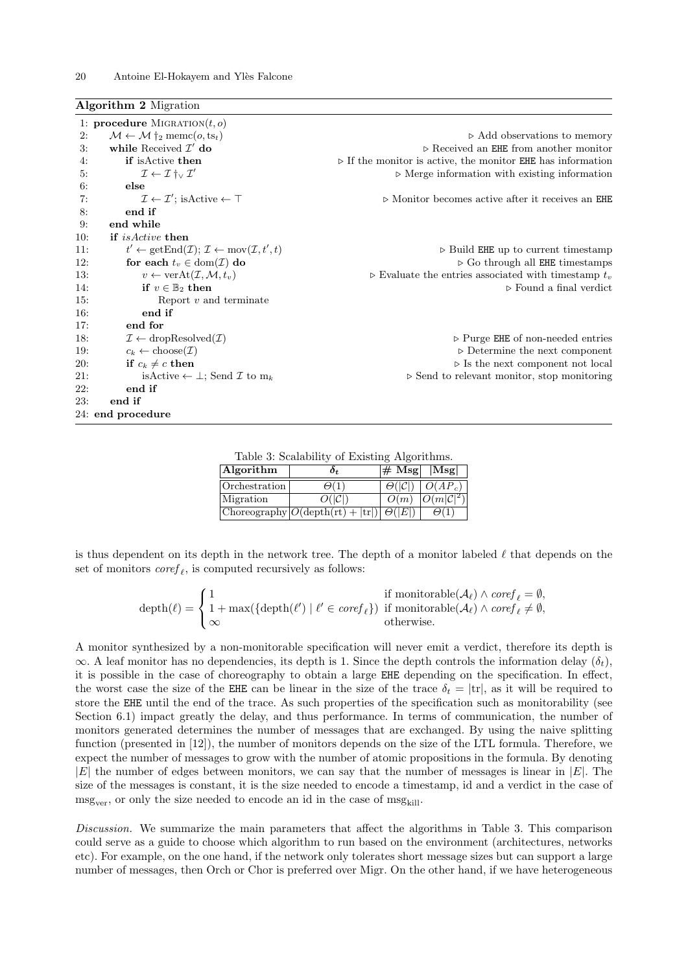<span id="page-19-0"></span>Algorithm 2 Migration

|     | 1: <b>procedure</b> MIGRATION $(t, o)$                                                            |                                                                            |
|-----|---------------------------------------------------------------------------------------------------|----------------------------------------------------------------------------|
| 2:  | $\mathcal{M} \leftarrow \mathcal{M} \dagger_2 \text{ memc}(o, \text{ts}_t)$                       | $\triangleright$ Add observations to memory                                |
| 3:  | while Received $\mathcal{I}'$ do                                                                  | $\triangleright$ Received an EHE from another monitor                      |
| 4:  | if is Active then                                                                                 | $\triangleright$ If the monitor is active, the monitor EHE has information |
| 5:  | $\mathcal{I} \leftarrow \mathcal{I} \dagger_{\vee} \mathcal{I}'$                                  | $\triangleright$ Merge information with existing information               |
| 6:  | else                                                                                              |                                                                            |
| 7:  | $\mathcal{I} \leftarrow \mathcal{I}'$ ; is Active $\leftarrow \top$                               | $\triangleright$ Monitor becomes active after it receives an EHE           |
| 8:  | end if                                                                                            |                                                                            |
| 9:  | end while                                                                                         |                                                                            |
| 10: | if <i>is Active</i> then                                                                          |                                                                            |
| 11: | $t' \leftarrow \text{getEnd}(\mathcal{I}); \mathcal{I} \leftarrow \text{mov}(\mathcal{I}, t', t)$ | $\triangleright$ Build EHE up to current timestamp                         |
| 12: | for each $t_v \in \text{dom}(\mathcal{I})$ do                                                     | $\triangleright$ Go through all EHE timestamps                             |
| 13: | $v \leftarrow \text{verAt}(\mathcal{I}, \mathcal{M}, t_v)$                                        | $\triangleright$ Evaluate the entries associated with timestamp $t_v$      |
| 14: | if $v \in \mathbb{B}_2$ then                                                                      | $\triangleright$ Found a final verdict                                     |
| 15: | Report $v$ and terminate                                                                          |                                                                            |
| 16: | end if                                                                                            |                                                                            |
| 17: | end for                                                                                           |                                                                            |
| 18: | $\mathcal{I} \leftarrow \text{dropResolved}(\mathcal{I})$                                         | $\triangleright$ Purge EHE of non-needed entries                           |
| 19: | $c_k \leftarrow \text{choose}(\mathcal{I})$                                                       | $\triangleright$ Determine the next component                              |
| 20: | if $c_k \neq c$ then                                                                              | $\triangleright$ Is the next component not local                           |
| 21: | isActive $\leftarrow \perp$ ; Send <i>I</i> to m <sub>k</sub>                                     | $\triangleright$ Send to relevant monitor, stop monitoring                 |
| 22: | end if                                                                                            |                                                                            |
| 23: | end if                                                                                            |                                                                            |
|     | 24: end procedure                                                                                 |                                                                            |

Table 3: Scalability of Existing Algorithms.

| Algorithm     | 0+                                                                 | $\left  \pm \mathrm{Msg} \right $  Msg |                       |
|---------------|--------------------------------------------------------------------|----------------------------------------|-----------------------|
| Orchestration | $\Theta(1)$                                                        | $\Theta( \mathcal{C} )$                | $\overline{O}(AP_c)$  |
| Migration     | $O( \mathcal{C} )$                                                 | O(m)                                   | $O(m \mathcal{C} ^2)$ |
|               | Choreography $ O(\text{depth}(\text{rt}) +  \text{tr} )$ $ O( E )$ |                                        | $\Theta(1)$           |

<span id="page-19-1"></span>is thus dependent on its depth in the network tree. The depth of a monitor labeled  $\ell$  that depends on the set of monitors  $\text{coref}_{\ell}$ , is computed recursively as follows:

| $\operatorname{depth}(\ell) = \left\{ 1 + \max(\{\operatorname{depth}(\ell') \mid \ell' \in \operatorname{coref}_{\ell}\}) \text{ if monitorable}(\mathcal{A}_{\ell}) \wedge \operatorname{coref}_{\ell} \neq \emptyset, \right\}$ | if monitorable( $\mathcal{A}_{\ell}$ ) $\wedge$ coref <sub><math>\ell</math></sub> = $\emptyset$ , |
|------------------------------------------------------------------------------------------------------------------------------------------------------------------------------------------------------------------------------------|----------------------------------------------------------------------------------------------------|
| $\mathsf{I} \infty$                                                                                                                                                                                                                | otherwise.                                                                                         |

A monitor synthesized by a non-monitorable specification will never emit a verdict, therefore its depth is  $\infty$ . A leaf monitor has no dependencies, its depth is 1. Since the depth controls the information delay  $(\delta_t)$ , it is possible in the case of choreography to obtain a large EHE depending on the specification. In effect, the worst case the size of the EHE can be linear in the size of the trace  $\delta_t = |tr|$ , as it will be required to store the EHE until the end of the trace. As such properties of the specification such as monitorability (see Section [6.1\)](#page-12-2) impact greatly the delay, and thus performance. In terms of communication, the number of monitors generated determines the number of messages that are exchanged. By using the naive splitting function (presented in [\[12\]](#page-30-4)), the number of monitors depends on the size of the LTL formula. Therefore, we expect the number of messages to grow with the number of atomic propositions in the formula. By denoting  $|E|$  the number of edges between monitors, we can say that the number of messages is linear in  $|E|$ . The size of the messages is constant, it is the size needed to encode a timestamp, id and a verdict in the case of  $msg_{ver}$ , or only the size needed to encode an id in the case of  $msg_{kill}$ .

Discussion. We summarize the main parameters that affect the algorithms in Table [3.](#page-19-1) This comparison could serve as a guide to choose which algorithm to run based on the environment (architectures, networks etc). For example, on the one hand, if the network only tolerates short message sizes but can support a large number of messages, then Orch or Chor is preferred over Migr. On the other hand, if we have heterogeneous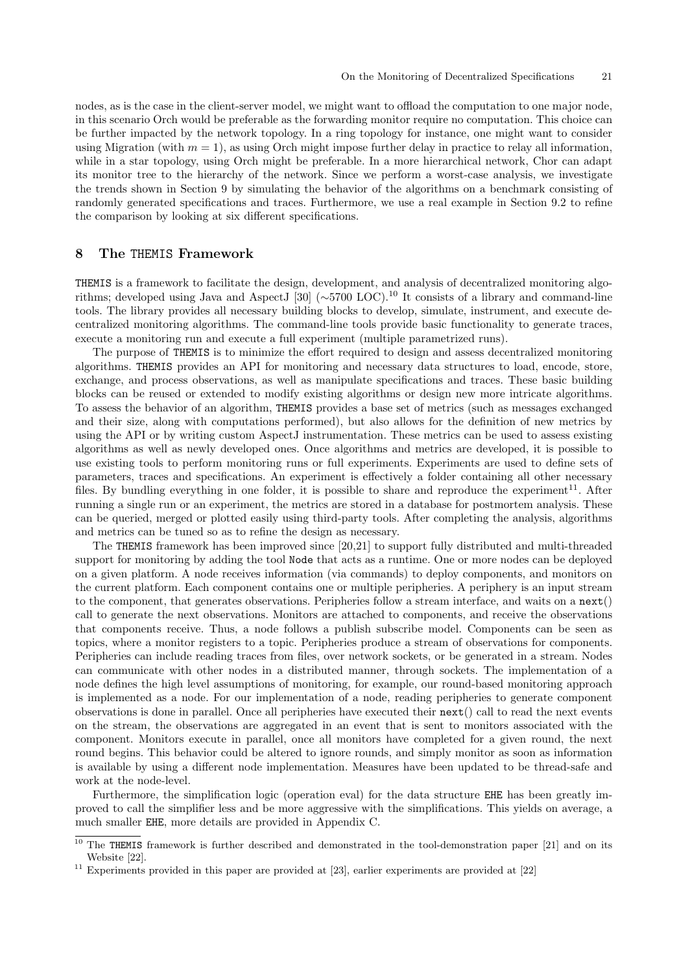nodes, as is the case in the client-server model, we might want to offload the computation to one major node, in this scenario Orch would be preferable as the forwarding monitor require no computation. This choice can be further impacted by the network topology. In a ring topology for instance, one might want to consider using Migration (with  $m = 1$ ), as using Orch might impose further delay in practice to relay all information, while in a star topology, using Orch might be preferable. In a more hierarchical network, Chor can adapt its monitor tree to the hierarchy of the network. Since we perform a worst-case analysis, we investigate the trends shown in Section [9](#page-21-1) by simulating the behavior of the algorithms on a benchmark consisting of randomly generated specifications and traces. Furthermore, we use a real example in Section [9.2](#page-25-0) to refine the comparison by looking at six different specifications.

# <span id="page-20-0"></span>8 The THEMIS Framework

THEMIS is a framework to facilitate the design, development, and analysis of decentralized monitoring algorithms; developed using Java and AspectJ [\[30\]](#page-31-18) (∼5700 LOC).[10](#page-20-1) It consists of a library and command-line tools. The library provides all necessary building blocks to develop, simulate, instrument, and execute decentralized monitoring algorithms. The command-line tools provide basic functionality to generate traces, execute a monitoring run and execute a full experiment (multiple parametrized runs).

The purpose of THEMIS is to minimize the effort required to design and assess decentralized monitoring algorithms. THEMIS provides an API for monitoring and necessary data structures to load, encode, store, exchange, and process observations, as well as manipulate specifications and traces. These basic building blocks can be reused or extended to modify existing algorithms or design new more intricate algorithms. To assess the behavior of an algorithm, THEMIS provides a base set of metrics (such as messages exchanged and their size, along with computations performed), but also allows for the definition of new metrics by using the API or by writing custom AspectJ instrumentation. These metrics can be used to assess existing algorithms as well as newly developed ones. Once algorithms and metrics are developed, it is possible to use existing tools to perform monitoring runs or full experiments. Experiments are used to define sets of parameters, traces and specifications. An experiment is effectively a folder containing all other necessary files. By bundling everything in one folder, it is possible to share and reproduce the experiment<sup>[11](#page-20-2)</sup>. After running a single run or an experiment, the metrics are stored in a database for postmortem analysis. These can be queried, merged or plotted easily using third-party tools. After completing the analysis, algorithms and metrics can be tuned so as to refine the design as necessary.

The THEMIS framework has been improved since [\[20](#page-30-8)[,21\]](#page-31-19) to support fully distributed and multi-threaded support for monitoring by adding the tool Node that acts as a runtime. One or more nodes can be deployed on a given platform. A node receives information (via commands) to deploy components, and monitors on the current platform. Each component contains one or multiple peripheries. A periphery is an input stream to the component, that generates observations. Peripheries follow a stream interface, and waits on a next() call to generate the next observations. Monitors are attached to components, and receive the observations that components receive. Thus, a node follows a publish subscribe model. Components can be seen as topics, where a monitor registers to a topic. Peripheries produce a stream of observations for components. Peripheries can include reading traces from files, over network sockets, or be generated in a stream. Nodes can communicate with other nodes in a distributed manner, through sockets. The implementation of a node defines the high level assumptions of monitoring, for example, our round-based monitoring approach is implemented as a node. For our implementation of a node, reading peripheries to generate component observations is done in parallel. Once all peripheries have executed their next() call to read the next events on the stream, the observations are aggregated in an event that is sent to monitors associated with the component. Monitors execute in parallel, once all monitors have completed for a given round, the next round begins. This behavior could be altered to ignore rounds, and simply monitor as soon as information is available by using a different node implementation. Measures have been updated to be thread-safe and work at the node-level.

Furthermore, the simplification logic (operation eval) for the data structure EHE has been greatly improved to call the simplifier less and be more aggressive with the simplifications. This yields on average, a much smaller EHE, more details are provided in Appendix [C.](#page-35-0)

<span id="page-20-1"></span> $10$  The THEMIS framework is further described and demonstrated in the tool-demonstration paper [\[21\]](#page-31-19) and on its Website [\[22\]](#page-31-20).

<span id="page-20-2"></span><sup>&</sup>lt;sup>11</sup> Experiments provided in this paper are provided at [\[23\]](#page-31-21), earlier experiments are provided at [\[22\]](#page-31-20)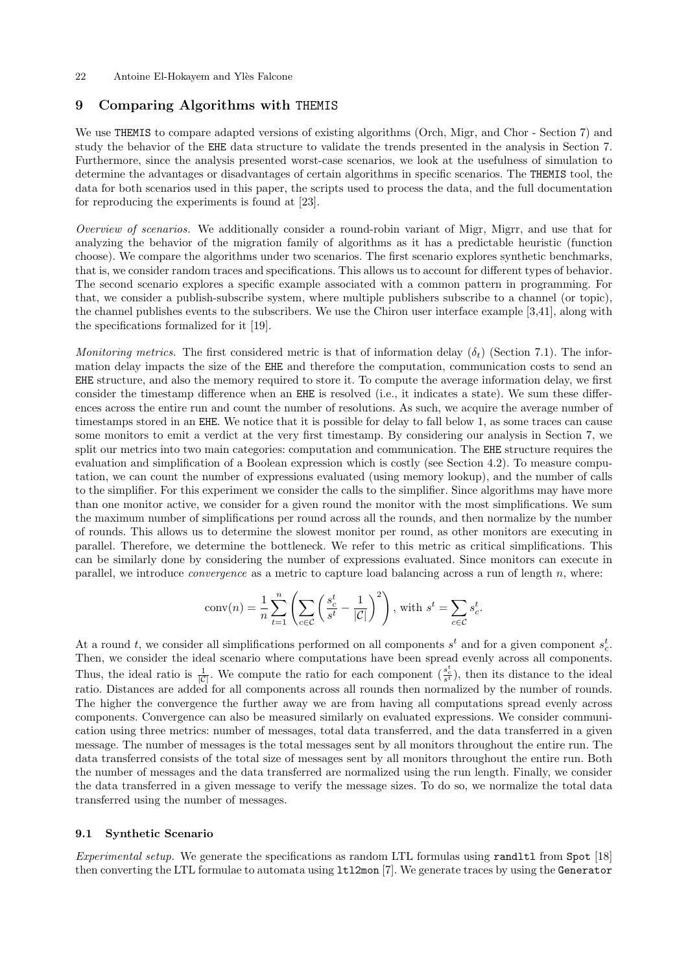### 22 Antoine El-Hokayem and Ylès Falcone

# <span id="page-21-1"></span>9 Comparing Algorithms with THEMIS

We use THEMIS to compare adapted versions of existing algorithms (Orch, Migr, and Chor - Section [7\)](#page-15-0) and study the behavior of the EHE data structure to validate the trends presented in the analysis in Section [7.](#page-15-0) Furthermore, since the analysis presented worst-case scenarios, we look at the usefulness of simulation to determine the advantages or disadvantages of certain algorithms in specific scenarios. The THEMIS tool, the data for both scenarios used in this paper, the scripts used to process the data, and the full documentation for reproducing the experiments is found at [\[23\]](#page-31-21).

Overview of scenarios. We additionally consider a round-robin variant of Migr, Migrr, and use that for analyzing the behavior of the migration family of algorithms as it has a predictable heuristic (function choose). We compare the algorithms under two scenarios. The first scenario explores synthetic benchmarks, that is, we consider random traces and specifications. This allows us to account for different types of behavior. The second scenario explores a specific example associated with a common pattern in programming. For that, we consider a publish-subscribe system, where multiple publishers subscribe to a channel (or topic), the channel publishes events to the subscribers. We use the Chiron user interface example [\[3,](#page-30-14)[41\]](#page-31-22), along with the specifications formalized for it [\[19\]](#page-30-15).

Monitoring metrics. The first considered metric is that of information delay  $(\delta_t)$  (Section [7.1\)](#page-16-1). The information delay impacts the size of the EHE and therefore the computation, communication costs to send an EHE structure, and also the memory required to store it. To compute the average information delay, we first consider the timestamp difference when an EHE is resolved (i.e., it indicates a state). We sum these differences across the entire run and count the number of resolutions. As such, we acquire the average number of timestamps stored in an EHE. We notice that it is possible for delay to fall below 1, as some traces can cause some monitors to emit a verdict at the very first timestamp. By considering our analysis in Section [7,](#page-15-0) we split our metrics into two main categories: computation and communication. The EHE structure requires the evaluation and simplification of a Boolean expression which is costly (see Section [4.2\)](#page-7-0). To measure computation, we can count the number of expressions evaluated (using memory lookup), and the number of calls to the simplifier. For this experiment we consider the calls to the simplifier. Since algorithms may have more than one monitor active, we consider for a given round the monitor with the most simplifications. We sum the maximum number of simplifications per round across all the rounds, and then normalize by the number of rounds. This allows us to determine the slowest monitor per round, as other monitors are executing in parallel. Therefore, we determine the bottleneck. We refer to this metric as critical simplifications. This can be similarly done by considering the number of expressions evaluated. Since monitors can execute in parallel, we introduce *convergence* as a metric to capture load balancing across a run of length  $n$ , where:

$$
conv(n) = \frac{1}{n} \sum_{t=1}^{n} \left( \sum_{c \in C} \left( \frac{s_c^t}{s^t} - \frac{1}{|C|} \right)^2 \right), \text{ with } s^t = \sum_{c \in C} s_c^t.
$$

At a round t, we consider all simplifications performed on all components  $s<sup>t</sup>$  and for a given component  $s<sup>t</sup><sub>c</sub>$ . Then, we consider the ideal scenario where computations have been spread evenly across all components. Thus, the ideal ratio is  $\frac{1}{|C|}$ . We compute the ratio for each component  $(\frac{s_c^t}{s^t})$ , then its distance to the ideal ratio. Distances are added for all components across all rounds then normalized by the number of rounds. The higher the convergence the further away we are from having all computations spread evenly across components. Convergence can also be measured similarly on evaluated expressions. We consider communication using three metrics: number of messages, total data transferred, and the data transferred in a given message. The number of messages is the total messages sent by all monitors throughout the entire run. The data transferred consists of the total size of messages sent by all monitors throughout the entire run. Both the number of messages and the data transferred are normalized using the run length. Finally, we consider the data transferred in a given message to verify the message sizes. To do so, we normalize the total data transferred using the number of messages.

### <span id="page-21-0"></span>9.1 Synthetic Scenario

Experimental setup. We generate the specifications as random LTL formulas using randltl from Spot [\[18\]](#page-30-16) then converting the LTL formulae to automata using ltl2mon [\[7\]](#page-30-6). We generate traces by using the Generator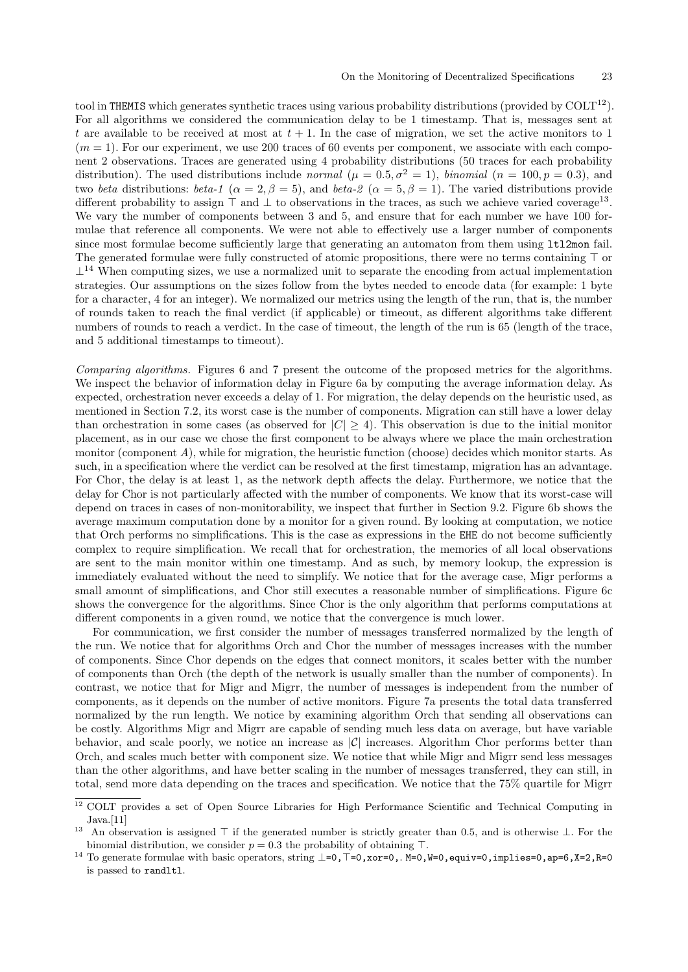tool in THEMIS which generates synthetic traces using various probability distributions (provided by  $COLT<sup>12</sup>$  $COLT<sup>12</sup>$  $COLT<sup>12</sup>$ ). For all algorithms we considered the communication delay to be 1 timestamp. That is, messages sent at t are available to be received at most at  $t + 1$ . In the case of migration, we set the active monitors to 1  $(m = 1)$ . For our experiment, we use 200 traces of 60 events per component, we associate with each component 2 observations. Traces are generated using 4 probability distributions (50 traces for each probability distribution). The used distributions include normal ( $\mu = 0.5, \sigma^2 = 1$ ), binomial ( $n = 100, p = 0.3$ ), and two beta distributions: beta-1 ( $\alpha = 2, \beta = 5$ ), and beta-2 ( $\alpha = 5, \beta = 1$ ). The varied distributions provide different probability to assign  $\top$  and  $\bot$  to observations in the traces, as such we achieve varied coverage<sup>[13](#page-22-1)</sup>. We vary the number of components between 3 and 5, and ensure that for each number we have 100 formulae that reference all components. We were not able to effectively use a larger number of components since most formulae become sufficiently large that generating an automaton from them using ltl2mon fail. The generated formulae were fully constructed of atomic propositions, there were no terms containing  $\top$  or  $\perp^{14}$  $\perp^{14}$  $\perp^{14}$  When computing sizes, we use a normalized unit to separate the encoding from actual implementation strategies. Our assumptions on the sizes follow from the bytes needed to encode data (for example: 1 byte for a character, 4 for an integer). We normalized our metrics using the length of the run, that is, the number of rounds taken to reach the final verdict (if applicable) or timeout, as different algorithms take different numbers of rounds to reach a verdict. In the case of timeout, the length of the run is 65 (length of the trace, and 5 additional timestamps to timeout).

Comparing algorithms. Figures [6](#page-23-0) and [7](#page-24-0) present the outcome of the proposed metrics for the algorithms. We inspect the behavior of information delay in Figure [6a](#page-23-1) by computing the average information delay. As expected, orchestration never exceeds a delay of 1. For migration, the delay depends on the heuristic used, as mentioned in Section [7.2,](#page-17-0) its worst case is the number of components. Migration can still have a lower delay than orchestration in some cases (as observed for  $|C| > 4$ ). This observation is due to the initial monitor placement, as in our case we chose the first component to be always where we place the main orchestration monitor (component A), while for migration, the heuristic function (choose) decides which monitor starts. As such, in a specification where the verdict can be resolved at the first timestamp, migration has an advantage. For Chor, the delay is at least 1, as the network depth affects the delay. Furthermore, we notice that the delay for Chor is not particularly affected with the number of components. We know that its worst-case will depend on traces in cases of non-monitorability, we inspect that further in Section [9.2.](#page-25-0) Figure [6b](#page-23-2) shows the average maximum computation done by a monitor for a given round. By looking at computation, we notice that Orch performs no simplifications. This is the case as expressions in the EHE do not become sufficiently complex to require simplification. We recall that for orchestration, the memories of all local observations are sent to the main monitor within one timestamp. And as such, by memory lookup, the expression is immediately evaluated without the need to simplify. We notice that for the average case, Migr performs a small amount of simplifications, and Chor still executes a reasonable number of simplifications. Figure [6c](#page-23-3) shows the convergence for the algorithms. Since Chor is the only algorithm that performs computations at different components in a given round, we notice that the convergence is much lower.

For communication, we first consider the number of messages transferred normalized by the length of the run. We notice that for algorithms Orch and Chor the number of messages increases with the number of components. Since Chor depends on the edges that connect monitors, it scales better with the number of components than Orch (the depth of the network is usually smaller than the number of components). In contrast, we notice that for Migr and Migrr, the number of messages is independent from the number of components, as it depends on the number of active monitors. Figure [7a](#page-24-1) presents the total data transferred normalized by the run length. We notice by examining algorithm Orch that sending all observations can be costly. Algorithms Migr and Migrr are capable of sending much less data on average, but have variable behavior, and scale poorly, we notice an increase as  $|\mathcal{C}|$  increases. Algorithm Chor performs better than Orch, and scales much better with component size. We notice that while Migr and Migrr send less messages than the other algorithms, and have better scaling in the number of messages transferred, they can still, in total, send more data depending on the traces and specification. We notice that the 75% quartile for Migrr

<span id="page-22-0"></span><sup>&</sup>lt;sup>12</sup> COLT provides a set of Open Source Libraries for High Performance Scientific and Technical Computing in Java.[\[11\]](#page-30-17)

<span id="page-22-1"></span><sup>&</sup>lt;sup>13</sup> An observation is assigned  $\top$  if the generated number is strictly greater than 0.5, and is otherwise ⊥. For the binomial distribution, we consider  $p = 0.3$  the probability of obtaining T.

<span id="page-22-2"></span><sup>&</sup>lt;sup>14</sup> To generate formulae with basic operators, string ⊥=0, T=0, xor=0,. M=0,W=0,equiv=0,implies=0,ap=6,X=2,R=0 is passed to randltl.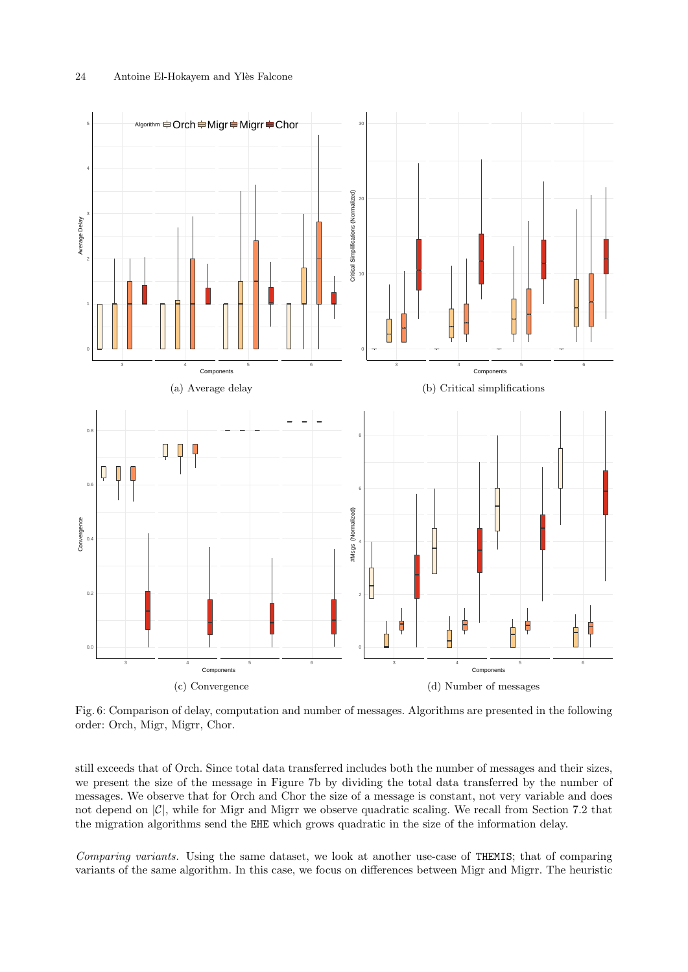<span id="page-23-2"></span><span id="page-23-1"></span><span id="page-23-0"></span>

<span id="page-23-4"></span><span id="page-23-3"></span>Fig. 6: Comparison of delay, computation and number of messages. Algorithms are presented in the following order: Orch, Migr, Migrr, Chor.

still exceeds that of Orch. Since total data transferred includes both the number of messages and their sizes, we present the size of the message in Figure [7b](#page-24-2) by dividing the total data transferred by the number of messages. We observe that for Orch and Chor the size of a message is constant, not very variable and does not depend on  $|\mathcal{C}|$ , while for Migr and Migrr we observe quadratic scaling. We recall from Section [7.2](#page-17-0) that the migration algorithms send the EHE which grows quadratic in the size of the information delay.

Comparing variants. Using the same dataset, we look at another use-case of THEMIS; that of comparing variants of the same algorithm. In this case, we focus on differences between Migr and Migrr. The heuristic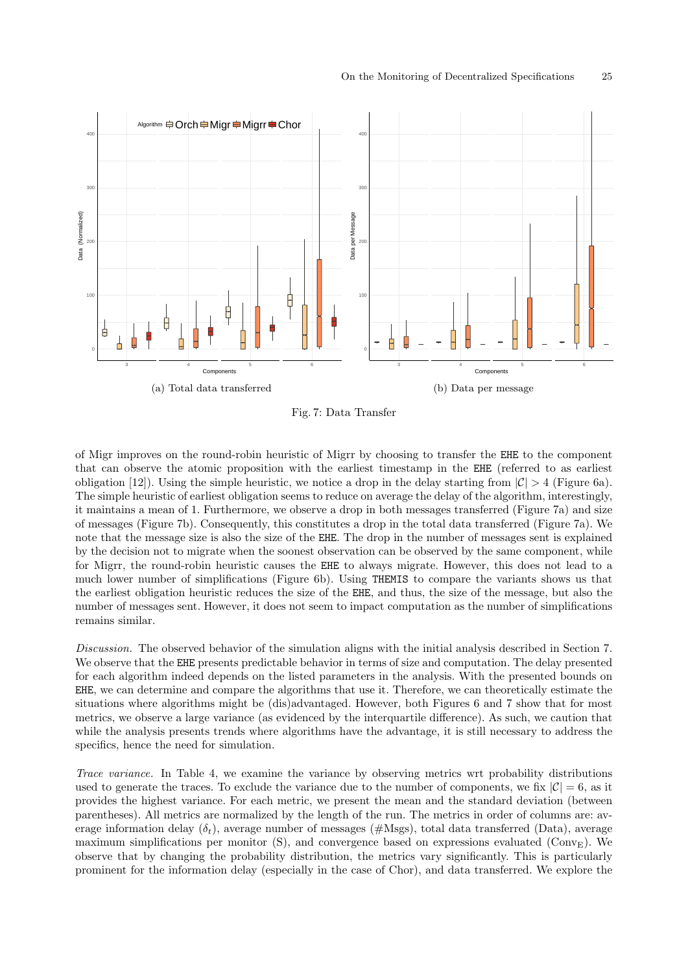<span id="page-24-1"></span><span id="page-24-0"></span>

<span id="page-24-2"></span>Fig. 7: Data Transfer

of Migr improves on the round-robin heuristic of Migrr by choosing to transfer the EHE to the component that can observe the atomic proposition with the earliest timestamp in the EHE (referred to as earliest obligation [\[12\]](#page-30-4)). Using the simple heuristic, we notice a drop in the delay starting from  $|\mathcal{C}| > 4$  (Figure [6a\)](#page-23-1). The simple heuristic of earliest obligation seems to reduce on average the delay of the algorithm, interestingly, it maintains a mean of 1. Furthermore, we observe a drop in both messages transferred (Figure [7a\)](#page-24-1) and size of messages (Figure [7b\)](#page-24-2). Consequently, this constitutes a drop in the total data transferred (Figure [7a\)](#page-24-1). We note that the message size is also the size of the EHE. The drop in the number of messages sent is explained by the decision not to migrate when the soonest observation can be observed by the same component, while for Migrr, the round-robin heuristic causes the EHE to always migrate. However, this does not lead to a much lower number of simplifications (Figure [6b\)](#page-23-2). Using THEMIS to compare the variants shows us that the earliest obligation heuristic reduces the size of the EHE, and thus, the size of the message, but also the number of messages sent. However, it does not seem to impact computation as the number of simplifications remains similar.

Discussion. The observed behavior of the simulation aligns with the initial analysis described in Section [7.](#page-15-0) We observe that the EHE presents predictable behavior in terms of size and computation. The delay presented for each algorithm indeed depends on the listed parameters in the analysis. With the presented bounds on EHE, we can determine and compare the algorithms that use it. Therefore, we can theoretically estimate the situations where algorithms might be (dis)advantaged. However, both Figures [6](#page-23-0) and [7](#page-24-0) show that for most metrics, we observe a large variance (as evidenced by the interquartile difference). As such, we caution that while the analysis presents trends where algorithms have the advantage, it is still necessary to address the specifics, hence the need for simulation.

Trace variance. In Table [4,](#page-25-1) we examine the variance by observing metrics wrt probability distributions used to generate the traces. To exclude the variance due to the number of components, we fix  $|\mathcal{C}| = 6$ , as it provides the highest variance. For each metric, we present the mean and the standard deviation (between parentheses). All metrics are normalized by the length of the run. The metrics in order of columns are: average information delay  $(\delta_t)$ , average number of messages (#Msgs), total data transferred (Data), average maximum simplifications per monitor  $(S)$ , and convergence based on expressions evaluated (Conv<sub>E</sub>). We observe that by changing the probability distribution, the metrics vary significantly. This is particularly prominent for the information delay (especially in the case of Chor), and data transferred. We explore the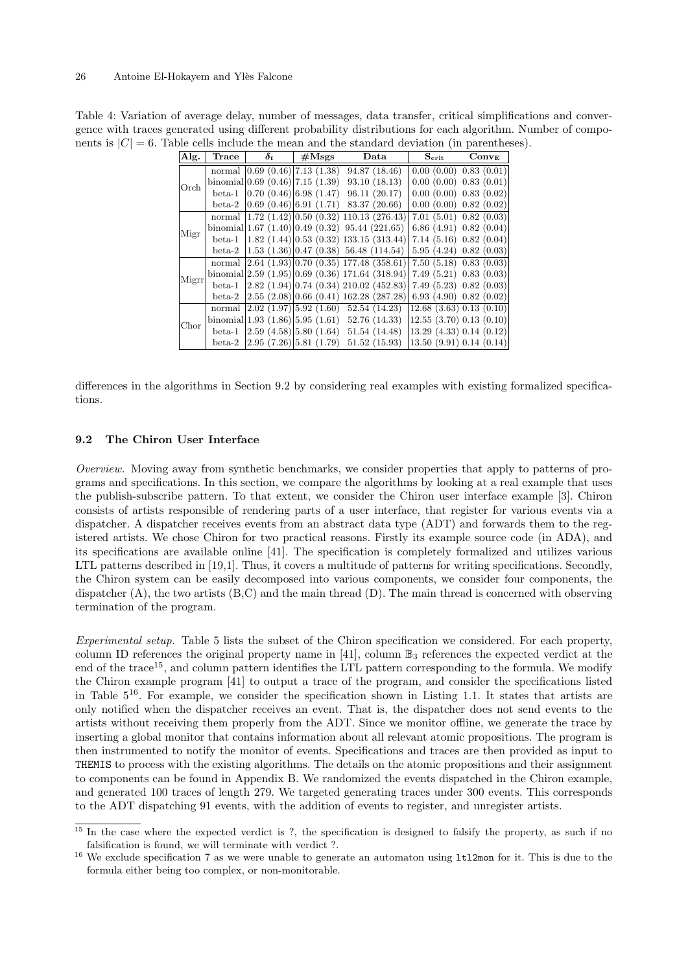| Alg.  | $\operatorname{Trace}$ | $\delta_t$                           | $\#\mathrm{Msgs}$ | Data                                                                                              | $\mathbf{S_{\text{crit}}}$                               | $Conv_{\rm E}$            |
|-------|------------------------|--------------------------------------|-------------------|---------------------------------------------------------------------------------------------------|----------------------------------------------------------|---------------------------|
|       |                        | normal $(0.69 (0.46)   7.13 (1.38))$ |                   | 94.87 (18.46)                                                                                     |                                                          | 0.00(0.00) 0.83(0.01)     |
| Orch  |                        |                                      |                   | binomial $ 0.69(0.46) 7.15(1.39)$ 93.10 (18.13)                                                   |                                                          | $0.00(0.00)$ $0.83(0.01)$ |
|       |                        |                                      |                   | beta-1 $ 0.70(0.46) 6.98(1.47)$ 96.11 (20.17)                                                     |                                                          | $0.00(0.00)$ $0.83(0.02)$ |
|       | $beta-2$               |                                      |                   | $\left 0.69\ (0.46)\right 6.91\ (1.71)$ 83.37 (20.66)                                             | 0.00(0.00) 0.82(0.02)                                    |                           |
|       |                        |                                      |                   | normal $ 1.72 \t(1.42) 0.50 \t(0.32) 110.13 \t(276.43)$                                           |                                                          | 7.01(5.01)0.82(0.03)      |
| Migr  |                        |                                      |                   | binomial $ 1.67 \t(1.40) 0.49 \t(0.32)$ 95.44 (221.65)                                            |                                                          | 6.86(4.91)0.82(0.04)      |
|       | $beta-1$               |                                      |                   | $\left 1.82\ (1.44)\right 0.53\ (0.32)\ 133.15\ (313.44)$                                         |                                                          | 7.14(5.16)0.82(0.04)      |
|       | $beta-2$               |                                      |                   | $(1.53 \ (1.36) \   0.47 \ (0.38) \ 56.48 \ (114.54)$                                             | 5.95(4.24)0.82(0.03)                                     |                           |
|       |                        |                                      |                   | normal $\left[2.64 \right. (1.93) \left[0.70 \right. (0.35) \left[177.48 \right. (358.61)\right]$ | 7.50(5.18)0.83(0.03)                                     |                           |
| Migrr |                        |                                      |                   | binomial $ 2.59(1.95) 0.69(0.36) 171.64(318.94) $                                                 |                                                          | 7.49(5.21)0.83(0.03)      |
|       | $beta-1$               |                                      |                   | $\left 2.82\right\rangle(1.94)\left 0.74\right\rangle(0.34)\left 210.02\right\rangle(452.83)$     |                                                          | 7.49(5.23)0.82(0.03)      |
|       | $beta-2$               |                                      |                   | $(2.55 (2.08) 0.66 (0.41) 162.28 (287.28))$                                                       | 6.93(4.90)0.82(0.02)                                     |                           |
|       | normal                 |                                      |                   | $\left  \frac{2.02}{1.97} \right  \left  \frac{5.92}{1.60} \right $ 52.54 (14.23)                 | (12.68(3.63)0.13(0.10))                                  |                           |
| Chor  |                        |                                      |                   | binomial $ 1.93 \t(1.86) 5.95 \t(1.61) \t52.76 \t(14.33)$                                         | $ 12.55 \; (3.70) \; 0.13 \; (0.10)$                     |                           |
|       | $beta-1$               |                                      |                   | $\vert 2.59 \vert (4.58) \vert 5.80 \vert (1.64)$ 51.54 (14.48)                                   | $\vert 13.29 \vert (4.33) \vert 0.14 \vert (0.12) \vert$ |                           |
|       | $beta-2$               |                                      |                   | $\vert 2.95 \vert (7.26) \vert 5.81 \vert (1.79) \vert 51.52 \vert (15.93) \vert$                 | $\vert 13.50 \; (9.91) \; 0.14 \; (0.14) \vert$          |                           |

<span id="page-25-1"></span>Table 4: Variation of average delay, number of messages, data transfer, critical simplifications and convergence with traces generated using different probability distributions for each algorithm. Number of components is  $|C| = 6$ . Table cells include the mean and the standard deviation (in parentheses).

differences in the algorithms in Section [9.2](#page-25-0) by considering real examples with existing formalized specifications.

### <span id="page-25-0"></span>9.2 The Chiron User Interface

Overview. Moving away from synthetic benchmarks, we consider properties that apply to patterns of programs and specifications. In this section, we compare the algorithms by looking at a real example that uses the publish-subscribe pattern. To that extent, we consider the Chiron user interface example [\[3\]](#page-30-14). Chiron consists of artists responsible of rendering parts of a user interface, that register for various events via a dispatcher. A dispatcher receives events from an abstract data type (ADT) and forwards them to the registered artists. We chose Chiron for two practical reasons. Firstly its example source code (in ADA), and its specifications are available online [\[41\]](#page-31-22). The specification is completely formalized and utilizes various LTL patterns described in [\[19,](#page-30-15)[1\]](#page-30-18). Thus, it covers a multitude of patterns for writing specifications. Secondly, the Chiron system can be easily decomposed into various components, we consider four components, the dispatcher  $(A)$ , the two artists  $(B, C)$  and the main thread  $(D)$ . The main thread is concerned with observing termination of the program.

Experimental setup. Table [5](#page-26-0) lists the subset of the Chiron specification we considered. For each property, column ID references the original property name in [\[41\]](#page-31-22), column  $\mathbb{B}_3$  references the expected verdict at the end of the trace<sup>[15](#page-25-2)</sup>, and column pattern identifies the LTL pattern corresponding to the formula. We modify the Chiron example program [\[41\]](#page-31-22) to output a trace of the program, and consider the specifications listed in Table  $5^{16}$  $5^{16}$  $5^{16}$ . For example, we consider the specification shown in Listing [1.1.](#page-26-1) It states that artists are only notified when the dispatcher receives an event. That is, the dispatcher does not send events to the artists without receiving them properly from the ADT. Since we monitor offline, we generate the trace by inserting a global monitor that contains information about all relevant atomic propositions. The program is then instrumented to notify the monitor of events. Specifications and traces are then provided as input to THEMIS to process with the existing algorithms. The details on the atomic propositions and their assignment to components can be found in Appendix [B.](#page-34-0) We randomized the events dispatched in the Chiron example, and generated 100 traces of length 279. We targeted generating traces under 300 events. This corresponds to the ADT dispatching 91 events, with the addition of events to register, and unregister artists.

<span id="page-25-2"></span> $\frac{15}{15}$  In the case where the expected verdict is ?, the specification is designed to falsify the property, as such if no falsification is found, we will terminate with verdict ?.

<span id="page-25-3"></span><sup>16</sup> We exclude specification 7 as we were unable to generate an automaton using ltl2mon for it. This is due to the formula either being too complex, or non-monitorable.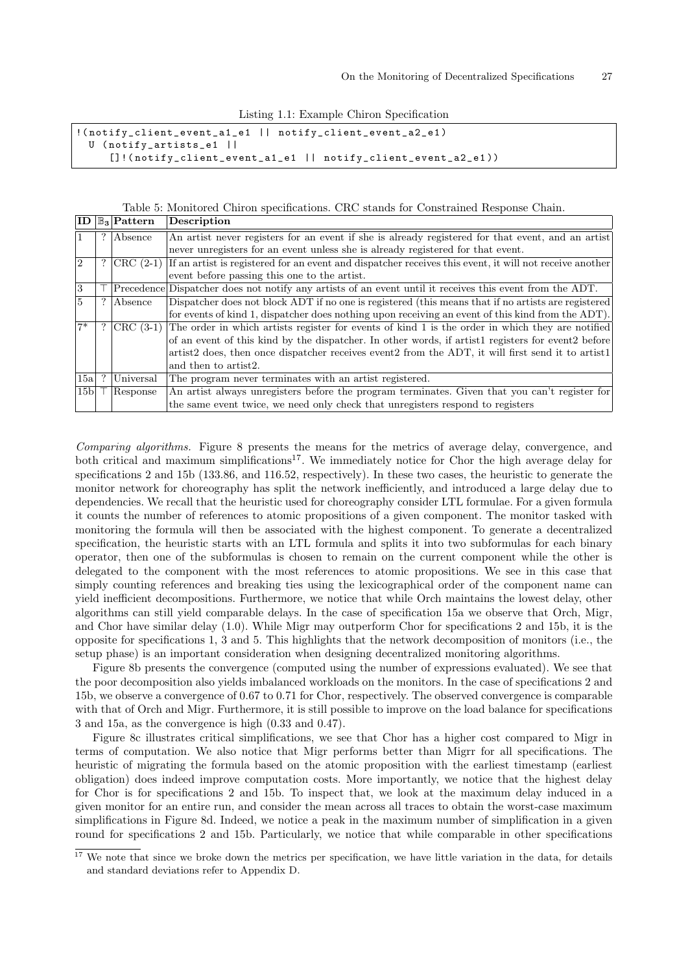|  |  | Listing 1.1: Example Chiron Specification |
|--|--|-------------------------------------------|
|  |  |                                           |

<span id="page-26-1"></span>

| $\frac{1}{\text{0}}$ (notify_client_event_a1_e1   notify_client_event_a2_e1) |  |  |  |
|------------------------------------------------------------------------------|--|--|--|
| U (notify_artists_e1                                                         |  |  |  |
| []!(notify_client_event_a1_e1    notify_client_event_a2_e1))                 |  |  |  |

Table 5: Monitored Chiron specifications. CRC stands for Constrained Response Chain.

<span id="page-26-0"></span>

|                 | $\overline{\mathrm{ID} \mathbb{B}_3  \mathrm{Pattern}}$ | Description                                                                                              |  |  |  |  |  |
|-----------------|---------------------------------------------------------|----------------------------------------------------------------------------------------------------------|--|--|--|--|--|
|                 | ? Absence                                               | An artist never registers for an event if she is already registered for that event, and an artist        |  |  |  |  |  |
|                 |                                                         | never unregisters for an event unless she is already registered for that event.                          |  |  |  |  |  |
| $\overline{2}$  | ? $ {\rm CRC}(2-1) $                                    | If an artist is registered for an event and dispatcher receives this event, it will not receive another  |  |  |  |  |  |
|                 |                                                         | event before passing this one to the artist.                                                             |  |  |  |  |  |
| 3               |                                                         | Precedence Dispatcher does not notify any artists of an event until it receives this event from the ADT. |  |  |  |  |  |
| $\overline{5}$  | Absence                                                 | Dispatcher does not block ADT if no one is registered (this means that if no artists are registered      |  |  |  |  |  |
|                 |                                                         | for events of kind 1, dispatcher does nothing upon receiving an event of this kind from the ADT).        |  |  |  |  |  |
| $7*$            | $\overline{\rm CRC}$ (3-1)                              | The order in which artists register for events of kind 1 is the order in which they are notified         |  |  |  |  |  |
|                 |                                                         | of an event of this kind by the dispatcher. In other words, if artist 1 registers for event 2 before     |  |  |  |  |  |
|                 |                                                         | artist2 does, then once dispatcher receives event2 from the ADT, it will first send it to artist1        |  |  |  |  |  |
|                 |                                                         | and then to artist <sub>2</sub> .                                                                        |  |  |  |  |  |
| 15a             | Universal                                               | The program never terminates with an artist registered.                                                  |  |  |  |  |  |
| 15 <sub>b</sub> | Response                                                | An artist always unregisters before the program terminates. Given that you can't register for            |  |  |  |  |  |
|                 |                                                         | the same event twice, we need only check that unregisters respond to registers                           |  |  |  |  |  |

Comparing algorithms. Figure [8](#page-27-0) presents the means for the metrics of average delay, convergence, and both critical and maximum simplifications<sup>[17](#page-26-2)</sup>. We immediately notice for Chor the high average delay for specifications 2 and 15b (133.86, and 116.52, respectively). In these two cases, the heuristic to generate the monitor network for choreography has split the network inefficiently, and introduced a large delay due to dependencies. We recall that the heuristic used for choreography consider LTL formulae. For a given formula it counts the number of references to atomic propositions of a given component. The monitor tasked with monitoring the formula will then be associated with the highest component. To generate a decentralized specification, the heuristic starts with an LTL formula and splits it into two subformulas for each binary operator, then one of the subformulas is chosen to remain on the current component while the other is delegated to the component with the most references to atomic propositions. We see in this case that simply counting references and breaking ties using the lexicographical order of the component name can yield inefficient decompositions. Furthermore, we notice that while Orch maintains the lowest delay, other algorithms can still yield comparable delays. In the case of specification 15a we observe that Orch, Migr, and Chor have similar delay (1.0). While Migr may outperform Chor for specifications 2 and 15b, it is the opposite for specifications 1, 3 and 5. This highlights that the network decomposition of monitors (i.e., the setup phase) is an important consideration when designing decentralized monitoring algorithms.

Figure [8b](#page-27-1) presents the convergence (computed using the number of expressions evaluated). We see that the poor decomposition also yields imbalanced workloads on the monitors. In the case of specifications 2 and 15b, we observe a convergence of 0.67 to 0.71 for Chor, respectively. The observed convergence is comparable with that of Orch and Migr. Furthermore, it is still possible to improve on the load balance for specifications 3 and 15a, as the convergence is high (0.33 and 0.47).

Figure [8c](#page-27-2) illustrates critical simplifications, we see that Chor has a higher cost compared to Migr in terms of computation. We also notice that Migr performs better than Migrr for all specifications. The heuristic of migrating the formula based on the atomic proposition with the earliest timestamp (earliest obligation) does indeed improve computation costs. More importantly, we notice that the highest delay for Chor is for specifications 2 and 15b. To inspect that, we look at the maximum delay induced in a given monitor for an entire run, and consider the mean across all traces to obtain the worst-case maximum simplifications in Figure [8d.](#page-27-3) Indeed, we notice a peak in the maximum number of simplification in a given round for specifications 2 and 15b. Particularly, we notice that while comparable in other specifications

<span id="page-26-2"></span> $17$  We note that since we broke down the metrics per specification, we have little variation in the data, for details and standard deviations refer to Appendix [D.](#page-35-1)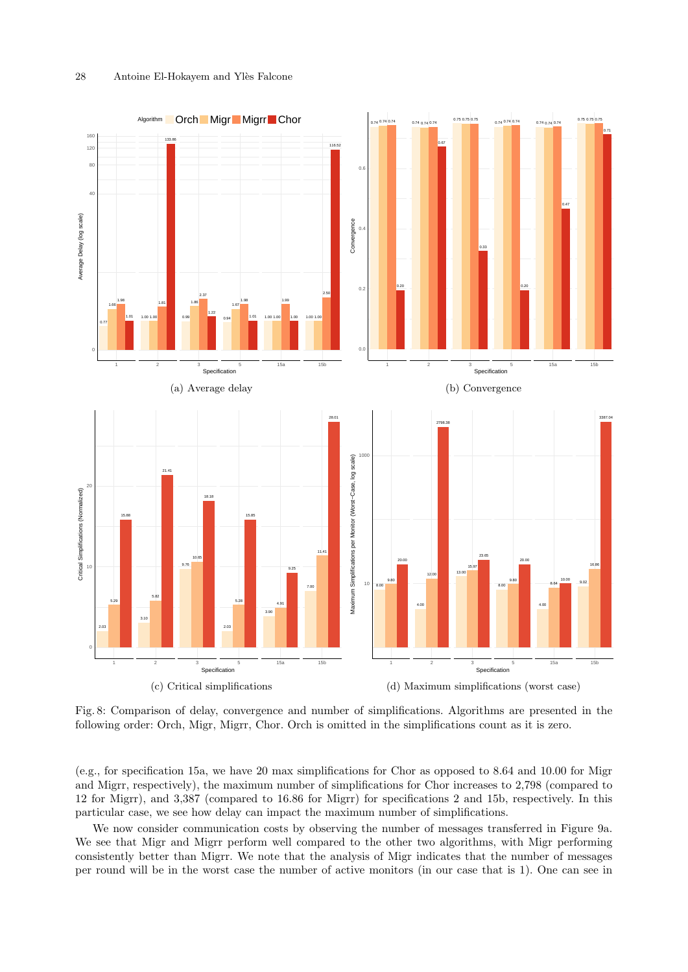<span id="page-27-1"></span><span id="page-27-0"></span>

<span id="page-27-3"></span><span id="page-27-2"></span>Fig. 8: Comparison of delay, convergence and number of simplifications. Algorithms are presented in the following order: Orch, Migr, Migrr, Chor. Orch is omitted in the simplifications count as it is zero.

(e.g., for specification 15a, we have 20 max simplifications for Chor as opposed to 8.64 and 10.00 for Migr and Migrr, respectively), the maximum number of simplifications for Chor increases to 2,798 (compared to 12 for Migrr), and 3,387 (compared to 16.86 for Migrr) for specifications 2 and 15b, respectively. In this particular case, we see how delay can impact the maximum number of simplifications.

We now consider communication costs by observing the number of messages transferred in Figure [9a.](#page-28-1) We see that Migr and Migrr perform well compared to the other two algorithms, with Migr performing consistently better than Migrr. We note that the analysis of Migr indicates that the number of messages per round will be in the worst case the number of active monitors (in our case that is 1). One can see in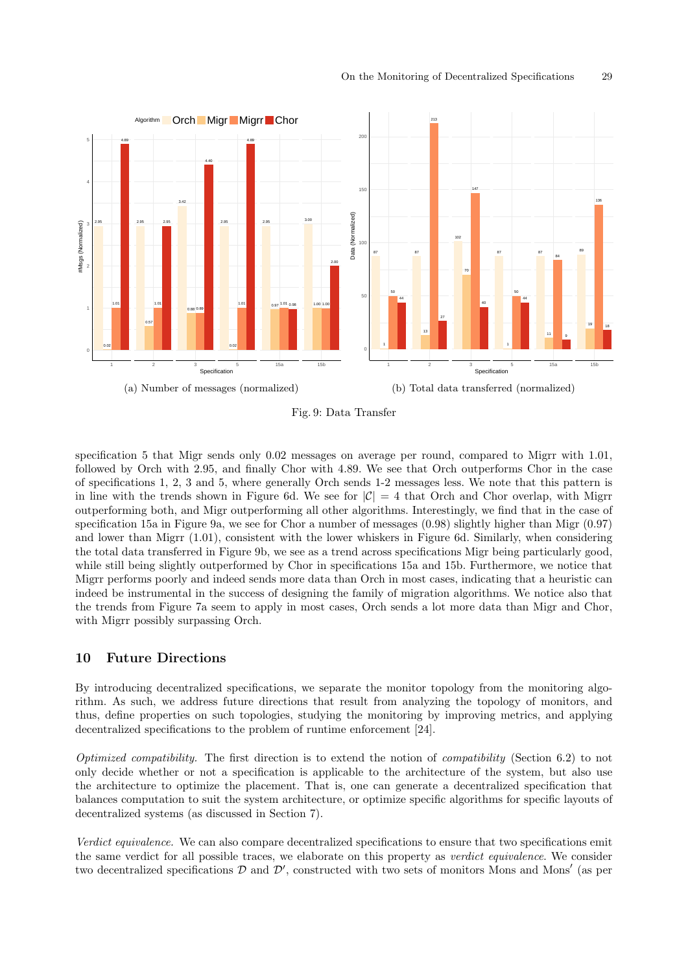<span id="page-28-1"></span>

<span id="page-28-2"></span>Fig. 9: Data Transfer

specification 5 that Migr sends only 0.02 messages on average per round, compared to Migrr with 1.01, followed by Orch with 2.95, and finally Chor with 4.89. We see that Orch outperforms Chor in the case of specifications 1, 2, 3 and 5, where generally Orch sends 1-2 messages less. We note that this pattern is in line with the trends shown in Figure [6d.](#page-23-4) We see for  $|\mathcal{C}| = 4$  that Orch and Chor overlap, with Migrr outperforming both, and Migr outperforming all other algorithms. Interestingly, we find that in the case of specification 15a in Figure [9a,](#page-28-1) we see for Chor a number of messages (0.98) slightly higher than Migr (0.97) and lower than Migrr (1.01), consistent with the lower whiskers in Figure [6d.](#page-23-4) Similarly, when considering the total data transferred in Figure [9b,](#page-28-2) we see as a trend across specifications Migr being particularly good, while still being slightly outperformed by Chor in specifications 15a and 15b. Furthermore, we notice that Migrr performs poorly and indeed sends more data than Orch in most cases, indicating that a heuristic can indeed be instrumental in the success of designing the family of migration algorithms. We notice also that the trends from Figure [7a](#page-24-1) seem to apply in most cases, Orch sends a lot more data than Migr and Chor, with Migrr possibly surpassing Orch.

# <span id="page-28-0"></span>10 Future Directions

By introducing decentralized specifications, we separate the monitor topology from the monitoring algorithm. As such, we address future directions that result from analyzing the topology of monitors, and thus, define properties on such topologies, studying the monitoring by improving metrics, and applying decentralized specifications to the problem of runtime enforcement [\[24\]](#page-31-14).

Optimized compatibility. The first direction is to extend the notion of compatibility (Section [6.2\)](#page-14-1) to not only decide whether or not a specification is applicable to the architecture of the system, but also use the architecture to optimize the placement. That is, one can generate a decentralized specification that balances computation to suit the system architecture, or optimize specific algorithms for specific layouts of decentralized systems (as discussed in Section [7\)](#page-15-0).

Verdict equivalence. We can also compare decentralized specifications to ensure that two specifications emit the same verdict for all possible traces, we elaborate on this property as verdict equivalence. We consider two decentralized specifications  $D$  and  $D'$ , constructed with two sets of monitors Mons and Mons' (as per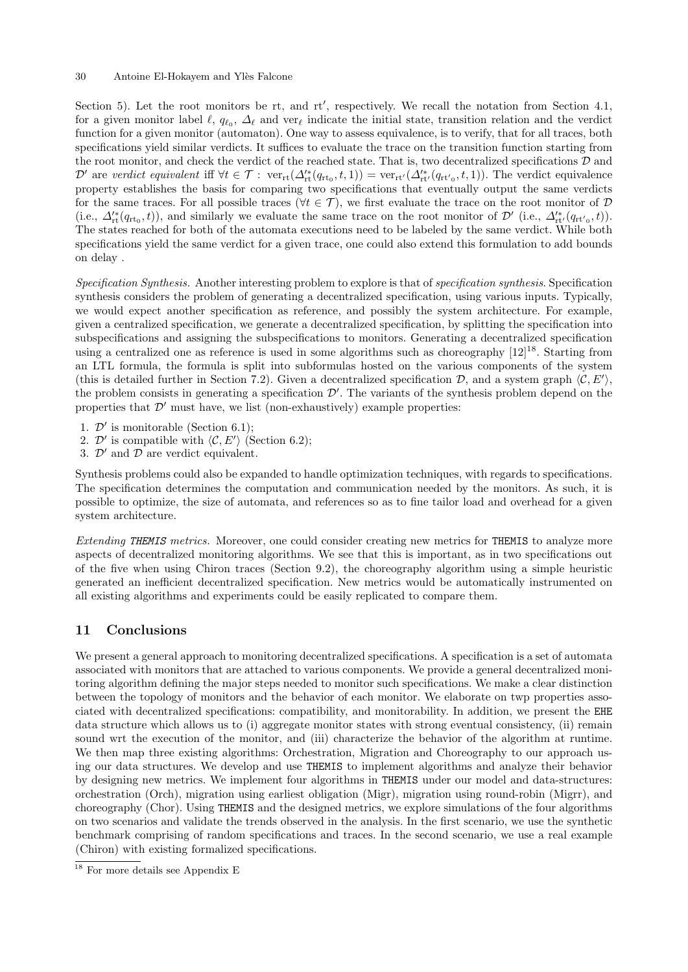Section [5\)](#page-10-0). Let the root monitors be rt, and rt', respectively. We recall the notation from Section [4.1,](#page-6-0) for a given monitor label  $\ell, q_{\ell_0}, \Delta_{\ell}$  and ver<sub> $\ell$ </sub> indicate the initial state, transition relation and the verdict function for a given monitor (automaton). One way to assess equivalence, is to verify, that for all traces, both specifications yield similar verdicts. It suffices to evaluate the trace on the transition function starting from the root monitor, and check the verdict of the reached state. That is, two decentralized specifications  $\mathcal D$  and  $\mathcal{D}'$  are verdict equivalent iff  $\forall t \in \mathcal{T} : \text{ver}_{rt}(\Delta_{rt}^*(q_{rt_0}, t, 1)) = \text{ver}_{rt'}(\Delta_{rt'}^{**}(q_{rt'_0}, t, 1)).$  The verdict equivalence property establishes the basis for comparing two specifications that eventually output the same verdicts for the same traces. For all possible traces ( $\forall t \in \mathcal{T}$ ), we first evaluate the trace on the root monitor of  $\mathcal{D}$ (i.e.,  $\Delta_{\rm rt}^{\prime\ast}(q_{\rm rt_0},t)$ ), and similarly we evaluate the same trace on the root monitor of  $\mathcal{D}'$  (i.e.,  $\Delta_{\rm rt'}^{\prime\ast}(q_{\rm rt',0},t)$ ). The states reached for both of the automata executions need to be labeled by the same verdict. While both specifications yield the same verdict for a given trace, one could also extend this formulation to add bounds on delay .

<span id="page-29-1"></span>Specification Synthesis. Another interesting problem to explore is that of specification synthesis. Specification synthesis considers the problem of generating a decentralized specification, using various inputs. Typically, we would expect another specification as reference, and possibly the system architecture. For example, given a centralized specification, we generate a decentralized specification, by splitting the specification into subspecifications and assigning the subspecifications to monitors. Generating a decentralized specification using a centralized one as reference is used in some algorithms such as choreography  $[12]^{18}$  $[12]^{18}$  $[12]^{18}$  $[12]^{18}$ . Starting from an LTL formula, the formula is split into subformulas hosted on the various components of the system (this is detailed further in Section [7.2\)](#page-17-0). Given a decentralized specification  $\mathcal{D}$ , and a system graph  $\langle \mathcal{C}, E' \rangle$ , the problem consists in generating a specification  $\mathcal{D}'$ . The variants of the synthesis problem depend on the properties that  $\mathcal{D}'$  must have, we list (non-exhaustively) example properties:

- 1.  $\mathcal{D}'$  is monitorable (Section [6.1\)](#page-12-2);
- 2. D' is compatible with  $\langle C, E' \rangle$  (Section [6.2\)](#page-14-1);
- 3.  $\mathcal{D}'$  and  $\mathcal{D}$  are verdict equivalent.

Synthesis problems could also be expanded to handle optimization techniques, with regards to specifications. The specification determines the computation and communication needed by the monitors. As such, it is possible to optimize, the size of automata, and references so as to fine tailor load and overhead for a given system architecture.

Extending THEMIS metrics. Moreover, one could consider creating new metrics for THEMIS to analyze more aspects of decentralized monitoring algorithms. We see that this is important, as in two specifications out of the five when using Chiron traces (Section [9.2\)](#page-25-0), the choreography algorithm using a simple heuristic generated an inefficient decentralized specification. New metrics would be automatically instrumented on all existing algorithms and experiments could be easily replicated to compare them.

# <span id="page-29-0"></span>11 Conclusions

We present a general approach to monitoring decentralized specifications. A specification is a set of automata associated with monitors that are attached to various components. We provide a general decentralized monitoring algorithm defining the major steps needed to monitor such specifications. We make a clear distinction between the topology of monitors and the behavior of each monitor. We elaborate on twp properties associated with decentralized specifications: compatibility, and monitorability. In addition, we present the EHE data structure which allows us to (i) aggregate monitor states with strong eventual consistency, (ii) remain sound wrt the execution of the monitor, and (iii) characterize the behavior of the algorithm at runtime. We then map three existing algorithms: Orchestration, Migration and Choreography to our approach using our data structures. We develop and use THEMIS to implement algorithms and analyze their behavior by designing new metrics. We implement four algorithms in THEMIS under our model and data-structures: orchestration (Orch), migration using earliest obligation (Migr), migration using round-robin (Migrr), and choreography (Chor). Using THEMIS and the designed metrics, we explore simulations of the four algorithms on two scenarios and validate the trends observed in the analysis. In the first scenario, we use the synthetic benchmark comprising of random specifications and traces. In the second scenario, we use a real example (Chiron) with existing formalized specifications.

<span id="page-29-2"></span> $18$  For more details see Appendix [E](#page-36-0)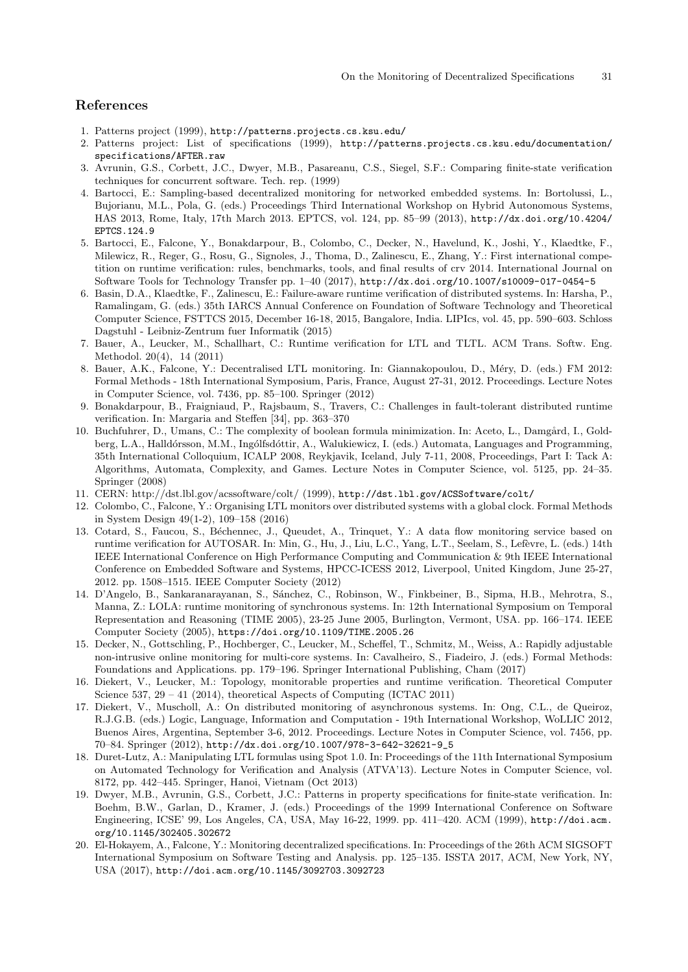# References

- <span id="page-30-18"></span>1. Patterns project (1999), <http://patterns.projects.cs.ksu.edu/>
- <span id="page-30-19"></span>2. Patterns project: List of specifications (1999), [http://patterns.projects.cs.ksu.edu/documentation/](http://patterns.projects.cs.ksu.edu/documentation/specifications/AFTER.raw) [specifications/AFTER.raw](http://patterns.projects.cs.ksu.edu/documentation/specifications/AFTER.raw)
- <span id="page-30-14"></span>3. Avrunin, G.S., Corbett, J.C., Dwyer, M.B., Pasareanu, C.S., Siegel, S.F.: Comparing finite-state verification techniques for concurrent software. Tech. rep. (1999)
- <span id="page-30-5"></span>4. Bartocci, E.: Sampling-based decentralized monitoring for networked embedded systems. In: Bortolussi, L., Bujorianu, M.L., Pola, G. (eds.) Proceedings Third International Workshop on Hybrid Autonomous Systems, HAS 2013, Rome, Italy, 17th March 2013. EPTCS, vol. 124, pp. 85–99 (2013), [http://dx.doi.org/10.4204/](http://dx.doi.org/10.4204/EPTCS.124.9) [EPTCS.124.9](http://dx.doi.org/10.4204/EPTCS.124.9)
- <span id="page-30-0"></span>5. Bartocci, E., Falcone, Y., Bonakdarpour, B., Colombo, C., Decker, N., Havelund, K., Joshi, Y., Klaedtke, F., Milewicz, R., Reger, G., Rosu, G., Signoles, J., Thoma, D., Zalinescu, E., Zhang, Y.: First international competition on runtime verification: rules, benchmarks, tools, and final results of crv 2014. International Journal on Software Tools for Technology Transfer pp. 1–40 (2017), <http://dx.doi.org/10.1007/s10009-017-0454-5>
- <span id="page-30-9"></span>6. Basin, D.A., Klaedtke, F., Zalinescu, E.: Failure-aware runtime verification of distributed systems. In: Harsha, P., Ramalingam, G. (eds.) 35th IARCS Annual Conference on Foundation of Software Technology and Theoretical Computer Science, FSTTCS 2015, December 16-18, 2015, Bangalore, India. LIPIcs, vol. 45, pp. 590–603. Schloss Dagstuhl - Leibniz-Zentrum fuer Informatik (2015)
- <span id="page-30-6"></span>7. Bauer, A., Leucker, M., Schallhart, C.: Runtime verification for LTL and TLTL. ACM Trans. Softw. Eng. Methodol. 20(4), 14 (2011)
- <span id="page-30-2"></span>8. Bauer, A.K., Falcone, Y.: Decentralised LTL monitoring. In: Giannakopoulou, D., Méry, D. (eds.) FM 2012: Formal Methods - 18th International Symposium, Paris, France, August 27-31, 2012. Proceedings. Lecture Notes in Computer Science, vol. 7436, pp. 85–100. Springer (2012)
- <span id="page-30-3"></span>9. Bonakdarpour, B., Fraigniaud, P., Rajsbaum, S., Travers, C.: Challenges in fault-tolerant distributed runtime verification. In: Margaria and Steffen [\[34\]](#page-31-23), pp. 363–370
- <span id="page-30-13"></span>10. Buchfuhrer, D., Umans, C.: The complexity of boolean formula minimization. In: Aceto, L., Damgård, I., Goldberg, L.A., Halldórsson, M.M., Ingólfsdóttir, A., Walukiewicz, I. (eds.) Automata, Languages and Programming, 35th International Colloquium, ICALP 2008, Reykjavik, Iceland, July 7-11, 2008, Proceedings, Part I: Tack A: Algorithms, Automata, Complexity, and Games. Lecture Notes in Computer Science, vol. 5125, pp. 24–35. Springer (2008)
- <span id="page-30-17"></span>11. CERN: http://dst.lbl.gov/acssoftware/colt/ (1999), <http://dst.lbl.gov/ACSSoftware/colt/>
- <span id="page-30-4"></span>12. Colombo, C., Falcone, Y.: Organising LTL monitors over distributed systems with a global clock. Formal Methods in System Design 49(1-2), 109–158 (2016)
- <span id="page-30-1"></span>13. Cotard, S., Faucou, S., Béchennec, J., Queudet, A., Trinquet, Y.: A data flow monitoring service based on runtime verification for AUTOSAR. In: Min, G., Hu, J., Liu, L.C., Yang, L.T., Seelam, S., Lef`evre, L. (eds.) 14th IEEE International Conference on High Performance Computing and Communication & 9th IEEE International Conference on Embedded Software and Systems, HPCC-ICESS 2012, Liverpool, United Kingdom, June 25-27, 2012. pp. 1508–1515. IEEE Computer Society (2012)
- <span id="page-30-11"></span>14. D'Angelo, B., Sankaranarayanan, S., S´anchez, C., Robinson, W., Finkbeiner, B., Sipma, H.B., Mehrotra, S., Manna, Z.: LOLA: runtime monitoring of synchronous systems. In: 12th International Symposium on Temporal Representation and Reasoning (TIME 2005), 23-25 June 2005, Burlington, Vermont, USA. pp. 166–174. IEEE Computer Society (2005), <https://doi.org/10.1109/TIME.2005.26>
- <span id="page-30-12"></span>15. Decker, N., Gottschling, P., Hochberger, C., Leucker, M., Scheffel, T., Schmitz, M., Weiss, A.: Rapidly adjustable non-intrusive online monitoring for multi-core systems. In: Cavalheiro, S., Fiadeiro, J. (eds.) Formal Methods: Foundations and Applications. pp. 179–196. Springer International Publishing, Cham (2017)
- <span id="page-30-7"></span>16. Diekert, V., Leucker, M.: Topology, monitorable properties and runtime verification. Theoretical Computer Science 537, 29 – 41 (2014), theoretical Aspects of Computing (ICTAC 2011)
- <span id="page-30-10"></span>17. Diekert, V., Muscholl, A.: On distributed monitoring of asynchronous systems. In: Ong, C.L., de Queiroz, R.J.G.B. (eds.) Logic, Language, Information and Computation - 19th International Workshop, WoLLIC 2012, Buenos Aires, Argentina, September 3-6, 2012. Proceedings. Lecture Notes in Computer Science, vol. 7456, pp. 70–84. Springer (2012), [http://dx.doi.org/10.1007/978-3-642-32621-9\\_5](http://dx.doi.org/10.1007/978-3-642-32621-9_5)
- <span id="page-30-16"></span>18. Duret-Lutz, A.: Manipulating LTL formulas using Spot 1.0. In: Proceedings of the 11th International Symposium on Automated Technology for Verification and Analysis (ATVA'13). Lecture Notes in Computer Science, vol. 8172, pp. 442–445. Springer, Hanoi, Vietnam (Oct 2013)
- <span id="page-30-15"></span>19. Dwyer, M.B., Avrunin, G.S., Corbett, J.C.: Patterns in property specifications for finite-state verification. In: Boehm, B.W., Garlan, D., Kramer, J. (eds.) Proceedings of the 1999 International Conference on Software Engineering, ICSE' 99, Los Angeles, CA, USA, May 16-22, 1999. pp. 411–420. ACM (1999), [http://doi.acm.](http://doi.acm.org/10.1145/302405.302672) [org/10.1145/302405.302672](http://doi.acm.org/10.1145/302405.302672)
- <span id="page-30-8"></span>20. El-Hokayem, A., Falcone, Y.: Monitoring decentralized specifications. In: Proceedings of the 26th ACM SIGSOFT International Symposium on Software Testing and Analysis. pp. 125–135. ISSTA 2017, ACM, New York, NY, USA (2017), <http://doi.acm.org/10.1145/3092703.3092723>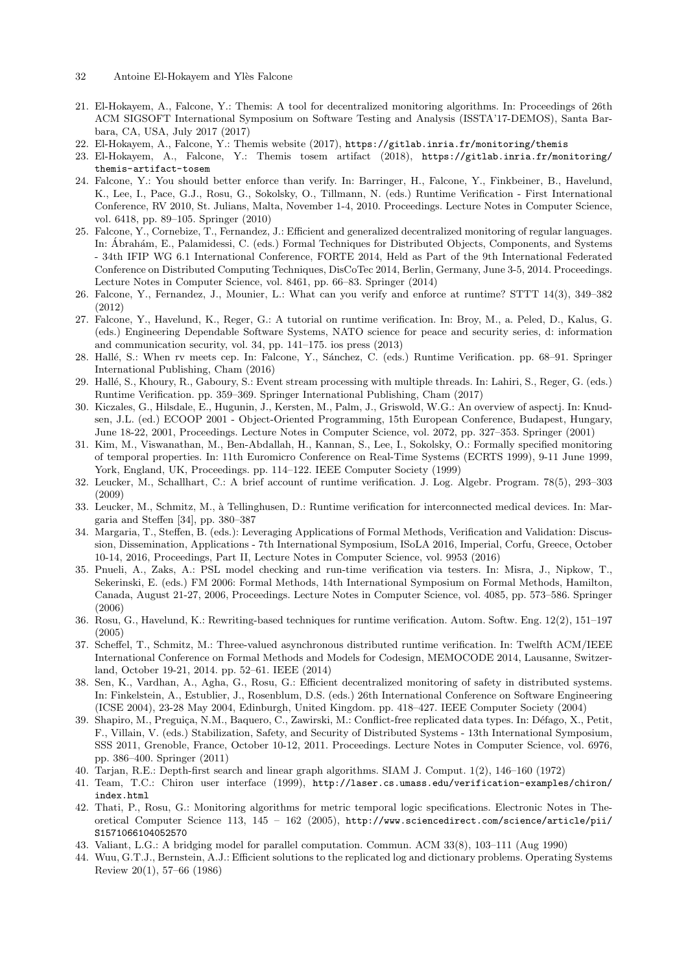- <span id="page-31-19"></span>21. El-Hokayem, A., Falcone, Y.: Themis: A tool for decentralized monitoring algorithms. In: Proceedings of 26th ACM SIGSOFT International Symposium on Software Testing and Analysis (ISSTA'17-DEMOS), Santa Barbara, CA, USA, July 2017 (2017)
- <span id="page-31-20"></span>22. El-Hokayem, A., Falcone, Y.: Themis website (2017), <https://gitlab.inria.fr/monitoring/themis>
- <span id="page-31-21"></span>23. El-Hokayem, A., Falcone, Y.: Themis tosem artifact (2018), [https://gitlab.inria.fr/monitoring/](https://gitlab.inria.fr/monitoring/themis-artifact-tosem) [themis-artifact-tosem](https://gitlab.inria.fr/monitoring/themis-artifact-tosem)
- <span id="page-31-14"></span>24. Falcone, Y.: You should better enforce than verify. In: Barringer, H., Falcone, Y., Finkbeiner, B., Havelund, K., Lee, I., Pace, G.J., Rosu, G., Sokolsky, O., Tillmann, N. (eds.) Runtime Verification - First International Conference, RV 2010, St. Julians, Malta, November 1-4, 2010. Proceedings. Lecture Notes in Computer Science, vol. 6418, pp. 89–105. Springer (2010)
- <span id="page-31-3"></span>25. Falcone, Y., Cornebize, T., Fernandez, J.: Efficient and generalized decentralized monitoring of regular languages. In: Ábrahám, E., Palamidessi, C. (eds.) Formal Techniques for Distributed Objects, Components, and Systems - 34th IFIP WG 6.1 International Conference, FORTE 2014, Held as Part of the 9th International Federated Conference on Distributed Computing Techniques, DisCoTec 2014, Berlin, Germany, June 3-5, 2014. Proceedings. Lecture Notes in Computer Science, vol. 8461, pp. 66–83. Springer (2014)
- <span id="page-31-7"></span>26. Falcone, Y., Fernandez, J., Mounier, L.: What can you verify and enforce at runtime? STTT 14(3), 349–382 (2012)
- <span id="page-31-1"></span>27. Falcone, Y., Havelund, K., Reger, G.: A tutorial on runtime verification. In: Broy, M., a. Peled, D., Kalus, G. (eds.) Engineering Dependable Software Systems, NATO science for peace and security series, d: information and communication security, vol. 34, pp. 141–175. ios press (2013)
- <span id="page-31-12"></span>28. Hallé, S.: When rv meets cep. In: Falcone, Y., Sánchez, C. (eds.) Runtime Verification. pp. 68–91. Springer International Publishing, Cham (2016)
- <span id="page-31-13"></span>29. Hall´e, S., Khoury, R., Gaboury, S.: Event stream processing with multiple threads. In: Lahiri, S., Reger, G. (eds.) Runtime Verification. pp. 359–369. Springer International Publishing, Cham (2017)
- <span id="page-31-18"></span>30. Kiczales, G., Hilsdale, E., Hugunin, J., Kersten, M., Palm, J., Griswold, W.G.: An overview of aspectj. In: Knudsen, J.L. (ed.) ECOOP 2001 - Object-Oriented Programming, 15th European Conference, Budapest, Hungary, June 18-22, 2001, Proceedings. Lecture Notes in Computer Science, vol. 2072, pp. 327–353. Springer (2001)
- <span id="page-31-5"></span>31. Kim, M., Viswanathan, M., Ben-Abdallah, H., Kannan, S., Lee, I., Sokolsky, O.: Formally specified monitoring of temporal properties. In: 11th Euromicro Conference on Real-Time Systems (ECRTS 1999), 9-11 June 1999, York, England, UK, Proceedings. pp. 114–122. IEEE Computer Society (1999)
- <span id="page-31-0"></span>32. Leucker, M., Schallhart, C.: A brief account of runtime verification. J. Log. Algebr. Program. 78(5), 293–303 (2009)
- <span id="page-31-2"></span>33. Leucker, M., Schmitz, M., à Tellinghusen, D.: Runtime verification for interconnected medical devices. In: Margaria and Steffen [\[34\]](#page-31-23), pp. 380–387
- <span id="page-31-23"></span>34. Margaria, T., Steffen, B. (eds.): Leveraging Applications of Formal Methods, Verification and Validation: Discussion, Dissemination, Applications - 7th International Symposium, ISoLA 2016, Imperial, Corfu, Greece, October 10-14, 2016, Proceedings, Part II, Lecture Notes in Computer Science, vol. 9953 (2016)
- <span id="page-31-6"></span>35. Pnueli, A., Zaks, A.: PSL model checking and run-time verification via testers. In: Misra, J., Nipkow, T., Sekerinski, E. (eds.) FM 2006: Formal Methods, 14th International Symposium on Formal Methods, Hamilton, Canada, August 21-27, 2006, Proceedings. Lecture Notes in Computer Science, vol. 4085, pp. 573–586. Springer (2006)
- <span id="page-31-4"></span>36. Rosu, G., Havelund, K.: Rewriting-based techniques for runtime verification. Autom. Softw. Eng. 12(2), 151–197 (2005)
- <span id="page-31-11"></span>37. Scheffel, T., Schmitz, M.: Three-valued asynchronous distributed runtime verification. In: Twelfth ACM/IEEE International Conference on Formal Methods and Models for Codesign, MEMOCODE 2014, Lausanne, Switzerland, October 19-21, 2014. pp. 52–61. IEEE (2014)
- <span id="page-31-10"></span>38. Sen, K., Vardhan, A., Agha, G., Rosu, G.: Efficient decentralized monitoring of safety in distributed systems. In: Finkelstein, A., Estublier, J., Rosenblum, D.S. (eds.) 26th International Conference on Software Engineering (ICSE 2004), 23-28 May 2004, Edinburgh, United Kingdom. pp. 418–427. IEEE Computer Society (2004)
- <span id="page-31-8"></span>39. Shapiro, M., Preguiça, N.M., Baquero, C., Zawirski, M.: Conflict-free replicated data types. In: Défago, X., Petit, F., Villain, V. (eds.) Stabilization, Safety, and Security of Distributed Systems - 13th International Symposium, SSS 2011, Grenoble, France, October 10-12, 2011. Proceedings. Lecture Notes in Computer Science, vol. 6976, pp. 386–400. Springer (2011)
- <span id="page-31-15"></span>40. Tarjan, R.E.: Depth-first search and linear graph algorithms. SIAM J. Comput. 1(2), 146–160 (1972)
- <span id="page-31-22"></span>41. Team, T.C.: Chiron user interface (1999), [http://laser.cs.umass.edu/verification-examples/chiron/](http://laser.cs.umass.edu/verification-examples/chiron/index.html) [index.html](http://laser.cs.umass.edu/verification-examples/chiron/index.html)
- <span id="page-31-9"></span>42. Thati, P., Rosu, G.: Monitoring algorithms for metric temporal logic specifications. Electronic Notes in Theoretical Computer Science 113, 145 – 162 (2005), [http://www.sciencedirect.com/science/article/pii/](http://www.sciencedirect.com/science/article/pii/S1571066104052570) [S1571066104052570](http://www.sciencedirect.com/science/article/pii/S1571066104052570)
- <span id="page-31-17"></span>43. Valiant, L.G.: A bridging model for parallel computation. Commun. ACM 33(8), 103–111 (Aug 1990)
- <span id="page-31-16"></span>44. Wuu, G.T.J., Bernstein, A.J.: Efficient solutions to the replicated log and dictionary problems. Operating Systems Review 20(1), 57–66 (1986)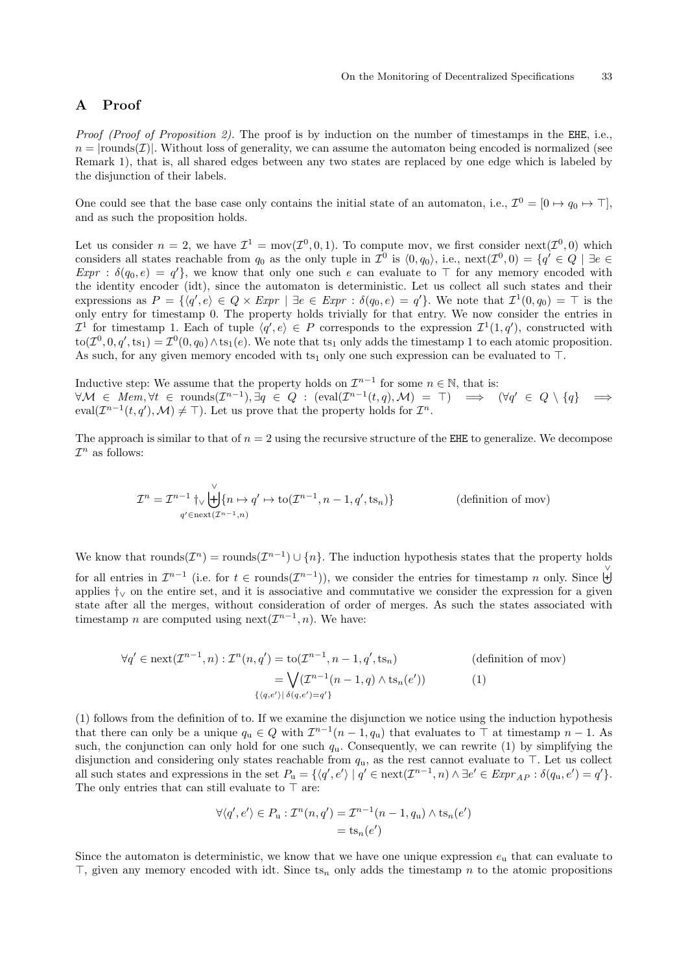# <span id="page-32-0"></span>A Proof

Proof (Proof of Proposition [2\)](#page-8-0). The proof is by induction on the number of timestamps in the EHE, i.e.,  $n = |$ rounds(*T*). Without loss of generality, we can assume the automaton being encoded is normalized (see Remark [1\)](#page-6-5), that is, all shared edges between any two states are replaced by one edge which is labeled by the disjunction of their labels.

One could see that the base case only contains the initial state of an automaton, i.e.,  $\mathcal{I}^0 = [0 \mapsto q_0 \mapsto \top]$ , and as such the proposition holds.

Let us consider  $n = 2$ , we have  $\mathcal{I}^1 = \text{mov}(\mathcal{I}^0, 0, 1)$ . To compute mov, we first consider next $(\mathcal{I}^0, 0)$  which considers all states reachable from  $q_0$  as the only tuple in  $\mathcal{I}^0$  is  $\langle 0, q_0 \rangle$ , i.e.,  $\text{next}(\mathcal{I}^0, 0) = \{q' \in Q \mid \exists e \in \mathcal{I} \mid d \leq 1 \}$  $\text{Expr : } \delta(q_0, e) = q'$ , we know that only one such e can evaluate to  $\top$  for any memory encoded with the identity encoder (idt), since the automaton is deterministic. Let us collect all such states and their expressions as  $P = \{ \langle q', e \rangle \in Q \times \mathbb{E}xpr \mid \exists e \in \mathbb{E}xpr : \delta(q_0, e) = q' \}.$  We note that  $\mathcal{I}^1(0, q_0) = \top$  is the only entry for timestamp 0. The property holds trivially for that entry. We now consider the entries in  $\mathcal{I}^1$  for timestamp 1. Each of tuple  $\langle q', e \rangle \in P$  corresponds to the expression  $\mathcal{I}^1(1,q')$ , constructed with  $\text{to}(\mathcal{I}^0, 0, q', \text{ts}_1) = \mathcal{I}^0(0, q_0) \wedge \text{ts}_1(e)$ . We note that  $\text{ts}_1$  only adds the timestamp 1 to each atomic proposition. As such, for any given memory encoded with  $ts_1$  only one such expression can be evaluated to  $\top$ .

Inductive step: We assume that the property holds on  $\mathcal{I}^{n-1}$  for some  $n \in \mathbb{N}$ , that is:  $\forall \mathcal{M} \in \text{Mem}, \forall t \in \text{rounds}(\mathcal{I}^{n-1}), \exists q \in Q : (\text{eval}(\mathcal{I}^{n-1}(t,q), \mathcal{M}) = \top) \implies (\forall q' \in Q \setminus \{q\}) \implies$ eval $(\mathcal{I}^{n-1}(t,q'),\mathcal{M})\neq \top$ ). Let us prove that the property holds for  $\mathcal{I}^n$ .

The approach is similar to that of  $n = 2$  using the recursive structure of the EHE to generalize. We decompose  $\mathcal{I}^n$  as follows:

$$
\mathcal{I}^n = \mathcal{I}^{n-1} \uparrow \bigcup_{q' \in \text{next}(\mathcal{I}^{n-1}, n)}^{\vee} \{n \mapsto q' \mapsto \text{to}(\mathcal{I}^{n-1}, n-1, q', \text{ts}_n)\}\n\tag{definition of \text{mov}}
$$

We know that rounds $(\mathcal{I}^n)$  = rounds $(\mathcal{I}^{n-1}) \cup \{n\}$ . The induction hypothesis states that the property holds

for all entries in  $\mathcal{I}^{n-1}$  (i.e. for  $t \in \text{rounds}(\mathcal{I}^{n-1})$ ), we consider the entries for timestamp n only. Since  $\biguplus$ applies  $\dagger$ ∨ on the entire set, and it is associative and commutative we consider the expression for a given state after all the merges, without consideration of order of merges. As such the states associated with timestamp *n* are computed using next $(\mathcal{I}^{n-1}, n)$ . We have:

$$
\forall q' \in \text{next}(\mathcal{I}^{n-1}, n) : \mathcal{I}^n(n, q') = \text{to}(\mathcal{I}^{n-1}, n-1, q', \text{ts}_n)
$$
\n
$$
= \bigvee_{\{(q, e') \mid \delta(q, e') = q'\}} (\mathcal{I}^{n-1}(n-1, q) \wedge \text{ts}_n(e')) \tag{1}
$$

(1) follows from the definition of to. If we examine the disjunction we notice using the induction hypothesis that there can only be a unique  $q_u \in Q$  with  $\mathcal{I}^{n-1}(n-1,q_u)$  that evaluates to  $\top$  at timestamp  $n-1$ . As such, the conjunction can only hold for one such  $q_u$ . Consequently, we can rewrite (1) by simplifying the disjunction and considering only states reachable from  $q_u$ , as the rest cannot evaluate to  $\top$ . Let us collect all such states and expressions in the set  $P_u = \{ \langle q', e' \rangle \mid q' \in \text{next}(\mathcal{I}^{n-1}, n) \land \exists e' \in \text{Expr}_{AP} : \delta(q_u, e') = q' \}.$ The only entries that can still evaluate to  $\top$  are:

$$
\forall \langle q', e' \rangle \in P_u : \mathcal{I}^n(n, q') = \mathcal{I}^{n-1}(n-1, q_u) \wedge \text{ts}_n(e')
$$
  
= 
$$
\text{ts}_n(e')
$$

Since the automaton is deterministic, we know that we have one unique expression  $e_u$  that can evaluate to  $\top$ , given any memory encoded with idt. Since ts<sub>n</sub> only adds the timestamp n to the atomic propositions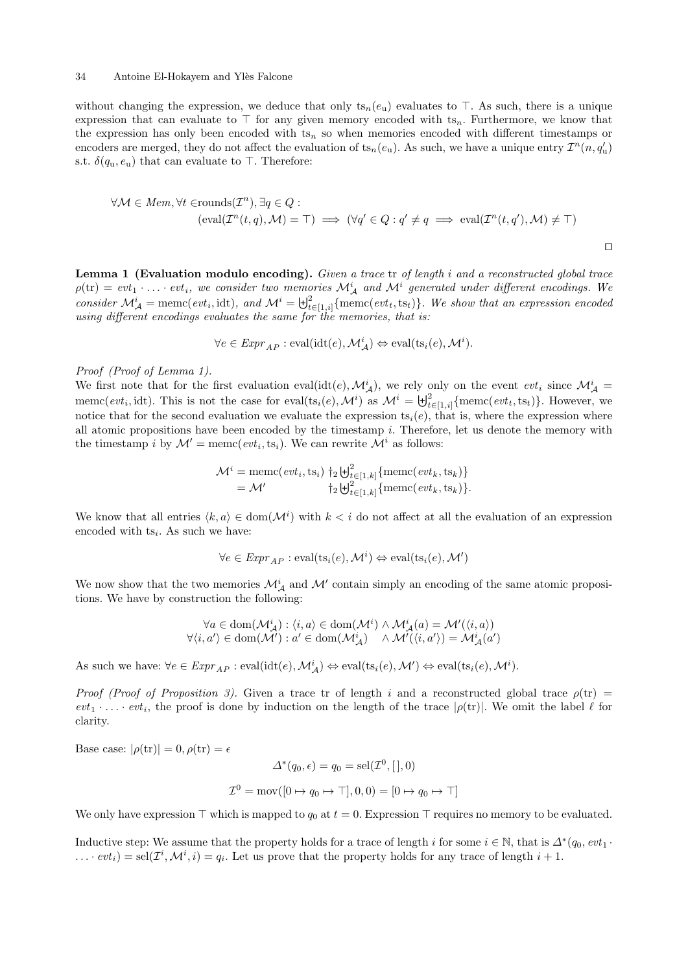without changing the expression, we deduce that only  $ts_n(e_u)$  evaluates to  $\top$ . As such, there is a unique expression that can evaluate to  $\top$  for any given memory encoded with ts<sub>n</sub>. Furthermore, we know that the expression has only been encoded with  $ts_n$  so when memories encoded with different timestamps or encoders are merged, they do not affect the evaluation of  $ts_n(e_u)$ . As such, we have a unique entry  $\mathcal{I}^n(n, q'_u)$ s.t.  $\delta(q_{\rm u}, e_{\rm u})$  that can evaluate to  $\top$ . Therefore:

$$
\forall \mathcal{M} \in \text{Mem}, \forall t \in \text{rounds}(\mathcal{I}^n), \exists q \in Q : \text{ } (\forall q' \in Q : q' \neq q \implies \text{eval}(\mathcal{I}^n(t, q'), \mathcal{M}) \neq \top)
$$

 $\Box$ 

<span id="page-33-0"></span>Lemma 1 (Evaluation modulo encoding). Given a trace tr of length i and a reconstructed global trace  $\rho(\text{tr}) = \text{evt}_1 \cdot \ldots \cdot \text{evt}_i$ , we consider two memories  $\mathcal{M}_{\mathcal{A}}^i$  and  $\mathcal{M}^i$  generated under different encodings. We consider  $\mathcal{M}_{\mathcal{A}}^i$  = memc(evt<sub>i</sub>, idt), and  $\mathcal{M}^i = \biguplus_{t \in [1,i]}^2 \{\text{memc}(evt_t, ts_t)\}.$  We show that an expression encoded using different encodings evaluates the same for the memories, that is:

$$
\forall e \in \mathit{Expr}_{AP} : \mathrm{eval}(\mathrm{idt}(e), \mathcal{M}_{\mathcal{A}}^i) \Leftrightarrow \mathrm{eval}(\mathrm{ts}_i(e), \mathcal{M}^i).
$$

### Proof (Proof of Lemma [1\)](#page-33-0).

We first note that for the first evaluation eval(idt(e),  $\mathcal{M}_{\mathcal{A}}^{i}$ ), we rely only on the event evt<sub>i</sub> since  $\mathcal{M}_{\mathcal{A}}^{i}$  = memc( $evt_i$ , idt). This is not the case for eval(ts<sub>i</sub>(e),  $\mathcal{M}^i$ ) as  $\mathcal{M}^i = \biguplus_{t \in [1,i]}^2 \{\text{memc}(evt_t, ts_t)\}.$  However, we notice that for the second evaluation we evaluate the expression ts<sub>i</sub>(e), that is, where the expression where all atomic propositions have been encoded by the timestamp  $i$ . Therefore, let us denote the memory with the timestamp *i* by  $\mathcal{M}' = \text{memc}(evt_i, ts_i)$ . We can rewrite  $\mathcal{M}^i$  as follows:

$$
\mathcal{M}^i = \text{memc}(evt_i, \text{ts}_i) \uparrow_2 \biguplus_{t \in [1, k]}^2 \{\text{memc}(evt_k, \text{ts}_k)\} = \mathcal{M}' \qquad \qquad \uparrow_2 \biguplus_{t \in [1, k]}^2 \{\text{memc}(evt_k, \text{ts}_k)\}.
$$

We know that all entries  $\langle k, a \rangle \in \text{dom}(\mathcal{M}^i)$  with  $k < i$  do not affect at all the evaluation of an expression encoded with  $ts_i$ . As such we have:

$$
\forall e \in \mathit{Expr}_{\mathit{AP}}: \mathrm{eval}(\mathrm{ts}_i(e), \mathcal{M}^i) \Leftrightarrow \mathrm{eval}(\mathrm{ts}_i(e), \mathcal{M}')
$$

We now show that the two memories  $\mathcal{M}_{\mathcal{A}}^i$  and  $\mathcal{M}'$  contain simply an encoding of the same atomic propositions. We have by construction the following:

$$
\forall a \in \text{dom}(\mathcal{M}_{\mathcal{A}}^{i}) : \langle i, a \rangle \in \text{dom}(\mathcal{M}^{i}) \land \mathcal{M}_{\mathcal{A}}^{i}(a) = \mathcal{M}'(\langle i, a \rangle)
$$
  

$$
\forall \langle i, a' \rangle \in \text{dom}(\mathcal{M}') : a' \in \text{dom}(\mathcal{M}_{\mathcal{A}}^{i}) \quad \land \mathcal{M}'(\langle i, a' \rangle) = \mathcal{M}_{\mathcal{A}}^{i}(a')
$$

As such we have:  $\forall e \in \mathit{Expr}_{AP} : \text{eval}(\text{idt}(e), \mathcal{M}_\mathcal{A}^i) \Leftrightarrow \text{eval}(\text{ts}_i(e), \mathcal{M}') \Leftrightarrow \text{eval}(\text{ts}_i(e), \mathcal{M}^i).$ 

Proof (Proof of Proposition [3\)](#page-8-2). Given a trace tr of length i and a reconstructed global trace  $\rho(\text{tr}) =$  $evt_1 \cdot \ldots \cdot evt_i$ , the proof is done by induction on the length of the trace  $|\rho(\text{tr})|$ . We omit the label  $\ell$  for clarity.

Base case:  $|\rho(\text{tr})| = 0, \rho(\text{tr}) = \epsilon$ 

$$
\Delta^*(q_0, \epsilon) = q_0 = \text{sel}(\mathcal{I}^0, [,0])
$$
  

$$
\mathcal{I}^0 = \text{mov}([0 \mapsto q_0 \mapsto \top], 0, 0) = [0 \mapsto q_0 \mapsto \top]
$$

We only have expression  $\top$  which is mapped to  $q_0$  at  $t = 0$ . Expression  $\top$  requires no memory to be evaluated.

Inductive step: We assume that the property holds for a trace of length i for some  $i \in \mathbb{N}$ , that is  $\Delta^*(q_0, evt_1 \cdot$  $\dots$   $\partial_{i} e^{i\theta}$  = sel $(\mathcal{I}^{i}, \mathcal{M}^{i}, i) = q_{i}$ . Let us prove that the property holds for any trace of length  $i + 1$ .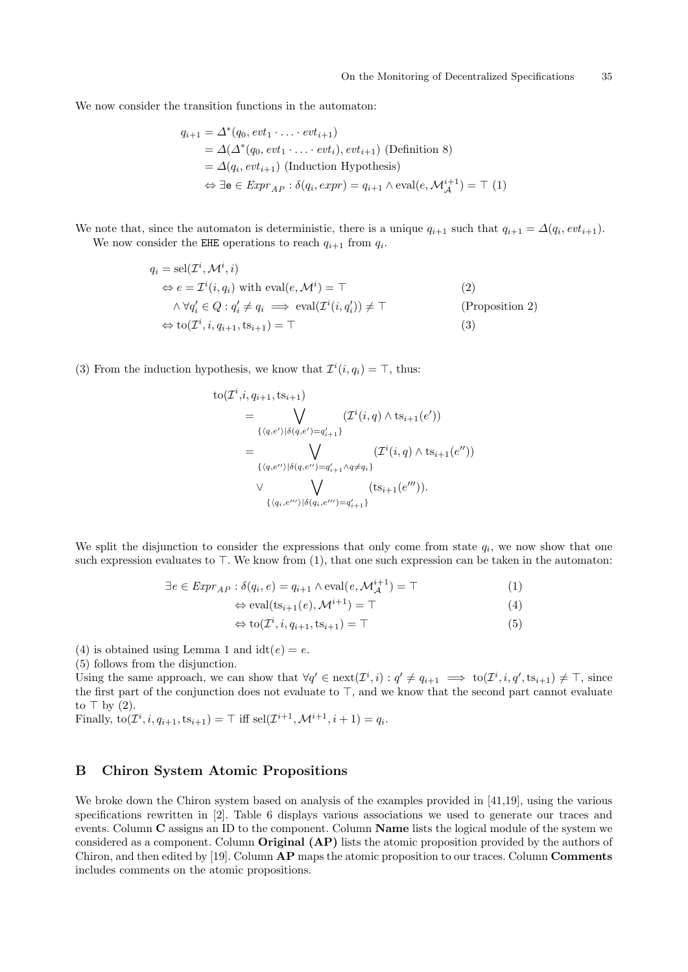We now consider the transition functions in the automaton:

$$
q_{i+1} = \Delta^*(q_0, evt_1 \cdot \ldots \cdot evt_{i+1})
$$
  
=  $\Delta(\Delta^*(q_0, evt_1 \cdot \ldots \cdot evt_i), evt_{i+1})$  (Definition 8)  
=  $\Delta(q_i, evt_{i+1})$  (Induction Hypothesis)  
 $\Leftrightarrow \exists e \in Expr_{AP} : \delta(q_i, expr) = q_{i+1} \wedge eval(e, \mathcal{M}_{\mathcal{A}}^{i+1}) = \top (1)$ 

We note that, since the automaton is deterministic, there is a unique  $q_{i+1}$  such that  $q_{i+1} = \Delta(q_i, ev t_{i+1})$ . We now consider the EHE operations to reach  $q_{i+1}$  from  $q_i$ .

$$
q_i = \text{sel}(\mathcal{I}^i, \mathcal{M}^i, i)
$$
  
\n
$$
\Leftrightarrow e = \mathcal{I}^i(i, q_i) \text{ with } \text{eval}(e, \mathcal{M}^i) = \top
$$
  
\n
$$
\wedge \forall q'_i \in Q : q'_i \neq q_i \implies \text{eval}(\mathcal{I}^i(i, q'_i)) \neq \top
$$
  
\n
$$
\Leftrightarrow \text{to}(\mathcal{I}^i, i, q_{i+1}, \text{ts}_{i+1}) = \top
$$
  
\n(2)  
\n(2)  
\n(3)

(3) From the induction hypothesis, we know that  $\mathcal{I}^i(i, q_i) = \top$ , thus:

$$
to(\mathcal{I}^{i}, i, q_{i+1}, ts_{i+1})
$$
\n
$$
= \bigvee_{\{(q, e')|\delta(q, e') = q'_{i+1}\}} (\mathcal{I}^{i}(i, q) \wedge ts_{i+1}(e'))
$$
\n
$$
= \bigvee_{\{(q, e'')|\delta(q, e'') = q'_{i+1} \wedge q \neq q_{i}\}} (\mathcal{I}^{i}(i, q) \wedge ts_{i+1}(e''))
$$
\n
$$
\vee \bigvee_{\{(q_{i}, e''')|\delta(q_{i}, e''') = q'_{i+1}\}} (ts_{i+1}(e''')).
$$

We split the disjunction to consider the expressions that only come from state  $q_i$ , we now show that one such expression evaluates to  $\top$ . We know from (1), that one such expression can be taken in the automaton:

$$
\exists e \in \mathit{Expr}_{AP} : \delta(q_i, e) = q_{i+1} \wedge \text{eval}(e, \mathcal{M}_{\mathcal{A}}^{i+1}) = \top
$$
\n(1)

$$
\Leftrightarrow \text{eval}(\text{ts}_{i+1}(e), \mathcal{M}^{i+1}) = \top \tag{4}
$$

$$
\Leftrightarrow \text{to}(\mathcal{I}^i, i, q_{i+1}, \text{ts}_{i+1}) = \top \tag{5}
$$

(4) is obtained using Lemma [1](#page-33-0) and  $idt(e) = e$ .

(5) follows from the disjunction.

Using the same approach, we can show that  $\forall q' \in \text{next}(\mathcal{I}^i, i) : q' \neq q_{i+1} \implies \text{to}(\mathcal{I}^i, i, q', \text{ts}_{i+1}) \neq \top$ , since the first part of the conjunction does not evaluate to  $\top$ , and we know that the second part cannot evaluate to  $\top$  by (2).

Finally,  $\text{to}(\mathcal{I}^i, i, q_{i+1}, \text{ts}_{i+1}) = \top$  iff  $\text{sel}(\mathcal{I}^{i+1}, \mathcal{M}^{i+1}, i+1) = q_i$ .

# <span id="page-34-0"></span>B Chiron System Atomic Propositions

We broke down the Chiron system based on analysis of the examples provided in [\[41,](#page-31-22)[19\]](#page-30-15), using the various specifications rewritten in [\[2\]](#page-30-19). Table [6](#page-35-2) displays various associations we used to generate our traces and events. Column C assigns an ID to the component. Column Name lists the logical module of the system we considered as a component. Column **Original (AP)** lists the atomic proposition provided by the authors of Chiron, and then edited by [\[19\]](#page-30-15). Column  $\bf{AP}$  maps the atomic proposition to our traces. Column **Comments** includes comments on the atomic propositions.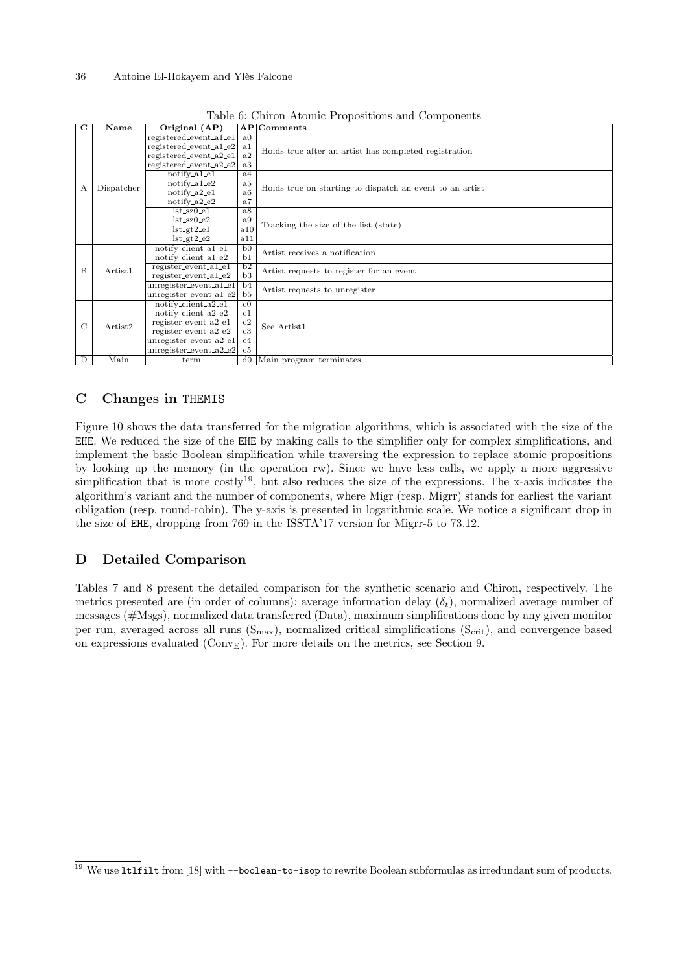<span id="page-35-2"></span>

| $\overline{\mathbf{C}}$ | $\overline{\mathbf{Name}}$ | Original $(AP)$                                  |                      | $AP $ Comments                                           |  |
|-------------------------|----------------------------|--------------------------------------------------|----------------------|----------------------------------------------------------|--|
|                         |                            | registered_event_a1_e1<br>registered_event_a1_e2 | a <sub>0</sub><br>a1 |                                                          |  |
|                         |                            | registered_event_a2_e1                           | a2                   | Holds true after an artist has completed registration    |  |
|                         |                            | registered_event_a2_e2                           | a3                   |                                                          |  |
| А                       |                            | $notify_a1_e1$                                   | a4                   |                                                          |  |
|                         | Dispatcher                 | $notify_a1_e2$                                   | a <sub>5</sub>       | Holds true on starting to dispatch an event to an artist |  |
|                         |                            | $notify_a2_e1$                                   | a <sub>6</sub>       |                                                          |  |
|                         |                            | $notify_a2_e2$                                   | a7                   |                                                          |  |
|                         |                            | $lst$ <sub>-8</sub> $z$ <sub>0</sub> $-el$       | a8                   |                                                          |  |
|                         |                            | $lst$ <sub>sz</sub> $0_e2$                       | a9                   | Tracking the size of the list (state)                    |  |
|                         |                            | $lst_g t2_e1$                                    | a10                  |                                                          |  |
|                         |                            | $lst_g t2_e2$                                    | a11                  |                                                          |  |
|                         |                            | notify_client_a1_e1                              | b <sub>0</sub>       | Artist receives a notification                           |  |
|                         |                            | notify_client_a1_e2                              | b1                   |                                                          |  |
| B                       | Artist <sub>1</sub>        | register_event_a1_e1                             | $\overline{b2}$      | Artist requests to register for an event                 |  |
|                         |                            | register_event_a1_e2                             | b3                   |                                                          |  |
|                         |                            | unregister_event_a1_e1                           | b4                   | Artist requests to unregister                            |  |
|                         |                            | $unregister_events_a1_e2$                        | b5                   |                                                          |  |
|                         |                            | notify_client_a2_e1                              | $_{\rm c0}$          |                                                          |  |
|                         |                            | notify_client_a2_e2                              | c1                   |                                                          |  |
| $\mathcal{C}$           | Artist2                    | register_event_a2_e1                             | c2                   | See Artist1                                              |  |
|                         |                            | $register_events_a2_e2$                          | c3                   |                                                          |  |
|                         |                            | $unregister.event_a2_e1$                         | c4                   |                                                          |  |
|                         |                            | $unregister.event_a2_e2$                         | $_{\rm c5}$          |                                                          |  |
| $\overline{D}$          | Main                       | term                                             | $d\theta$            | Main program terminates                                  |  |

Table 6: Chiron Atomic Propositions and Components

# <span id="page-35-0"></span>C Changes in THEMIS

Figure [10](#page-36-1) shows the data transferred for the migration algorithms, which is associated with the size of the EHE. We reduced the size of the EHE by making calls to the simplifier only for complex simplifications, and implement the basic Boolean simplification while traversing the expression to replace atomic propositions by looking up the memory (in the operation rw). Since we have less calls, we apply a more aggressive simplification that is more costly<sup>[19](#page-35-3)</sup>, but also reduces the size of the expressions. The x-axis indicates the algorithm's variant and the number of components, where Migr (resp. Migrr) stands for earliest the variant obligation (resp. round-robin). The y-axis is presented in logarithmic scale. We notice a significant drop in the size of EHE, dropping from 769 in the ISSTA'17 version for Migrr-5 to 73.12.

# <span id="page-35-1"></span>D Detailed Comparison

Tables [7](#page-36-2) and [8](#page-37-0) present the detailed comparison for the synthetic scenario and Chiron, respectively. The metrics presented are (in order of columns): average information delay  $(\delta_t)$ , normalized average number of messages (#Msgs), normalized data transferred (Data), maximum simplifications done by any given monitor per run, averaged across all runs  $(S_{max})$ , normalized critical simplifications  $(S_{crit})$ , and convergence based on expressions evaluated ( $\text{Conv}_{\text{E}}$ ). For more details on the metrics, see Section [9.](#page-21-1)

<span id="page-35-3"></span> $\frac{19}{19}$  We use 1t1filt from [\[18\]](#page-30-16) with --boolean-to-isop to rewrite Boolean subformulas as irredundant sum of products.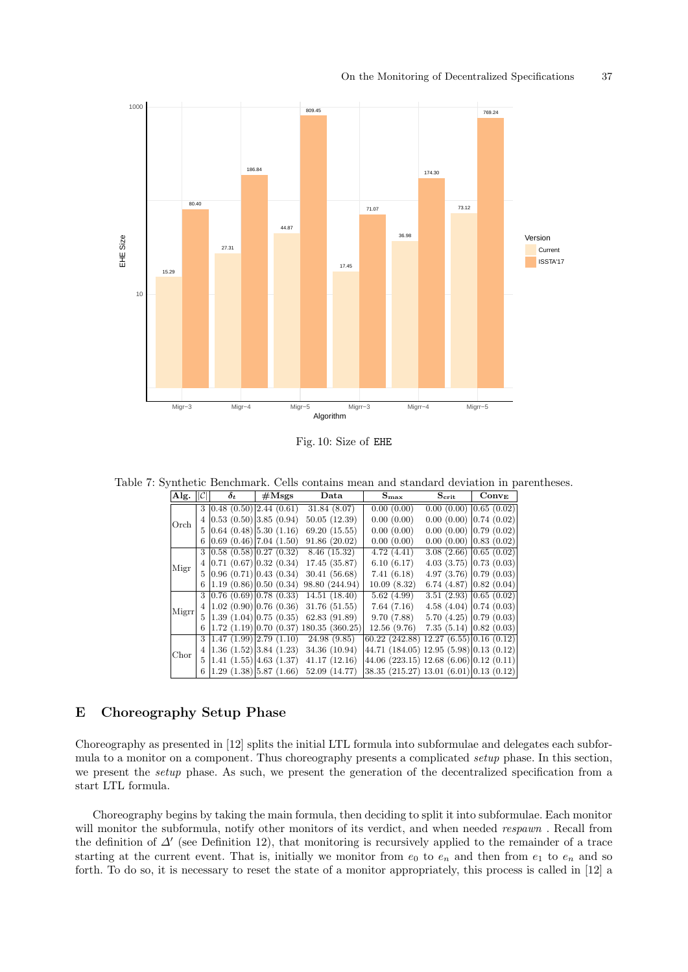<span id="page-36-1"></span>

Fig. 10: Size of EHE

<span id="page-36-2"></span>Table 7: Synthetic Benchmark. Cells contains mean and standard deviation in parentheses.

| Alg.  |                | $\delta_{t}$                              | $\#\text{Msgs}$ | Data                                             | $\mathbf{S_{max}}$                                    | $\mathbf{S_{\text{crit}}}$  | $Conv_{\rm E}$ |
|-------|----------------|-------------------------------------------|-----------------|--------------------------------------------------|-------------------------------------------------------|-----------------------------|----------------|
|       |                | 3   0.48 (0.50)   2.44 (0.61)             |                 | 31.84 (8.07)                                     | 0.00(0.00)                                            | $0.00(0.00)$ $ 0.65(0.02)$  |                |
| Orch  |                | 4   0.53 (0.50)   3.85 (0.94)             |                 | 50.05(12.39)                                     | 0.00(0.00)                                            | $0.00(0.00)$ $ 0.74(0.02)$  |                |
|       |                | $5 \mid 0.64 \ (0.48) \mid 5.30 \ (1.16)$ |                 | 69.20 (15.55)                                    | 0.00(0.00)                                            | $0.00(0.00)$ 0.79 $(0.02)$  |                |
|       |                | $6 \mid 0.69 \ (0.46) \mid 7.04 \ (1.50)$ |                 | 91.86(20.02)                                     | 0.00(0.00)                                            | $0.00(0.00)$ $ 0.83(0.02)$  |                |
|       |                | 3   0.58 (0.58)   0.27 (0.32)             |                 | 8.46 (15.32)                                     | 4.72(4.41)                                            | 3.08(2.66)[0.65(0.02)]      |                |
| Migr  |                | 4 0.71(0.67) 0.32(0.34)                   |                 | 17.45 (35.87)                                    | 6.10(6.17)                                            | $4.03(3.75)$ 0.73 $(0.03)$  |                |
|       |                | 5 0.96(0.71) 0.43(0.34)                   |                 | 30.41(56.68)                                     | 7.41(6.18)                                            | $4.97(3.76)$ 0.79 $(0.03)$  |                |
|       |                | 6 1.19(0.86) 0.50(0.34)                   |                 | 98.80 (244.94)                                   | 10.09(8.32)                                           | 6.74 $(4.87)$ 0.82 $(0.04)$ |                |
|       |                | 3 0.76(0.69) 0.78(0.33)                   |                 | 14.51(18.40)                                     | 5.62(4.99)                                            | $3.51(2.93)$ 0.65 $(0.02)$  |                |
| Migrr |                |                                           |                 | $4 1.02(0.90) 0.76(0.36)$ 31.76 (51.55)          | 7.64(7.16)                                            | $4.58(4.04)$ 0.74 $(0.03)$  |                |
|       |                |                                           |                 | $5 1.39(1.04) 0.75(0.35)$ 62.83 (91.89)          | 9.70(7.88)                                            | $5.70(4.25)$ 0.79 $(0.03)$  |                |
|       | 6              |                                           |                 | $ 1.72 \t(1.19) 0.70 \t(0.37) 180.35 \t(360.25)$ | 12.56(9.76)                                           | $7.35(5.14)$ 0.82 (0.03)    |                |
|       |                | 3 1.47(1.99) 2.79(1.10)                   |                 | 24.98 (9.85)                                     | $(60.22 \ (242.88) \ 12.27 \ (6.55) \  0.16 \ (0.12)$ |                             |                |
| Chor  | $\overline{4}$ | $ 1.36 \t(1.52) 3.84 \t(1.23)$            |                 | 34.36 (10.94)                                    | 44.71 (184.05) 12.95 (5.98) $ 0.13$ (0.12)            |                             |                |
|       |                | 5 1.41(1.55) 4.63(1.37)                   |                 | 41.17(12.16)                                     | $44.06$ (223.15) 12.68 (6.06) 0.12 (0.11)             |                             |                |
|       |                | 6 1.29(1.38) 5.87(1.66)                   |                 | 52.09 (14.77)                                    | $38.35$ (215.27) 13.01 (6.01) 0.13 (0.12)             |                             |                |

# <span id="page-36-0"></span>E Choreography Setup Phase

Choreography as presented in [\[12\]](#page-30-4) splits the initial LTL formula into subformulae and delegates each subformula to a monitor on a component. Thus choreography presents a complicated setup phase. In this section, we present the *setup* phase. As such, we present the generation of the decentralized specification from a start LTL formula.

Choreography begins by taking the main formula, then deciding to split it into subformulae. Each monitor will monitor the subformula, notify other monitors of its verdict, and when needed respawn. Recall from the definition of  $\Delta'$  (see Definition [12\)](#page-11-2), that monitoring is recursively applied to the remainder of a trace starting at the current event. That is, initially we monitor from  $e_0$  to  $e_n$  and then from  $e_1$  to  $e_n$  and so forth. To do so, it is necessary to reset the state of a monitor appropriately, this process is called in [\[12\]](#page-30-4) a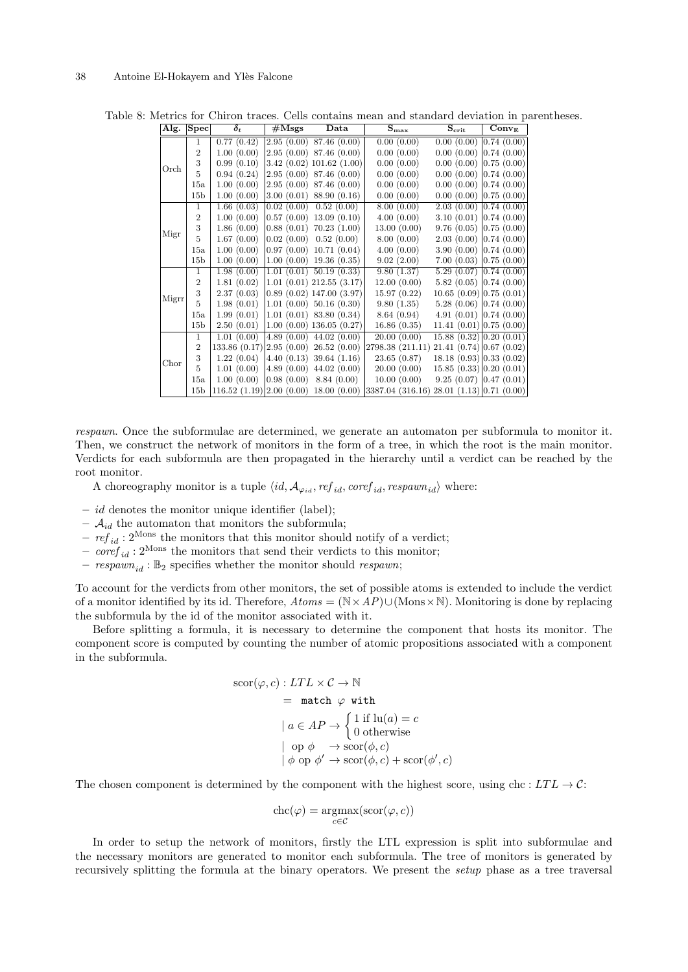| Alg.  | $ \overline{\text{Spec}} $ | $\delta_t$                                 | $\#\text{Msgs}$        | Data                        | $S_{\rm max}$    | $S_{\rm crit}$                               | $Conv_{\rm E}$ |
|-------|----------------------------|--------------------------------------------|------------------------|-----------------------------|------------------|----------------------------------------------|----------------|
| Orch  | 1                          | 0.77(0.42)                                 |                        | (2.95(0.00) 87.46(0.00))    | 0.00(0.00)       | 0.00(0.00)                                   | 0.74(0.00)     |
|       | $\overline{2}$             | 1.00(0.00)                                 |                        | (2.95(0.00) 87.46(0.00))    | 0.00(0.00)       | 0.00(0.00)                                   | 0.74(0.00)     |
|       | 3                          | 0.99(0.10)                                 |                        | 3.42(0.02)101.62(1.00)      | 0.00(0.00)       | 0.00(0.00)                                   | 0.75(0.00)     |
|       | 5                          | 0.94(0.24)                                 |                        | (2.95(0.00) 87.46(0.00))    | 0.00(0.00)       | 0.00(0.00)                                   | 0.74(0.00)     |
|       | 15a                        | 1.00(0.00)                                 | 2.95(0.00)             | 87.46 (0.00)                | 0.00(0.00)       | 0.00(0.00)                                   | 0.74(0.00)     |
|       | 15 <sub>b</sub>            | 1.00(0.00)                                 | 3.00(0.01)             | 88.90 (0.16)                | 0.00(0.00)       | 0.00(0.00)                                   | 0.75(0.00)     |
| Migr  | $\mathbf{1}$               | 1.66(0.03)                                 | 0.02(0.00)             | 0.52(0.00)                  | 8.00(0.00)       | 2.03(0.00)                                   | 0.74(0.00)     |
|       | $\overline{2}$             | 1.00(0.00)                                 | 0.57(0.00)             | 13.09(0.10)                 | 4.00(0.00)       | 3.10(0.01)                                   | 0.74(0.00)     |
|       | 3                          | 1.86(0.00)                                 |                        | $0.88(0.01)$ 70.23 $(1.00)$ | 13.00(0.00)      | 9.76(0.05)                                   | 0.75(0.00)     |
|       | 5                          | 1.67(0.00)                                 | 0.02(0.00)             | 0.52(0.00)                  | 8.00(0.00)       | $2.03(0.00)$ 0.74 $(0.00)$                   |                |
|       | 15a                        | 1.00(0.00)                                 | 0.97(0.00)             | 10.71(0.04)                 | 4.00(0.00)       | 3.90(0.00)                                   | 0.74(0.00)     |
|       | 15 <sub>b</sub>            | 1.00(0.00)                                 |                        | $1.00(0.00)$ 19.36 $(0.35)$ | 9.02(2.00)       | 7.00(0.03)                                   | 0.75(0.00)     |
| Migrr | $\mathbf{1}$               | 1.98(0.00)                                 |                        | $1.01(0.01)$ 50.19 $(0.33)$ | 9.80(1.37)       | 5.29(0.07)                                   | 0.74(0.00)     |
|       | $\overline{2}$             | 1.81(0.02)                                 |                        | $1.01(0.01)$ $212.55(3.17)$ | 12.00(0.00)      | 5.82(0.05)                                   | 0.74(0.00)     |
|       | 3                          | 2.37(0.03)                                 |                        | 0.89(0.02)147.00(3.97)      | 15.97(0.22)      | $10.65(0.09)$ 0.75 $(0.01)$                  |                |
|       | 5                          | 1.98(0.01)                                 |                        | $1.01(0.00)$ 50.16 $(0.30)$ | 9.80(1.35)       | $5.28(0.06)$ 0.74 $(0.00)$                   |                |
|       | 15a                        | 1.99(0.01)                                 |                        | $1.01(0.01)$ 83.80 $(0.34)$ | 8.64(0.94)       | $4.91(0.01)$ 0.74 $(0.00)$                   |                |
|       | 15 <sub>b</sub>            | 2.50(0.01)                                 |                        | 1.00(0.00)136.05(0.27)      | 16.86(0.35)      | 11.41 (0.01)   0.75 (0.00)                   |                |
| Chor  | $\mathbf{1}$               | 1.01(0.00)                                 |                        | $4.89(0.00)$ $44.02(0.00)$  | 20.00(0.00)      | $\overline{15.88}$ $(0.32)$ $ 0.20$ $(0.01)$ |                |
|       | $\overline{2}$             | 133.86 (0.17)                              | 2.95(0.00)             | 26.52(0.00)                 | 2798.38 (211.11) | 21.41 (0.74) 0.67 (0.02)                     |                |
|       | 3                          | 1.22(0.04)                                 | 4.40(0.13)             | 39.64(1.16)                 | 23.65(0.87)      | $18.18(0.93)$ 0.33 (0.02)                    |                |
|       | 5                          | 1.01(0.00)                                 | 4.89(0.00)             | 44.02(0.00)                 | 20.00(0.00)      | 15.85(0.33)   0.20(0.01)                     |                |
|       | 15a                        | 1.00(0.00)                                 | $ 0.98\ (0.00)\rangle$ | 8.84(0.00)                  | 10.00(0.00)      | $9.25(0.07)$ 0.47 $(0.01)$                   |                |
|       | 15 <sub>b</sub>            | $116.52 (1.19)   2.00 (0.00) 18.00 (0.00)$ |                        |                             | 3387.04 (316.16) | $28.01(1.13)$ 0.71 (0.00)                    |                |

<span id="page-37-0"></span>Table 8: Metrics for Chiron traces. Cells contains mean and standard deviation in parentheses.

respawn. Once the subformulae are determined, we generate an automaton per subformula to monitor it. Then, we construct the network of monitors in the form of a tree, in which the root is the main monitor. Verdicts for each subformula are then propagated in the hierarchy until a verdict can be reached by the root monitor.

A choreography monitor is a tuple  $\langle id, \mathcal{A}_{\varphi_{id}} , ref_{id}, coeff_{id}, respawn_{id} \rangle$  where:

- $id$  denotes the monitor unique identifier (label);
- $\mathcal{A}_{id}$  the automaton that monitors the subformula;
- $ref_{id}: 2^{\text{Mons}}$  the monitors that this monitor should notify of a verdict;
- $\overline{core}_{id}$ :  $2^{\text{Mons}}$  the monitors that send their verdicts to this monitor;
- $respawn_{id}$ :  $\mathbb{B}_2$  specifies whether the monitor should respawn;

To account for the verdicts from other monitors, the set of possible atoms is extended to include the verdict of a monitor identified by its id. Therefore,  $Atoms = (\mathbb{N} \times AP) \cup (\text{Mons} \times \mathbb{N})$ . Monitoring is done by replacing the subformula by the id of the monitor associated with it.

Before splitting a formula, it is necessary to determine the component that hosts its monitor. The component score is computed by counting the number of atomic propositions associated with a component in the subformula.

$$
\begin{aligned}\n\text{score}(\varphi, c) : LTL \times C &\rightarrow \mathbb{N} \\
&= \text{ match } \varphi \text{ with} \\
&| a \in AP \rightarrow \begin{cases} 1 \text{ if } \text{lu}(a) = c \\
0 \text{ otherwise} \\
\mid \text{ op } \phi & \rightarrow \text{score}(\phi, c) \\
\mid \phi \text{ op } \phi' \rightarrow \text{score}(\phi, c) + \text{score}(\phi', c)\n\end{cases}\n\end{aligned}
$$

The chosen component is determined by the component with the highest score, using chc :  $LTL \rightarrow C$ :

$$
chc(\varphi) = \underset{c \in \mathcal{C}}{\operatorname{argmax}}(\text{scor}(\varphi, c))
$$

In order to setup the network of monitors, firstly the LTL expression is split into subformulae and the necessary monitors are generated to monitor each subformula. The tree of monitors is generated by recursively splitting the formula at the binary operators. We present the setup phase as a tree traversal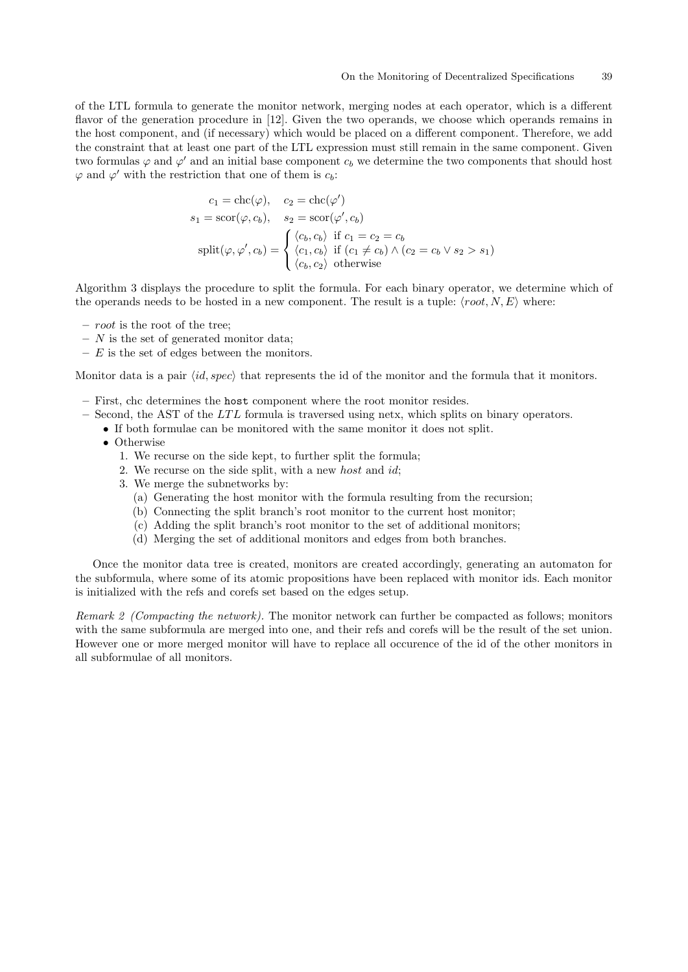of the LTL formula to generate the monitor network, merging nodes at each operator, which is a different flavor of the generation procedure in [\[12\]](#page-30-4). Given the two operands, we choose which operands remains in the host component, and (if necessary) which would be placed on a different component. Therefore, we add the constraint that at least one part of the LTL expression must still remain in the same component. Given two formulas  $\varphi$  and  $\varphi'$  and an initial base component  $c_b$  we determine the two components that should host  $\varphi$  and  $\varphi'$  with the restriction that one of them is  $c_b$ :

$$
c_1 = \text{chc}(\varphi), \quad c_2 = \text{chc}(\varphi')
$$
  
\n
$$
s_1 = \text{scor}(\varphi, c_b), \quad s_2 = \text{scor}(\varphi', c_b)
$$
  
\n
$$
\text{split}(\varphi, \varphi', c_b) = \begin{cases} \langle c_b, c_b \rangle & \text{if } c_1 = c_2 = c_b \\ \langle c_1, c_b \rangle & \text{if } (c_1 \neq c_b) \land (c_2 = c_b \lor s_2 > s_1) \\ \langle c_b, c_2 \rangle & \text{otherwise} \end{cases}
$$

Algorithm [3](#page-39-0) displays the procedure to split the formula. For each binary operator, we determine which of the operands needs to be hosted in a new component. The result is a tuple:  $\langle root, N, E \rangle$  where:

- root is the root of the tree;
- $N$  is the set of generated monitor data;
- $E$  is the set of edges between the monitors.

Monitor data is a pair  $\langle id, spec \rangle$  that represents the id of the monitor and the formula that it monitors.

- First, chc determines the host component where the root monitor resides.
- $-$  Second, the AST of the LTL formula is traversed using netx, which splits on binary operators.
- If both formulae can be monitored with the same monitor it does not split.
	- Otherwise
		- 1. We recurse on the side kept, to further split the formula;
		- 2. We recurse on the side split, with a new *host* and *id*;
		- 3. We merge the subnetworks by:
			- (a) Generating the host monitor with the formula resulting from the recursion;
			- (b) Connecting the split branch's root monitor to the current host monitor;
			- (c) Adding the split branch's root monitor to the set of additional monitors;
			- (d) Merging the set of additional monitors and edges from both branches.

Once the monitor data tree is created, monitors are created accordingly, generating an automaton for the subformula, where some of its atomic propositions have been replaced with monitor ids. Each monitor is initialized with the refs and corefs set based on the edges setup.

Remark 2 (Compacting the network). The monitor network can further be compacted as follows; monitors with the same subformula are merged into one, and their refs and corefs will be the result of the set union. However one or more merged monitor will have to replace all occurence of the id of the other monitors in all subformulae of all monitors.